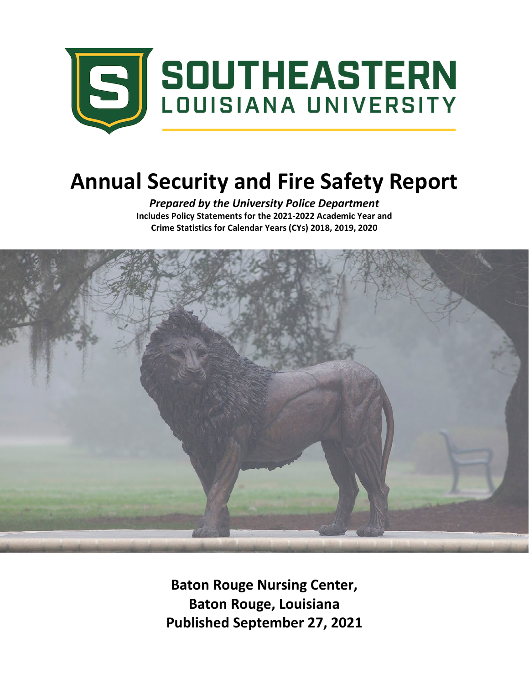

# **Annual Security and Fire Safety Report**

*Prepared by the University Police Department* **Includes Policy Statements for the 2021-2022 Academic Year and Crime Statistics for Calendar Years (CYs) 2018, 2019, 2020**



**Baton Rouge Nursing Center, Baton Rouge, Louisiana Published September 27, 2021**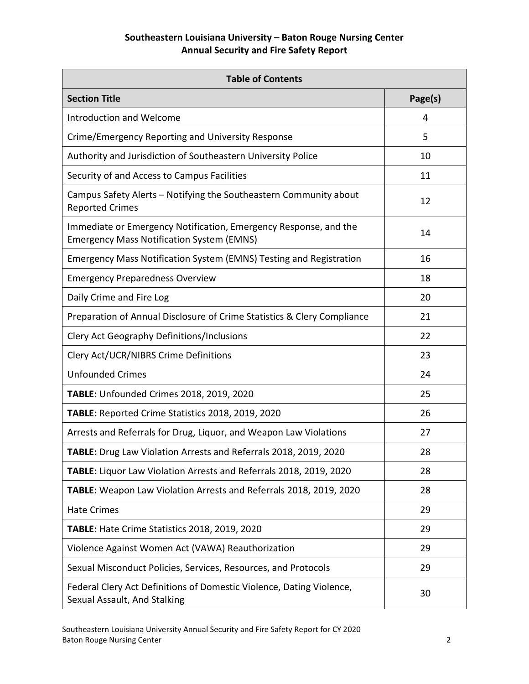# **Southeastern Louisiana University – Baton Rouge Nursing Center Annual Security and Fire Safety Report**

| <b>Table of Contents</b>                                                                                             |         |  |  |  |
|----------------------------------------------------------------------------------------------------------------------|---------|--|--|--|
| <b>Section Title</b>                                                                                                 | Page(s) |  |  |  |
| <b>Introduction and Welcome</b>                                                                                      | 4       |  |  |  |
| Crime/Emergency Reporting and University Response                                                                    | 5       |  |  |  |
| Authority and Jurisdiction of Southeastern University Police                                                         | 10      |  |  |  |
| Security of and Access to Campus Facilities                                                                          | 11      |  |  |  |
| Campus Safety Alerts - Notifying the Southeastern Community about<br><b>Reported Crimes</b>                          | 12      |  |  |  |
| Immediate or Emergency Notification, Emergency Response, and the<br><b>Emergency Mass Notification System (EMNS)</b> | 14      |  |  |  |
| Emergency Mass Notification System (EMNS) Testing and Registration                                                   | 16      |  |  |  |
| <b>Emergency Preparedness Overview</b>                                                                               | 18      |  |  |  |
| Daily Crime and Fire Log                                                                                             | 20      |  |  |  |
| Preparation of Annual Disclosure of Crime Statistics & Clery Compliance                                              | 21      |  |  |  |
| <b>Clery Act Geography Definitions/Inclusions</b>                                                                    | 22      |  |  |  |
| Clery Act/UCR/NIBRS Crime Definitions                                                                                | 23      |  |  |  |
| <b>Unfounded Crimes</b>                                                                                              | 24      |  |  |  |
| TABLE: Unfounded Crimes 2018, 2019, 2020                                                                             | 25      |  |  |  |
| TABLE: Reported Crime Statistics 2018, 2019, 2020                                                                    | 26      |  |  |  |
| Arrests and Referrals for Drug, Liquor, and Weapon Law Violations                                                    | 27      |  |  |  |
| TABLE: Drug Law Violation Arrests and Referrals 2018, 2019, 2020                                                     | 28      |  |  |  |
| TABLE: Liquor Law Violation Arrests and Referrals 2018, 2019, 2020                                                   | 28      |  |  |  |
| TABLE: Weapon Law Violation Arrests and Referrals 2018, 2019, 2020                                                   | 28      |  |  |  |
| <b>Hate Crimes</b>                                                                                                   | 29      |  |  |  |
| TABLE: Hate Crime Statistics 2018, 2019, 2020                                                                        | 29      |  |  |  |
| Violence Against Women Act (VAWA) Reauthorization                                                                    | 29      |  |  |  |
| Sexual Misconduct Policies, Services, Resources, and Protocols                                                       | 29      |  |  |  |
| Federal Clery Act Definitions of Domestic Violence, Dating Violence,<br>Sexual Assault, And Stalking                 | 30      |  |  |  |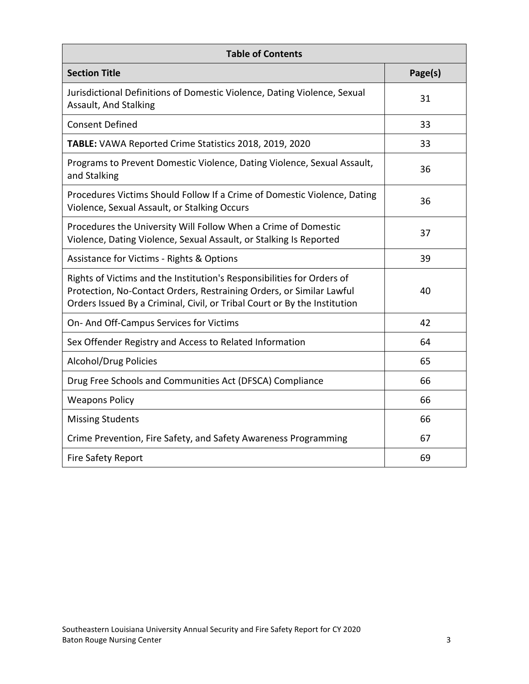| <b>Table of Contents</b>                                                                                                                                                                                                    |         |  |  |  |
|-----------------------------------------------------------------------------------------------------------------------------------------------------------------------------------------------------------------------------|---------|--|--|--|
| <b>Section Title</b>                                                                                                                                                                                                        | Page(s) |  |  |  |
| Jurisdictional Definitions of Domestic Violence, Dating Violence, Sexual<br>Assault, And Stalking                                                                                                                           | 31      |  |  |  |
| <b>Consent Defined</b>                                                                                                                                                                                                      | 33      |  |  |  |
| TABLE: VAWA Reported Crime Statistics 2018, 2019, 2020                                                                                                                                                                      | 33      |  |  |  |
| Programs to Prevent Domestic Violence, Dating Violence, Sexual Assault,<br>and Stalking                                                                                                                                     | 36      |  |  |  |
| Procedures Victims Should Follow If a Crime of Domestic Violence, Dating<br>Violence, Sexual Assault, or Stalking Occurs                                                                                                    | 36      |  |  |  |
| Procedures the University Will Follow When a Crime of Domestic<br>Violence, Dating Violence, Sexual Assault, or Stalking Is Reported                                                                                        | 37      |  |  |  |
| Assistance for Victims - Rights & Options                                                                                                                                                                                   | 39      |  |  |  |
| Rights of Victims and the Institution's Responsibilities for Orders of<br>Protection, No-Contact Orders, Restraining Orders, or Similar Lawful<br>Orders Issued By a Criminal, Civil, or Tribal Court or By the Institution | 40      |  |  |  |
| On- And Off-Campus Services for Victims                                                                                                                                                                                     | 42      |  |  |  |
| Sex Offender Registry and Access to Related Information                                                                                                                                                                     | 64      |  |  |  |
| Alcohol/Drug Policies                                                                                                                                                                                                       | 65      |  |  |  |
| Drug Free Schools and Communities Act (DFSCA) Compliance                                                                                                                                                                    | 66      |  |  |  |
| <b>Weapons Policy</b>                                                                                                                                                                                                       | 66      |  |  |  |
| <b>Missing Students</b>                                                                                                                                                                                                     | 66      |  |  |  |
| Crime Prevention, Fire Safety, and Safety Awareness Programming                                                                                                                                                             | 67      |  |  |  |
| <b>Fire Safety Report</b>                                                                                                                                                                                                   | 69      |  |  |  |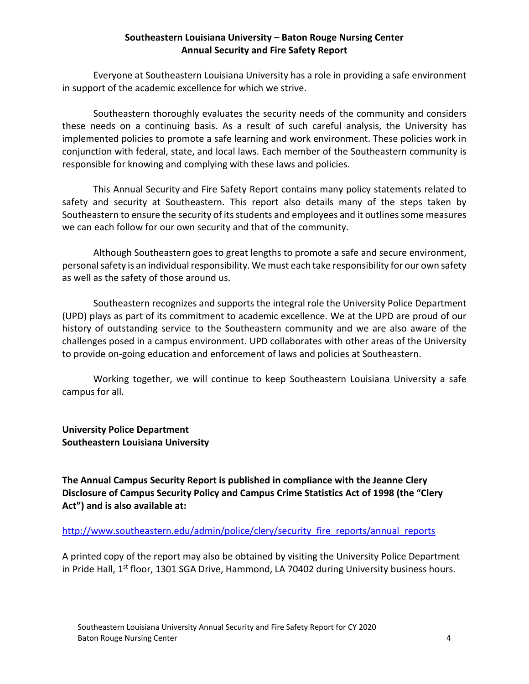## **Southeastern Louisiana University – Baton Rouge Nursing Center Annual Security and Fire Safety Report**

Everyone at Southeastern Louisiana University has a role in providing a safe environment in support of the academic excellence for which we strive.

Southeastern thoroughly evaluates the security needs of the community and considers these needs on a continuing basis. As a result of such careful analysis, the University has implemented policies to promote a safe learning and work environment. These policies work in conjunction with federal, state, and local laws. Each member of the Southeastern community is responsible for knowing and complying with these laws and policies.

This Annual Security and Fire Safety Report contains many policy statements related to safety and security at Southeastern. This report also details many of the steps taken by Southeastern to ensure the security of its students and employees and it outlines some measures we can each follow for our own security and that of the community.

Although Southeastern goes to great lengths to promote a safe and secure environment, personal safety is an individual responsibility. We must each take responsibility for our own safety as well as the safety of those around us.

Southeastern recognizes and supports the integral role the University Police Department (UPD) plays as part of its commitment to academic excellence. We at the UPD are proud of our history of outstanding service to the Southeastern community and we are also aware of the challenges posed in a campus environment. UPD collaborates with other areas of the University to provide on-going education and enforcement of laws and policies at Southeastern.

Working together, we will continue to keep Southeastern Louisiana University a safe campus for all.

**University Police Department Southeastern Louisiana University**

**The Annual Campus Security Report is published in compliance with the Jeanne Clery Disclosure of Campus Security Policy and Campus Crime Statistics Act of 1998 (the "Clery Act") and is also available at:**

## [http://www.southeastern.edu/admin/police/clery/security\\_fire\\_reports/annual\\_reports](http://www.southeastern.edu/admin/police/clery/security_fire_reports/annual_reports)

A printed copy of the report may also be obtained by visiting the University Police Department in Pride Hall, 1<sup>st</sup> floor, 1301 SGA Drive, Hammond, LA 70402 during University business hours.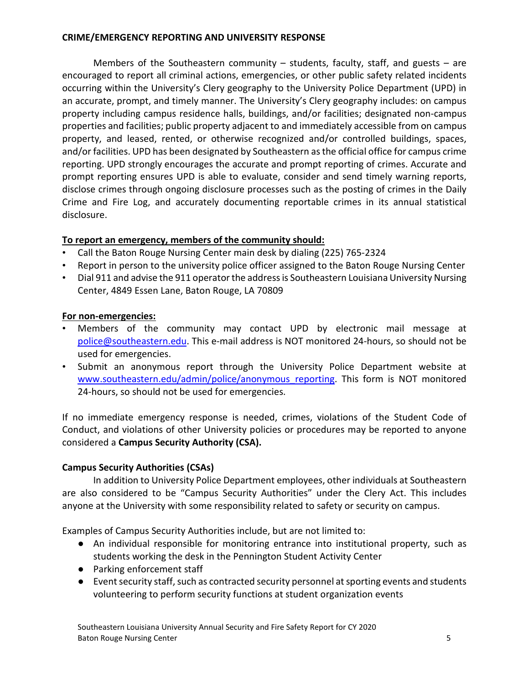## **CRIME/EMERGENCY REPORTING AND UNIVERSITY RESPONSE**

Members of the Southeastern community  $-$  students, faculty, staff, and guests  $-$  are encouraged to report all criminal actions, emergencies, or other public safety related incidents occurring within the University's Clery geography to the University Police Department (UPD) in an accurate, prompt, and timely manner. The University's Clery geography includes: on campus property including campus residence halls, buildings, and/or facilities; designated non-campus properties and facilities; public property adjacent to and immediately accessible from on campus property, and leased, rented, or otherwise recognized and/or controlled buildings, spaces, and/or facilities. UPD has been designated by Southeastern as the official office for campus crime reporting. UPD strongly encourages the accurate and prompt reporting of crimes. Accurate and prompt reporting ensures UPD is able to evaluate, consider and send timely warning reports, disclose crimes through ongoing disclosure processes such as the posting of crimes in the Daily Crime and Fire Log, and accurately documenting reportable crimes in its annual statistical disclosure.

## **To report an emergency, members of the community should:**

- Call the Baton Rouge Nursing Center main desk by dialing (225) 765-2324
- Report in person to the university police officer assigned to the Baton Rouge Nursing Center
- Dial 911 and advise the 911 operator the address is Southeastern Louisiana University Nursing Center, 4849 Essen Lane, Baton Rouge, LA 70809

# **For non-emergencies:**

- Members of the community may contact UPD by electronic mail message at [police@southeastern.edu.](mailto:police@southeastern.edu) This e-mail address is NOT monitored 24-hours, so should not be used for emergencies.
- Submit an anonymous report through the University Police Department website at www.southeastern.edu/admin/police/anonymous reporting. This form is NOT monitored 24-hours, so should not be used for emergencies.

If no immediate emergency response is needed, crimes, violations of the Student Code of Conduct, and violations of other University policies or procedures may be reported to anyone considered a **Campus Security Authority (CSA).**

# **Campus Security Authorities (CSAs)**

In addition to University Police Department employees, other individuals at Southeastern are also considered to be "Campus Security Authorities" under the Clery Act. This includes anyone at the University with some responsibility related to safety or security on campus.

Examples of Campus Security Authorities include, but are not limited to:

- An individual responsible for monitoring entrance into institutional property, such as students working the desk in the Pennington Student Activity Center
- Parking enforcement staff
- Event security staff, such as contracted security personnel at sporting events and students volunteering to perform security functions at student organization events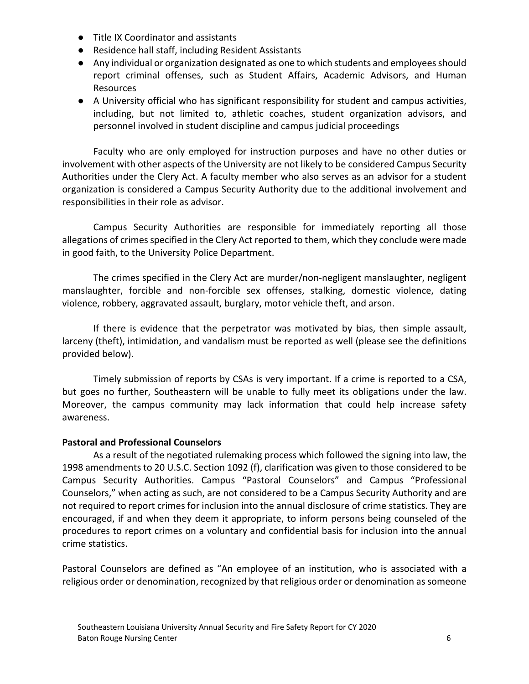- Title IX Coordinator and assistants
- Residence hall staff, including Resident Assistants
- Any individual or organization designated as one to which students and employees should report criminal offenses, such as Student Affairs, Academic Advisors, and Human Resources
- A University official who has significant responsibility for student and campus activities, including, but not limited to, athletic coaches, student organization advisors, and personnel involved in student discipline and campus judicial proceedings

Faculty who are only employed for instruction purposes and have no other duties or involvement with other aspects of the University are not likely to be considered Campus Security Authorities under the Clery Act. A faculty member who also serves as an advisor for a student organization is considered a Campus Security Authority due to the additional involvement and responsibilities in their role as advisor.

Campus Security Authorities are responsible for immediately reporting all those allegations of crimes specified in the Clery Act reported to them, which they conclude were made in good faith, to the University Police Department.

The crimes specified in the Clery Act are murder/non-negligent manslaughter, negligent manslaughter, forcible and non-forcible sex offenses, stalking, domestic violence, dating violence, robbery, aggravated assault, burglary, motor vehicle theft, and arson.

If there is evidence that the perpetrator was motivated by bias, then simple assault, larceny (theft), intimidation, and vandalism must be reported as well (please see the definitions provided below).

Timely submission of reports by CSAs is very important. If a crime is reported to a CSA, but goes no further, Southeastern will be unable to fully meet its obligations under the law. Moreover, the campus community may lack information that could help increase safety awareness.

#### **Pastoral and Professional Counselors**

As a result of the negotiated rulemaking process which followed the signing into law, the 1998 amendments to 20 U.S.C. Section 1092 (f), clarification was given to those considered to be Campus Security Authorities. Campus "Pastoral Counselors" and Campus "Professional Counselors," when acting as such, are not considered to be a Campus Security Authority and are not required to report crimes for inclusion into the annual disclosure of crime statistics. They are encouraged, if and when they deem it appropriate, to inform persons being counseled of the procedures to report crimes on a voluntary and confidential basis for inclusion into the annual crime statistics.

Pastoral Counselors are defined as "An employee of an institution, who is associated with a religious order or denomination, recognized by that religious order or denomination as someone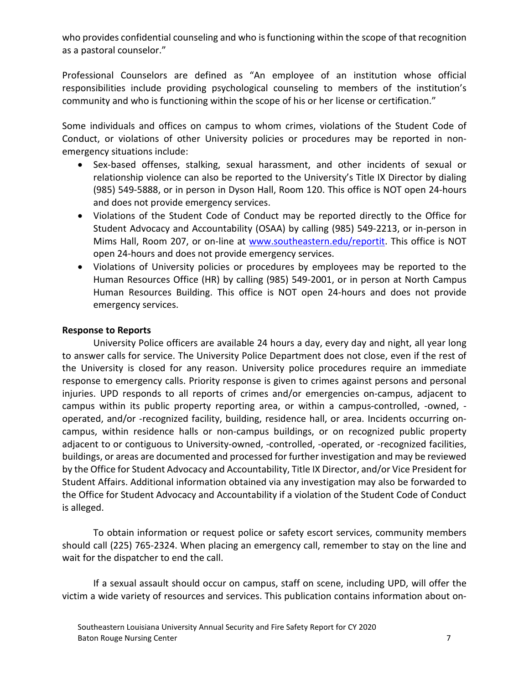who provides confidential counseling and who is functioning within the scope of that recognition as a pastoral counselor."

Professional Counselors are defined as "An employee of an institution whose official responsibilities include providing psychological counseling to members of the institution's community and who is functioning within the scope of his or her license or certification."

Some individuals and offices on campus to whom crimes, violations of the Student Code of Conduct, or violations of other University policies or procedures may be reported in nonemergency situations include:

- Sex-based offenses, stalking, sexual harassment, and other incidents of sexual or relationship violence can also be reported to the University's Title IX Director by dialing (985) 549-5888, or in person in Dyson Hall, Room 120. This office is NOT open 24-hours and does not provide emergency services.
- Violations of the Student Code of Conduct may be reported directly to the Office for Student Advocacy and Accountability (OSAA) by calling (985) 549-2213, or in-person in Mims Hall, Room 207, or on-line at [www.southeastern.edu/reportit.](http://www.southeastern.edu/reportit) This office is NOT open 24-hours and does not provide emergency services.
- Violations of University policies or procedures by employees may be reported to the Human Resources Office (HR) by calling (985) 549-2001, or in person at North Campus Human Resources Building. This office is NOT open 24-hours and does not provide emergency services.

#### **Response to Reports**

University Police officers are available 24 hours a day, every day and night, all year long to answer calls for service. The University Police Department does not close, even if the rest of the University is closed for any reason. University police procedures require an immediate response to emergency calls. Priority response is given to crimes against persons and personal injuries. UPD responds to all reports of crimes and/or emergencies on-campus, adjacent to campus within its public property reporting area, or within a campus-controlled, -owned, operated, and/or -recognized facility, building, residence hall, or area. Incidents occurring oncampus, within residence halls or non-campus buildings, or on recognized public property adjacent to or contiguous to University-owned, -controlled, -operated, or -recognized facilities, buildings, or areas are documented and processed for further investigation and may be reviewed by the Office for Student Advocacy and Accountability, Title IX Director, and/or Vice President for Student Affairs. Additional information obtained via any investigation may also be forwarded to the Office for Student Advocacy and Accountability if a violation of the Student Code of Conduct is alleged.

To obtain information or request police or safety escort services, community members should call (225) 765-2324. When placing an emergency call, remember to stay on the line and wait for the dispatcher to end the call.

If a sexual assault should occur on campus, staff on scene, including UPD, will offer the victim a wide variety of resources and services. This publication contains information about on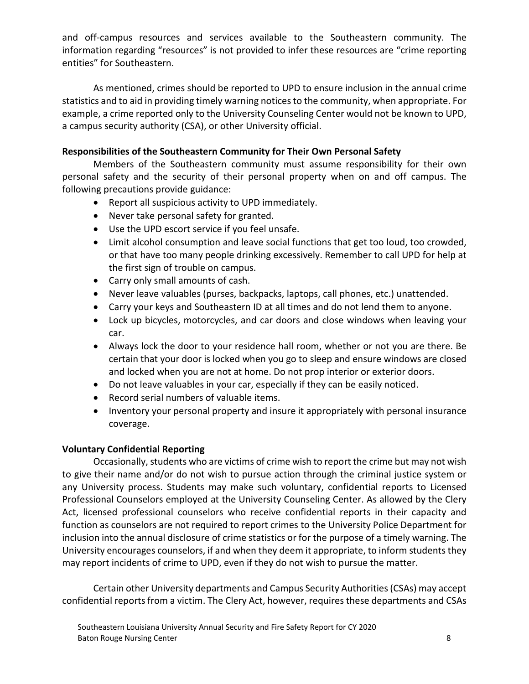and off-campus resources and services available to the Southeastern community. The information regarding "resources" is not provided to infer these resources are "crime reporting entities" for Southeastern.

As mentioned, crimes should be reported to UPD to ensure inclusion in the annual crime statistics and to aid in providing timely warning notices to the community, when appropriate. For example, a crime reported only to the University Counseling Center would not be known to UPD, a campus security authority (CSA), or other University official.

# **Responsibilities of the Southeastern Community for Their Own Personal Safety**

Members of the Southeastern community must assume responsibility for their own personal safety and the security of their personal property when on and off campus. The following precautions provide guidance:

- Report all suspicious activity to UPD immediately.
- Never take personal safety for granted.
- Use the UPD escort service if you feel unsafe.
- Limit alcohol consumption and leave social functions that get too loud, too crowded, or that have too many people drinking excessively. Remember to call UPD for help at the first sign of trouble on campus.
- Carry only small amounts of cash.
- Never leave valuables (purses, backpacks, laptops, call phones, etc.) unattended.
- Carry your keys and Southeastern ID at all times and do not lend them to anyone.
- Lock up bicycles, motorcycles, and car doors and close windows when leaving your car.
- Always lock the door to your residence hall room, whether or not you are there. Be certain that your door is locked when you go to sleep and ensure windows are closed and locked when you are not at home. Do not prop interior or exterior doors.
- Do not leave valuables in your car, especially if they can be easily noticed.
- Record serial numbers of valuable items.
- Inventory your personal property and insure it appropriately with personal insurance coverage.

## **Voluntary Confidential Reporting**

Occasionally, students who are victims of crime wish to report the crime but may not wish to give their name and/or do not wish to pursue action through the criminal justice system or any University process. Students may make such voluntary, confidential reports to Licensed Professional Counselors employed at the University Counseling Center. As allowed by the Clery Act, licensed professional counselors who receive confidential reports in their capacity and function as counselors are not required to report crimes to the University Police Department for inclusion into the annual disclosure of crime statistics or for the purpose of a timely warning. The University encourages counselors, if and when they deem it appropriate, to inform students they may report incidents of crime to UPD, even if they do not wish to pursue the matter.

Certain other University departments and Campus Security Authorities (CSAs) may accept confidential reports from a victim. The Clery Act, however, requires these departments and CSAs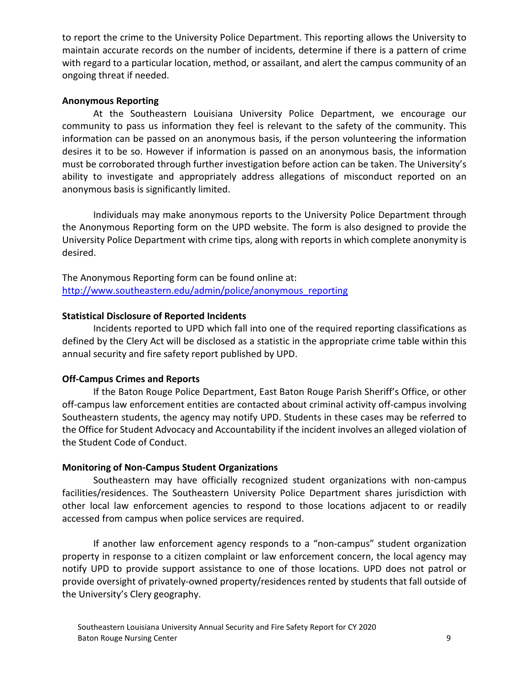to report the crime to the University Police Department. This reporting allows the University to maintain accurate records on the number of incidents, determine if there is a pattern of crime with regard to a particular location, method, or assailant, and alert the campus community of an ongoing threat if needed.

#### **Anonymous Reporting**

At the Southeastern Louisiana University Police Department, we encourage our community to pass us information they feel is relevant to the safety of the community. This information can be passed on an anonymous basis, if the person volunteering the information desires it to be so. However if information is passed on an anonymous basis, the information must be corroborated through further investigation before action can be taken. The University's ability to investigate and appropriately address allegations of misconduct reported on an anonymous basis is significantly limited.

Individuals may make anonymous reports to the University Police Department through the Anonymous Reporting form on the UPD website. The form is also designed to provide the University Police Department with crime tips, along with reports in which complete anonymity is desired.

The Anonymous Reporting form can be found online at: [http://www.southeastern.edu/admin/police/anonymous\\_reporting](http://www.southeastern.edu/admin/police/anonymous_reporting)

## **Statistical Disclosure of Reported Incidents**

Incidents reported to UPD which fall into one of the required reporting classifications as defined by the Clery Act will be disclosed as a statistic in the appropriate crime table within this annual security and fire safety report published by UPD.

## **Off-Campus Crimes and Reports**

If the Baton Rouge Police Department, East Baton Rouge Parish Sheriff's Office, or other off-campus law enforcement entities are contacted about criminal activity off-campus involving Southeastern students, the agency may notify UPD. Students in these cases may be referred to the Office for Student Advocacy and Accountability if the incident involves an alleged violation of the Student Code of Conduct.

## **Monitoring of Non-Campus Student Organizations**

Southeastern may have officially recognized student organizations with non-campus facilities/residences. The Southeastern University Police Department shares jurisdiction with other local law enforcement agencies to respond to those locations adjacent to or readily accessed from campus when police services are required.

If another law enforcement agency responds to a "non-campus" student organization property in response to a citizen complaint or law enforcement concern, the local agency may notify UPD to provide support assistance to one of those locations. UPD does not patrol or provide oversight of privately-owned property/residences rented by students that fall outside of the University's Clery geography.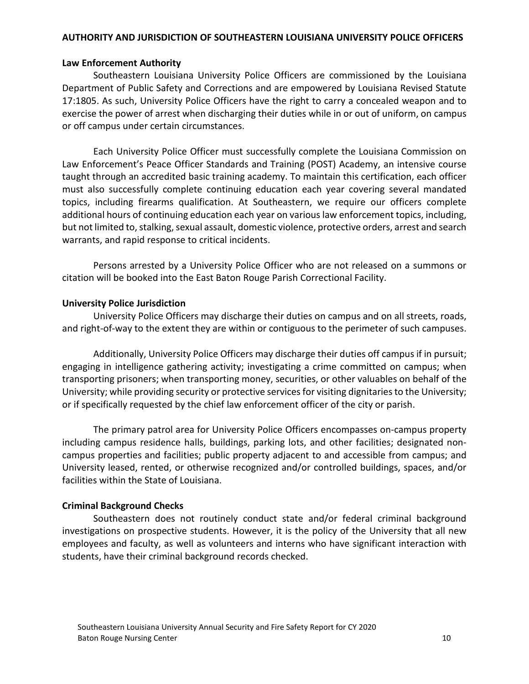#### **AUTHORITY AND JURISDICTION OF SOUTHEASTERN LOUISIANA UNIVERSITY POLICE OFFICERS**

#### **Law Enforcement Authority**

Southeastern Louisiana University Police Officers are commissioned by the Louisiana Department of Public Safety and Corrections and are empowered by Louisiana Revised Statute 17:1805. As such, University Police Officers have the right to carry a concealed weapon and to exercise the power of arrest when discharging their duties while in or out of uniform, on campus or off campus under certain circumstances.

Each University Police Officer must successfully complete the Louisiana Commission on Law Enforcement's Peace Officer Standards and Training (POST) Academy, an intensive course taught through an accredited basic training academy. To maintain this certification, each officer must also successfully complete continuing education each year covering several mandated topics, including firearms qualification. At Southeastern, we require our officers complete additional hours of continuing education each year on various law enforcement topics, including, but not limited to, stalking, sexual assault, domestic violence, protective orders, arrest and search warrants, and rapid response to critical incidents.

Persons arrested by a University Police Officer who are not released on a summons or citation will be booked into the East Baton Rouge Parish Correctional Facility.

#### **University Police Jurisdiction**

University Police Officers may discharge their duties on campus and on all streets, roads, and right-of-way to the extent they are within or contiguous to the perimeter of such campuses.

Additionally, University Police Officers may discharge their duties off campus if in pursuit; engaging in intelligence gathering activity; investigating a crime committed on campus; when transporting prisoners; when transporting money, securities, or other valuables on behalf of the University; while providing security or protective services for visiting dignitaries to the University; or if specifically requested by the chief law enforcement officer of the city or parish.

The primary patrol area for University Police Officers encompasses on-campus property including campus residence halls, buildings, parking lots, and other facilities; designated noncampus properties and facilities; public property adjacent to and accessible from campus; and University leased, rented, or otherwise recognized and/or controlled buildings, spaces, and/or facilities within the State of Louisiana.

#### **Criminal Background Checks**

Southeastern does not routinely conduct state and/or federal criminal background investigations on prospective students. However, it is the policy of the University that all new employees and faculty, as well as volunteers and interns who have significant interaction with students, have their criminal background records checked.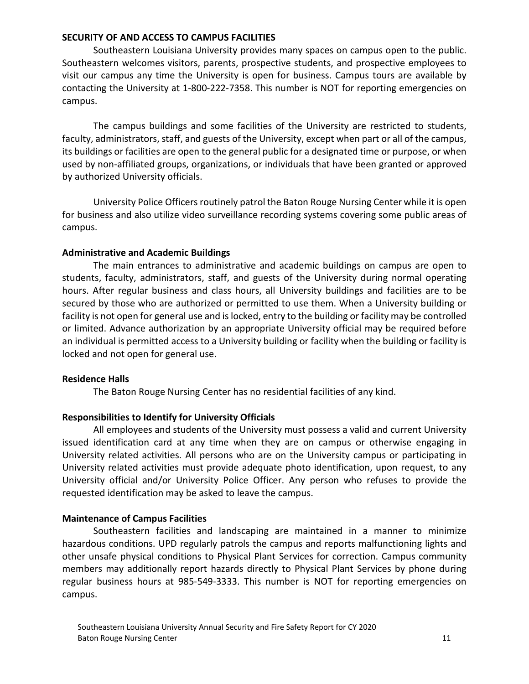#### **SECURITY OF AND ACCESS TO CAMPUS FACILITIES**

Southeastern Louisiana University provides many spaces on campus open to the public. Southeastern welcomes visitors, parents, prospective students, and prospective employees to visit our campus any time the University is open for business. Campus tours are available by contacting the University at 1-800-222-7358. This number is NOT for reporting emergencies on campus.

The campus buildings and some facilities of the University are restricted to students, faculty, administrators, staff, and guests of the University, except when part or all of the campus, its buildings or facilities are open to the general public for a designated time or purpose, or when used by non-affiliated groups, organizations, or individuals that have been granted or approved by authorized University officials.

University Police Officers routinely patrol the Baton Rouge Nursing Center while it is open for business and also utilize video surveillance recording systems covering some public areas of campus.

#### **Administrative and Academic Buildings**

The main entrances to administrative and academic buildings on campus are open to students, faculty, administrators, staff, and guests of the University during normal operating hours. After regular business and class hours, all University buildings and facilities are to be secured by those who are authorized or permitted to use them. When a University building or facility is not open for general use and is locked, entry to the building or facility may be controlled or limited. Advance authorization by an appropriate University official may be required before an individual is permitted access to a University building or facility when the building or facility is locked and not open for general use.

#### **Residence Halls**

The Baton Rouge Nursing Center has no residential facilities of any kind.

#### **Responsibilities to Identify for University Officials**

All employees and students of the University must possess a valid and current University issued identification card at any time when they are on campus or otherwise engaging in University related activities. All persons who are on the University campus or participating in University related activities must provide adequate photo identification, upon request, to any University official and/or University Police Officer. Any person who refuses to provide the requested identification may be asked to leave the campus.

#### **Maintenance of Campus Facilities**

Southeastern facilities and landscaping are maintained in a manner to minimize hazardous conditions. UPD regularly patrols the campus and reports malfunctioning lights and other unsafe physical conditions to Physical Plant Services for correction. Campus community members may additionally report hazards directly to Physical Plant Services by phone during regular business hours at 985-549-3333. This number is NOT for reporting emergencies on campus.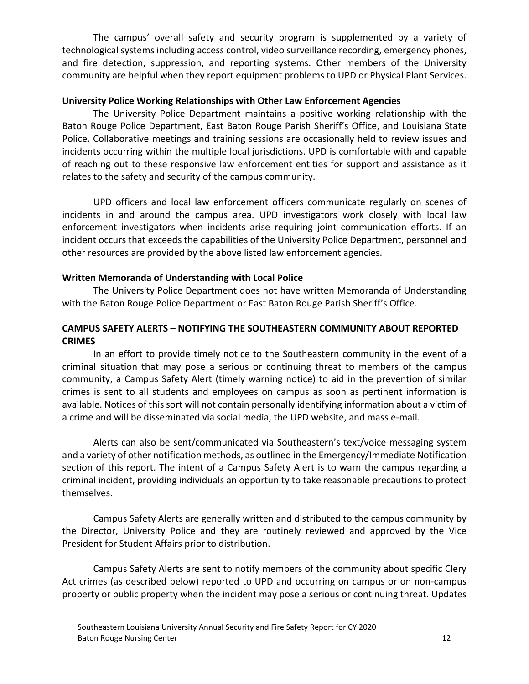The campus' overall safety and security program is supplemented by a variety of technological systems including access control, video surveillance recording, emergency phones, and fire detection, suppression, and reporting systems. Other members of the University community are helpful when they report equipment problems to UPD or Physical Plant Services.

#### **University Police Working Relationships with Other Law Enforcement Agencies**

The University Police Department maintains a positive working relationship with the Baton Rouge Police Department, East Baton Rouge Parish Sheriff's Office, and Louisiana State Police. Collaborative meetings and training sessions are occasionally held to review issues and incidents occurring within the multiple local jurisdictions. UPD is comfortable with and capable of reaching out to these responsive law enforcement entities for support and assistance as it relates to the safety and security of the campus community.

UPD officers and local law enforcement officers communicate regularly on scenes of incidents in and around the campus area. UPD investigators work closely with local law enforcement investigators when incidents arise requiring joint communication efforts. If an incident occurs that exceeds the capabilities of the University Police Department, personnel and other resources are provided by the above listed law enforcement agencies.

## **Written Memoranda of Understanding with Local Police**

The University Police Department does not have written Memoranda of Understanding with the Baton Rouge Police Department or East Baton Rouge Parish Sheriff's Office.

# **CAMPUS SAFETY ALERTS – NOTIFYING THE SOUTHEASTERN COMMUNITY ABOUT REPORTED CRIMES**

In an effort to provide timely notice to the Southeastern community in the event of a criminal situation that may pose a serious or continuing threat to members of the campus community, a Campus Safety Alert (timely warning notice) to aid in the prevention of similar crimes is sent to all students and employees on campus as soon as pertinent information is available. Notices of this sort will not contain personally identifying information about a victim of a crime and will be disseminated via social media, the UPD website, and mass e-mail.

Alerts can also be sent/communicated via Southeastern's text/voice messaging system and a variety of other notification methods, as outlined in the Emergency/Immediate Notification section of this report. The intent of a Campus Safety Alert is to warn the campus regarding a criminal incident, providing individuals an opportunity to take reasonable precautions to protect themselves.

Campus Safety Alerts are generally written and distributed to the campus community by the Director, University Police and they are routinely reviewed and approved by the Vice President for Student Affairs prior to distribution.

Campus Safety Alerts are sent to notify members of the community about specific Clery Act crimes (as described below) reported to UPD and occurring on campus or on non-campus property or public property when the incident may pose a serious or continuing threat. Updates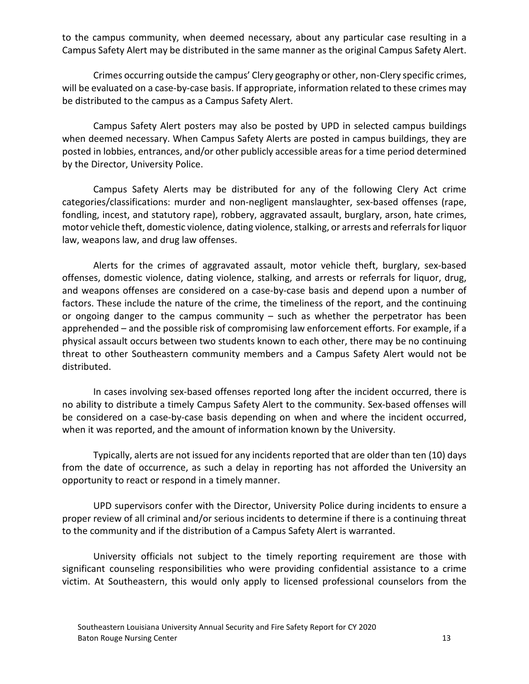to the campus community, when deemed necessary, about any particular case resulting in a Campus Safety Alert may be distributed in the same manner as the original Campus Safety Alert.

Crimes occurring outside the campus' Clery geography or other, non-Clery specific crimes, will be evaluated on a case-by-case basis. If appropriate, information related to these crimes may be distributed to the campus as a Campus Safety Alert.

Campus Safety Alert posters may also be posted by UPD in selected campus buildings when deemed necessary. When Campus Safety Alerts are posted in campus buildings, they are posted in lobbies, entrances, and/or other publicly accessible areas for a time period determined by the Director, University Police.

Campus Safety Alerts may be distributed for any of the following Clery Act crime categories/classifications: murder and non-negligent manslaughter, sex-based offenses (rape, fondling, incest, and statutory rape), robbery, aggravated assault, burglary, arson, hate crimes, motor vehicle theft, domestic violence, dating violence, stalking, or arrests and referrals for liquor law, weapons law, and drug law offenses.

Alerts for the crimes of aggravated assault, motor vehicle theft, burglary, sex-based offenses, domestic violence, dating violence, stalking, and arrests or referrals for liquor, drug, and weapons offenses are considered on a case-by-case basis and depend upon a number of factors. These include the nature of the crime, the timeliness of the report, and the continuing or ongoing danger to the campus community – such as whether the perpetrator has been apprehended – and the possible risk of compromising law enforcement efforts. For example, if a physical assault occurs between two students known to each other, there may be no continuing threat to other Southeastern community members and a Campus Safety Alert would not be distributed.

In cases involving sex-based offenses reported long after the incident occurred, there is no ability to distribute a timely Campus Safety Alert to the community. Sex-based offenses will be considered on a case-by-case basis depending on when and where the incident occurred, when it was reported, and the amount of information known by the University.

Typically, alerts are not issued for any incidents reported that are older than ten (10) days from the date of occurrence, as such a delay in reporting has not afforded the University an opportunity to react or respond in a timely manner.

UPD supervisors confer with the Director, University Police during incidents to ensure a proper review of all criminal and/or serious incidents to determine if there is a continuing threat to the community and if the distribution of a Campus Safety Alert is warranted.

University officials not subject to the timely reporting requirement are those with significant counseling responsibilities who were providing confidential assistance to a crime victim. At Southeastern, this would only apply to licensed professional counselors from the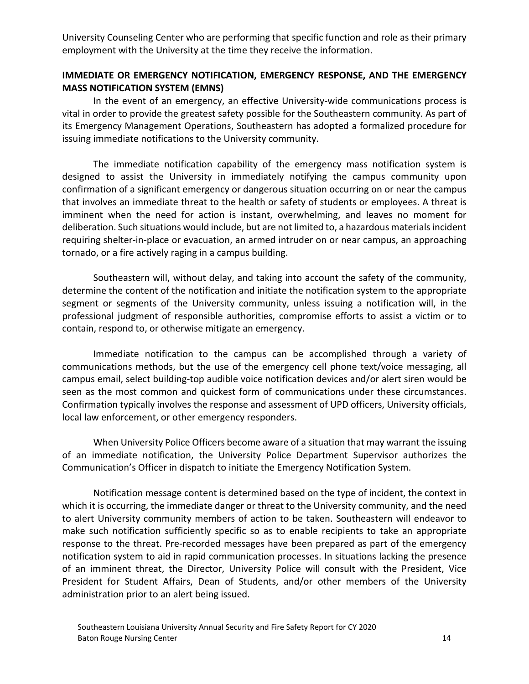University Counseling Center who are performing that specific function and role as their primary employment with the University at the time they receive the information.

## **IMMEDIATE OR EMERGENCY NOTIFICATION, EMERGENCY RESPONSE, AND THE EMERGENCY MASS NOTIFICATION SYSTEM (EMNS)**

In the event of an emergency, an effective University-wide communications process is vital in order to provide the greatest safety possible for the Southeastern community. As part of its Emergency Management Operations, Southeastern has adopted a formalized procedure for issuing immediate notifications to the University community.

The immediate notification capability of the emergency mass notification system is designed to assist the University in immediately notifying the campus community upon confirmation of a significant emergency or dangerous situation occurring on or near the campus that involves an immediate threat to the health or safety of students or employees. A threat is imminent when the need for action is instant, overwhelming, and leaves no moment for deliberation. Such situations would include, but are not limited to, a hazardous materials incident requiring shelter-in-place or evacuation, an armed intruder on or near campus, an approaching tornado, or a fire actively raging in a campus building.

Southeastern will, without delay, and taking into account the safety of the community, determine the content of the notification and initiate the notification system to the appropriate segment or segments of the University community, unless issuing a notification will, in the professional judgment of responsible authorities, compromise efforts to assist a victim or to contain, respond to, or otherwise mitigate an emergency.

Immediate notification to the campus can be accomplished through a variety of communications methods, but the use of the emergency cell phone text/voice messaging, all campus email, select building-top audible voice notification devices and/or alert siren would be seen as the most common and quickest form of communications under these circumstances. Confirmation typically involves the response and assessment of UPD officers, University officials, local law enforcement, or other emergency responders.

When University Police Officers become aware of a situation that may warrant the issuing of an immediate notification, the University Police Department Supervisor authorizes the Communication's Officer in dispatch to initiate the Emergency Notification System.

Notification message content is determined based on the type of incident, the context in which it is occurring, the immediate danger or threat to the University community, and the need to alert University community members of action to be taken. Southeastern will endeavor to make such notification sufficiently specific so as to enable recipients to take an appropriate response to the threat. Pre-recorded messages have been prepared as part of the emergency notification system to aid in rapid communication processes. In situations lacking the presence of an imminent threat, the Director, University Police will consult with the President, Vice President for Student Affairs, Dean of Students, and/or other members of the University administration prior to an alert being issued.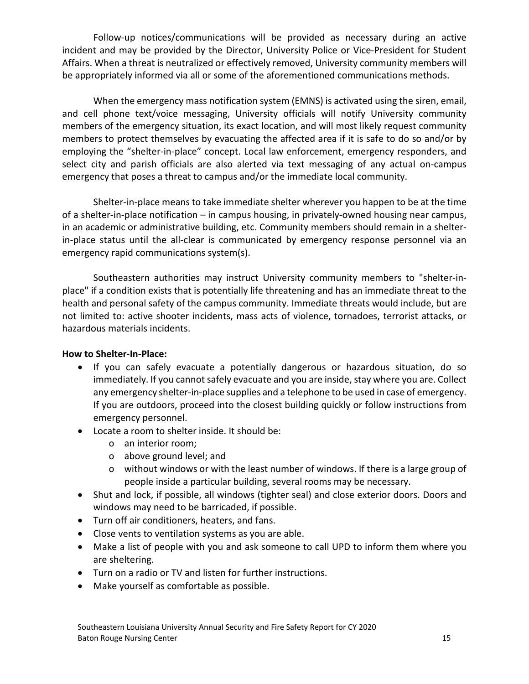Follow-up notices/communications will be provided as necessary during an active incident and may be provided by the Director, University Police or Vice-President for Student Affairs. When a threat is neutralized or effectively removed, University community members will be appropriately informed via all or some of the aforementioned communications methods.

When the emergency mass notification system (EMNS) is activated using the siren, email, and cell phone text/voice messaging, University officials will notify University community members of the emergency situation, its exact location, and will most likely request community members to protect themselves by evacuating the affected area if it is safe to do so and/or by employing the "shelter-in-place" concept. Local law enforcement, emergency responders, and select city and parish officials are also alerted via text messaging of any actual on-campus emergency that poses a threat to campus and/or the immediate local community.

Shelter-in-place means to take immediate shelter wherever you happen to be at the time of a shelter-in-place notification – in campus housing, in privately-owned housing near campus, in an academic or administrative building, etc. Community members should remain in a shelterin-place status until the all-clear is communicated by emergency response personnel via an emergency rapid communications system(s).

Southeastern authorities may instruct University community members to "shelter-inplace" if a condition exists that is potentially life threatening and has an immediate threat to the health and personal safety of the campus community. Immediate threats would include, but are not limited to: active shooter incidents, mass acts of violence, tornadoes, terrorist attacks, or hazardous materials incidents.

## **How to Shelter-In-Place:**

- If you can safely evacuate a potentially dangerous or hazardous situation, do so immediately. If you cannot safely evacuate and you are inside, stay where you are. Collect any emergency shelter-in-place supplies and a telephone to be used in case of emergency. If you are outdoors, proceed into the closest building quickly or follow instructions from emergency personnel.
- Locate a room to shelter inside. It should be:
	- o an interior room;
	- o above ground level; and
	- o without windows or with the least number of windows. If there is a large group of people inside a particular building, several rooms may be necessary.
- Shut and lock, if possible, all windows (tighter seal) and close exterior doors. Doors and windows may need to be barricaded, if possible.
- Turn off air conditioners, heaters, and fans.
- Close vents to ventilation systems as you are able.
- Make a list of people with you and ask someone to call UPD to inform them where you are sheltering.
- Turn on a radio or TV and listen for further instructions.
- Make yourself as comfortable as possible.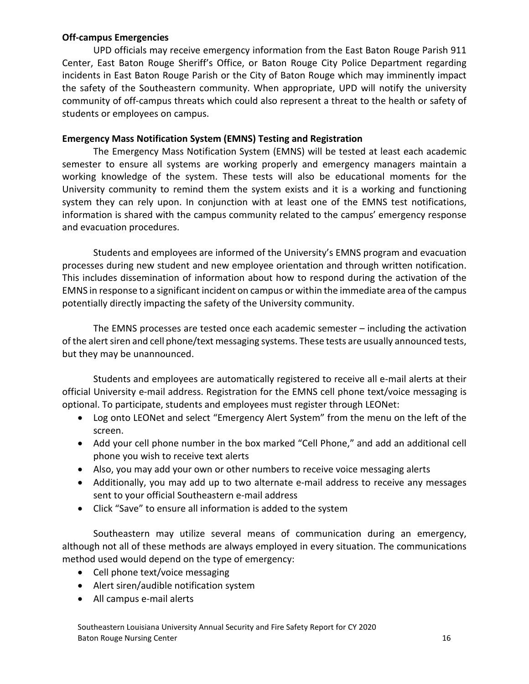#### **Off-campus Emergencies**

UPD officials may receive emergency information from the East Baton Rouge Parish 911 Center, East Baton Rouge Sheriff's Office, or Baton Rouge City Police Department regarding incidents in East Baton Rouge Parish or the City of Baton Rouge which may imminently impact the safety of the Southeastern community. When appropriate, UPD will notify the university community of off-campus threats which could also represent a threat to the health or safety of students or employees on campus.

#### **Emergency Mass Notification System (EMNS) Testing and Registration**

The Emergency Mass Notification System (EMNS) will be tested at least each academic semester to ensure all systems are working properly and emergency managers maintain a working knowledge of the system. These tests will also be educational moments for the University community to remind them the system exists and it is a working and functioning system they can rely upon. In conjunction with at least one of the EMNS test notifications, information is shared with the campus community related to the campus' emergency response and evacuation procedures.

Students and employees are informed of the University's EMNS program and evacuation processes during new student and new employee orientation and through written notification. This includes dissemination of information about how to respond during the activation of the EMNS in response to a significant incident on campus or within the immediate area of the campus potentially directly impacting the safety of the University community.

The EMNS processes are tested once each academic semester – including the activation of the alert siren and cell phone/text messaging systems. These tests are usually announced tests, but they may be unannounced.

Students and employees are automatically registered to receive all e-mail alerts at their official University e-mail address. Registration for the EMNS cell phone text/voice messaging is optional. To participate, students and employees must register through LEONet:

- Log onto LEONet and select "Emergency Alert System" from the menu on the left of the screen.
- Add your cell phone number in the box marked "Cell Phone," and add an additional cell phone you wish to receive text alerts
- Also, you may add your own or other numbers to receive voice messaging alerts
- Additionally, you may add up to two alternate e-mail address to receive any messages sent to your official Southeastern e-mail address
- Click "Save" to ensure all information is added to the system

Southeastern may utilize several means of communication during an emergency, although not all of these methods are always employed in every situation. The communications method used would depend on the type of emergency:

- Cell phone text/voice messaging
- Alert siren/audible notification system
- All campus e-mail alerts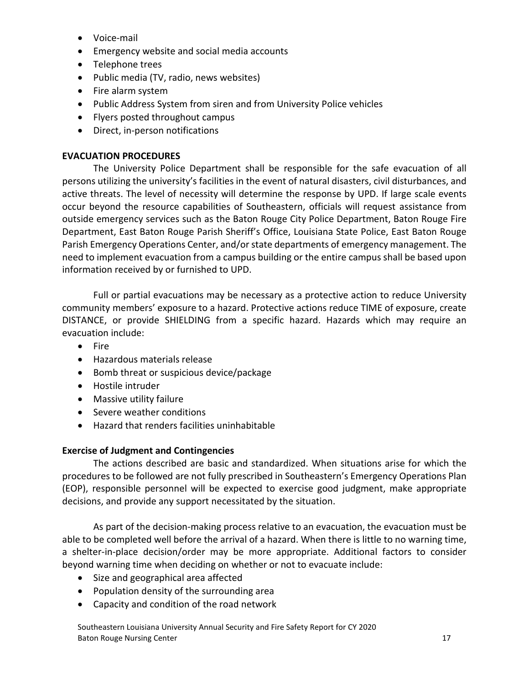- Voice-mail
- Emergency website and social media accounts
- Telephone trees
- Public media (TV, radio, news websites)
- Fire alarm system
- Public Address System from siren and from University Police vehicles
- Flyers posted throughout campus
- Direct, in-person notifications

## **EVACUATION PROCEDURES**

The University Police Department shall be responsible for the safe evacuation of all persons utilizing the university's facilities in the event of natural disasters, civil disturbances, and active threats. The level of necessity will determine the response by UPD. If large scale events occur beyond the resource capabilities of Southeastern, officials will request assistance from outside emergency services such as the Baton Rouge City Police Department, Baton Rouge Fire Department, East Baton Rouge Parish Sheriff's Office, Louisiana State Police, East Baton Rouge Parish Emergency Operations Center, and/or state departments of emergency management. The need to implement evacuation from a campus building or the entire campus shall be based upon information received by or furnished to UPD.

Full or partial evacuations may be necessary as a protective action to reduce University community members' exposure to a hazard. Protective actions reduce TIME of exposure, create DISTANCE, or provide SHIELDING from a specific hazard. Hazards which may require an evacuation include:

- Fire
- Hazardous materials release
- Bomb threat or suspicious device/package
- Hostile intruder
- Massive utility failure
- Severe weather conditions
- Hazard that renders facilities uninhabitable

## **Exercise of Judgment and Contingencies**

The actions described are basic and standardized. When situations arise for which the procedures to be followed are not fully prescribed in Southeastern's Emergency Operations Plan (EOP), responsible personnel will be expected to exercise good judgment, make appropriate decisions, and provide any support necessitated by the situation.

As part of the decision-making process relative to an evacuation, the evacuation must be able to be completed well before the arrival of a hazard. When there is little to no warning time, a shelter-in-place decision/order may be more appropriate. Additional factors to consider beyond warning time when deciding on whether or not to evacuate include:

- Size and geographical area affected
- Population density of the surrounding area
- Capacity and condition of the road network

Southeastern Louisiana University Annual Security and Fire Safety Report for CY 2020 Baton Rouge Nursing Center 17 and 17 and 17 and 17 and 17 and 17 and 17 and 17 and 17 and 17 and 17 and 17 and 17 and 17 and 17 and 17 and 17 and 17 and 17 and 17 and 17 and 17 and 17 and 17 and 17 and 17 and 17 and 17 and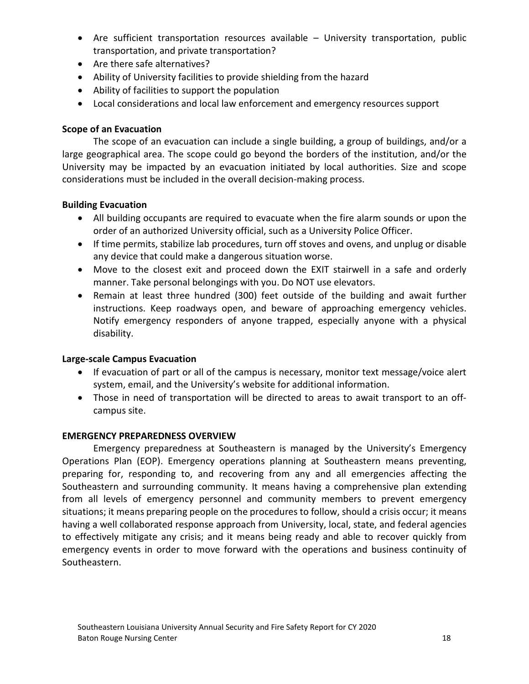- Are sufficient transportation resources available University transportation, public transportation, and private transportation?
- Are there safe alternatives?
- Ability of University facilities to provide shielding from the hazard
- Ability of facilities to support the population
- Local considerations and local law enforcement and emergency resources support

## **Scope of an Evacuation**

The scope of an evacuation can include a single building, a group of buildings, and/or a large geographical area. The scope could go beyond the borders of the institution, and/or the University may be impacted by an evacuation initiated by local authorities. Size and scope considerations must be included in the overall decision-making process.

#### **Building Evacuation**

- All building occupants are required to evacuate when the fire alarm sounds or upon the order of an authorized University official, such as a University Police Officer.
- If time permits, stabilize lab procedures, turn off stoves and ovens, and unplug or disable any device that could make a dangerous situation worse.
- Move to the closest exit and proceed down the EXIT stairwell in a safe and orderly manner. Take personal belongings with you. Do NOT use elevators.
- Remain at least three hundred (300) feet outside of the building and await further instructions. Keep roadways open, and beware of approaching emergency vehicles. Notify emergency responders of anyone trapped, especially anyone with a physical disability.

#### **Large-scale Campus Evacuation**

- If evacuation of part or all of the campus is necessary, monitor text message/voice alert system, email, and the University's website for additional information.
- Those in need of transportation will be directed to areas to await transport to an offcampus site.

#### **EMERGENCY PREPAREDNESS OVERVIEW**

Emergency preparedness at Southeastern is managed by the University's Emergency Operations Plan (EOP). Emergency operations planning at Southeastern means preventing, preparing for, responding to, and recovering from any and all emergencies affecting the Southeastern and surrounding community. It means having a comprehensive plan extending from all levels of emergency personnel and community members to prevent emergency situations; it means preparing people on the procedures to follow, should a crisis occur; it means having a well collaborated response approach from University, local, state, and federal agencies to effectively mitigate any crisis; and it means being ready and able to recover quickly from emergency events in order to move forward with the operations and business continuity of Southeastern.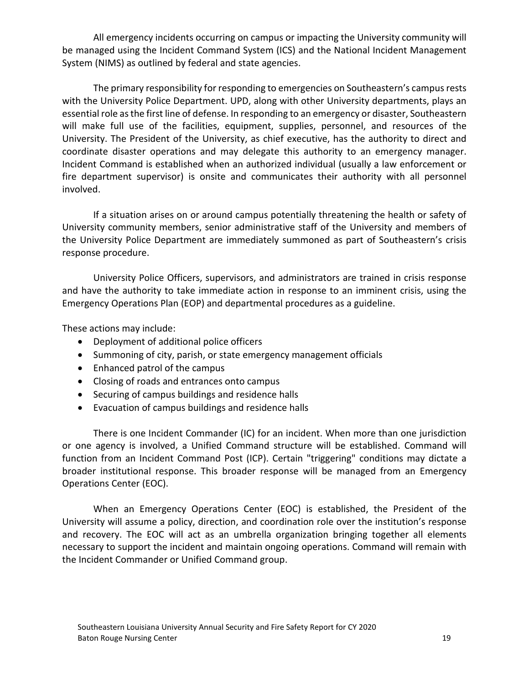All emergency incidents occurring on campus or impacting the University community will be managed using the Incident Command System (ICS) and the National Incident Management System (NIMS) as outlined by federal and state agencies.

The primary responsibility for responding to emergencies on Southeastern's campus rests with the University Police Department. UPD, along with other University departments, plays an essential role as the first line of defense. In responding to an emergency or disaster, Southeastern will make full use of the facilities, equipment, supplies, personnel, and resources of the University. The President of the University, as chief executive, has the authority to direct and coordinate disaster operations and may delegate this authority to an emergency manager. Incident Command is established when an authorized individual (usually a law enforcement or fire department supervisor) is onsite and communicates their authority with all personnel involved.

If a situation arises on or around campus potentially threatening the health or safety of University community members, senior administrative staff of the University and members of the University Police Department are immediately summoned as part of Southeastern's crisis response procedure.

University Police Officers, supervisors, and administrators are trained in crisis response and have the authority to take immediate action in response to an imminent crisis, using the Emergency Operations Plan (EOP) and departmental procedures as a guideline.

These actions may include:

- Deployment of additional police officers
- Summoning of city, parish, or state emergency management officials
- Enhanced patrol of the campus
- Closing of roads and entrances onto campus
- Securing of campus buildings and residence halls
- Evacuation of campus buildings and residence halls

There is one Incident Commander (IC) for an incident. When more than one jurisdiction or one agency is involved, a Unified Command structure will be established. Command will function from an Incident Command Post (ICP). Certain "triggering" conditions may dictate a broader institutional response. This broader response will be managed from an Emergency Operations Center (EOC).

When an Emergency Operations Center (EOC) is established, the President of the University will assume a policy, direction, and coordination role over the institution's response and recovery. The EOC will act as an umbrella organization bringing together all elements necessary to support the incident and maintain ongoing operations. Command will remain with the Incident Commander or Unified Command group.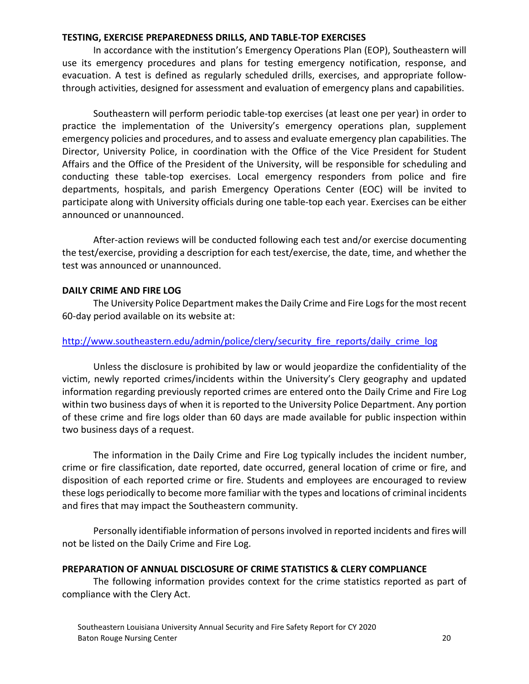#### **TESTING, EXERCISE PREPAREDNESS DRILLS, AND TABLE-TOP EXERCISES**

In accordance with the institution's Emergency Operations Plan (EOP), Southeastern will use its emergency procedures and plans for testing emergency notification, response, and evacuation. A test is defined as regularly scheduled drills, exercises, and appropriate followthrough activities, designed for assessment and evaluation of emergency plans and capabilities.

Southeastern will perform periodic table-top exercises (at least one per year) in order to practice the implementation of the University's emergency operations plan, supplement emergency policies and procedures, and to assess and evaluate emergency plan capabilities. The Director, University Police, in coordination with the Office of the Vice President for Student Affairs and the Office of the President of the University, will be responsible for scheduling and conducting these table-top exercises. Local emergency responders from police and fire departments, hospitals, and parish Emergency Operations Center (EOC) will be invited to participate along with University officials during one table-top each year. Exercises can be either announced or unannounced.

After-action reviews will be conducted following each test and/or exercise documenting the test/exercise, providing a description for each test/exercise, the date, time, and whether the test was announced or unannounced.

#### **DAILY CRIME AND FIRE LOG**

The University Police Department makes the Daily Crime and Fire Logs for the most recent 60-day period available on its website at:

#### http://www.southeastern.edu/admin/police/clery/security fire\_reports/daily\_crime\_log

Unless the disclosure is prohibited by law or would jeopardize the confidentiality of the victim, newly reported crimes/incidents within the University's Clery geography and updated information regarding previously reported crimes are entered onto the Daily Crime and Fire Log within two business days of when it is reported to the University Police Department. Any portion of these crime and fire logs older than 60 days are made available for public inspection within two business days of a request.

The information in the Daily Crime and Fire Log typically includes the incident number, crime or fire classification, date reported, date occurred, general location of crime or fire, and disposition of each reported crime or fire. Students and employees are encouraged to review these logs periodically to become more familiar with the types and locations of criminal incidents and fires that may impact the Southeastern community.

Personally identifiable information of persons involved in reported incidents and fires will not be listed on the Daily Crime and Fire Log.

#### **PREPARATION OF ANNUAL DISCLOSURE OF CRIME STATISTICS & CLERY COMPLIANCE**

The following information provides context for the crime statistics reported as part of compliance with the Clery Act.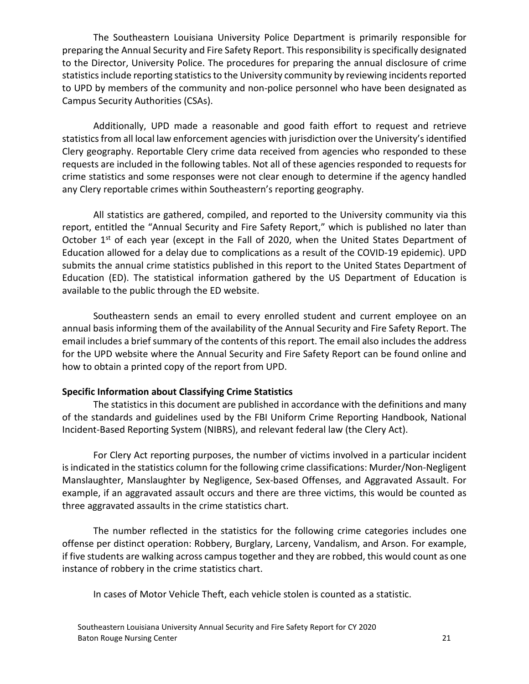The Southeastern Louisiana University Police Department is primarily responsible for preparing the Annual Security and Fire Safety Report. This responsibility is specifically designated to the Director, University Police. The procedures for preparing the annual disclosure of crime statistics include reporting statistics to the University community by reviewing incidents reported to UPD by members of the community and non-police personnel who have been designated as Campus Security Authorities (CSAs).

Additionally, UPD made a reasonable and good faith effort to request and retrieve statistics from all local law enforcement agencies with jurisdiction over the University's identified Clery geography. Reportable Clery crime data received from agencies who responded to these requests are included in the following tables. Not all of these agencies responded to requests for crime statistics and some responses were not clear enough to determine if the agency handled any Clery reportable crimes within Southeastern's reporting geography.

All statistics are gathered, compiled, and reported to the University community via this report, entitled the "Annual Security and Fire Safety Report," which is published no later than October 1<sup>st</sup> of each year (except in the Fall of 2020, when the United States Department of Education allowed for a delay due to complications as a result of the COVID-19 epidemic). UPD submits the annual crime statistics published in this report to the United States Department of Education (ED). The statistical information gathered by the US Department of Education is available to the public through the ED website.

Southeastern sends an email to every enrolled student and current employee on an annual basis informing them of the availability of the Annual Security and Fire Safety Report. The email includes a brief summary of the contents of this report. The email also includes the address for the UPD website where the Annual Security and Fire Safety Report can be found online and how to obtain a printed copy of the report from UPD.

## **Specific Information about Classifying Crime Statistics**

The statistics in this document are published in accordance with the definitions and many of the standards and guidelines used by the FBI Uniform Crime Reporting Handbook, National Incident-Based Reporting System (NIBRS), and relevant federal law (the Clery Act).

For Clery Act reporting purposes, the number of victims involved in a particular incident is indicated in the statistics column for the following crime classifications: Murder/Non-Negligent Manslaughter, Manslaughter by Negligence, Sex-based Offenses, and Aggravated Assault. For example, if an aggravated assault occurs and there are three victims, this would be counted as three aggravated assaults in the crime statistics chart.

The number reflected in the statistics for the following crime categories includes one offense per distinct operation: Robbery, Burglary, Larceny, Vandalism, and Arson. For example, if five students are walking across campus together and they are robbed, this would count as one instance of robbery in the crime statistics chart.

In cases of Motor Vehicle Theft, each vehicle stolen is counted as a statistic.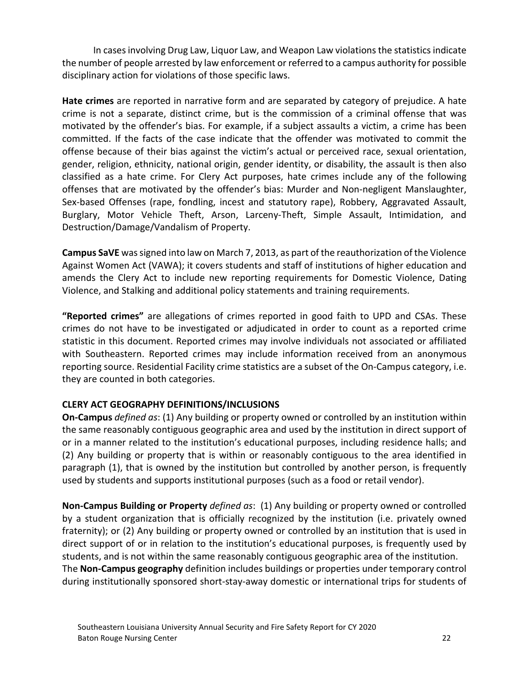In cases involving Drug Law, Liquor Law, and Weapon Law violations the statistics indicate the number of people arrested by law enforcement or referred to a campus authority for possible disciplinary action for violations of those specific laws.

**Hate crimes** are reported in narrative form and are separated by category of prejudice. A hate crime is not a separate, distinct crime, but is the commission of a criminal offense that was motivated by the offender's bias. For example, if a subject assaults a victim, a crime has been committed. If the facts of the case indicate that the offender was motivated to commit the offense because of their bias against the victim's actual or perceived race, sexual orientation, gender, religion, ethnicity, national origin, gender identity, or disability, the assault is then also classified as a hate crime. For Clery Act purposes, hate crimes include any of the following offenses that are motivated by the offender's bias: Murder and Non-negligent Manslaughter, Sex-based Offenses (rape, fondling, incest and statutory rape), Robbery, Aggravated Assault, Burglary, Motor Vehicle Theft, Arson, Larceny-Theft, Simple Assault, Intimidation, and Destruction/Damage/Vandalism of Property.

**Campus SaVE** was signed into law on March 7, 2013, as part of the reauthorization of the Violence Against Women Act (VAWA); it covers students and staff of institutions of higher education and amends the Clery Act to include new reporting requirements for Domestic Violence, Dating Violence, and Stalking and additional policy statements and training requirements.

**"Reported crimes"** are allegations of crimes reported in good faith to UPD and CSAs. These crimes do not have to be investigated or adjudicated in order to count as a reported crime statistic in this document. Reported crimes may involve individuals not associated or affiliated with Southeastern. Reported crimes may include information received from an anonymous reporting source. Residential Facility crime statistics are a subset of the On-Campus category, i.e. they are counted in both categories.

## **CLERY ACT GEOGRAPHY DEFINITIONS/INCLUSIONS**

**On-Campus** *defined as*: (1) Any building or property owned or controlled by an institution within the same reasonably contiguous geographic area and used by the institution in direct support of or in a manner related to the institution's educational purposes, including residence halls; and (2) Any building or property that is within or reasonably contiguous to the area identified in paragraph (1), that is owned by the institution but controlled by another person, is frequently used by students and supports institutional purposes (such as a food or retail vendor).

**Non-Campus Building or Property** *defined as*: (1) Any building or property owned or controlled by a student organization that is officially recognized by the institution (i.e. privately owned fraternity); or (2) Any building or property owned or controlled by an institution that is used in direct support of or in relation to the institution's educational purposes, is frequently used by students, and is not within the same reasonably contiguous geographic area of the institution. The **Non-Campus geography** definition includes buildings or properties under temporary control during institutionally sponsored short-stay-away domestic or international trips for students of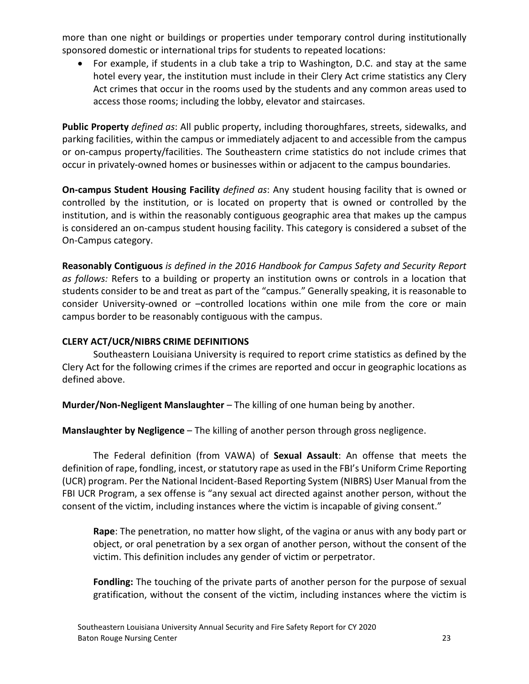more than one night or buildings or properties under temporary control during institutionally sponsored domestic or international trips for students to repeated locations:

• For example, if students in a club take a trip to Washington, D.C. and stay at the same hotel every year, the institution must include in their Clery Act crime statistics any Clery Act crimes that occur in the rooms used by the students and any common areas used to access those rooms; including the lobby, elevator and staircases.

**Public Property** *defined as*: All public property, including thoroughfares, streets, sidewalks, and parking facilities, within the campus or immediately adjacent to and accessible from the campus or on-campus property/facilities. The Southeastern crime statistics do not include crimes that occur in privately-owned homes or businesses within or adjacent to the campus boundaries.

**On-campus Student Housing Facility** *defined as*: Any student housing facility that is owned or controlled by the institution, or is located on property that is owned or controlled by the institution, and is within the reasonably contiguous geographic area that makes up the campus is considered an on-campus student housing facility. This category is considered a subset of the On-Campus category.

**Reasonably Contiguous** *is defined in the 2016 Handbook for Campus Safety and Security Report as follows:* Refers to a building or property an institution owns or controls in a location that students consider to be and treat as part of the "campus." Generally speaking, it is reasonable to consider University-owned or –controlled locations within one mile from the core or main campus border to be reasonably contiguous with the campus.

## **CLERY ACT/UCR/NIBRS CRIME DEFINITIONS**

Southeastern Louisiana University is required to report crime statistics as defined by the Clery Act for the following crimes if the crimes are reported and occur in geographic locations as defined above.

**Murder/Non-Negligent Manslaughter** – The killing of one human being by another.

**Manslaughter by Negligence** – The killing of another person through gross negligence.

The Federal definition (from VAWA) of **Sexual Assault**: An offense that meets the definition of rape, fondling, incest, or statutory rape as used in the FBI's Uniform Crime Reporting (UCR) program. Per the National Incident-Based Reporting System (NIBRS) User Manual from the FBI UCR Program, a sex offense is "any sexual act directed against another person, without the consent of the victim, including instances where the victim is incapable of giving consent."

**Rape**: The penetration, no matter how slight, of the vagina or anus with any body part or object, or oral penetration by a sex organ of another person, without the consent of the victim. This definition includes any gender of victim or perpetrator.

**Fondling:** The touching of the private parts of another person for the purpose of sexual gratification, without the consent of the victim, including instances where the victim is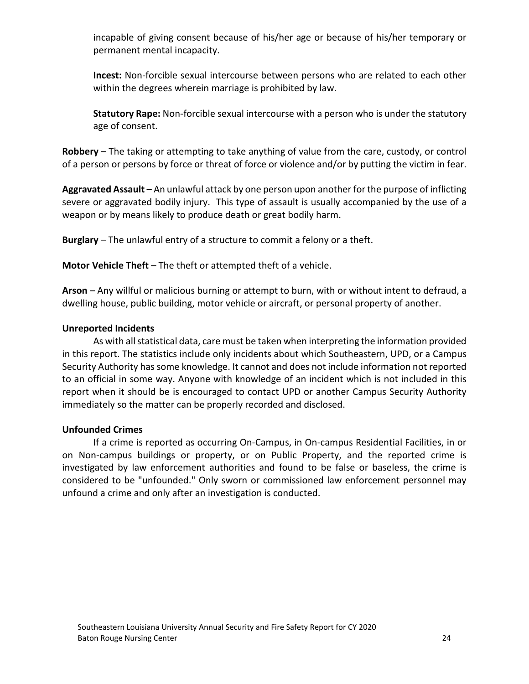incapable of giving consent because of his/her age or because of his/her temporary or permanent mental incapacity.

**Incest:** Non-forcible sexual intercourse between persons who are related to each other within the degrees wherein marriage is prohibited by law.

**Statutory Rape:** Non-forcible sexual intercourse with a person who is under the statutory age of consent.

**Robbery** – The taking or attempting to take anything of value from the care, custody, or control of a person or persons by force or threat of force or violence and/or by putting the victim in fear.

**Aggravated Assault** – An unlawful attack by one person upon another for the purpose of inflicting severe or aggravated bodily injury. This type of assault is usually accompanied by the use of a weapon or by means likely to produce death or great bodily harm.

**Burglary** – The unlawful entry of a structure to commit a felony or a theft.

**Motor Vehicle Theft** – The theft or attempted theft of a vehicle.

**Arson** – Any willful or malicious burning or attempt to burn, with or without intent to defraud, a dwelling house, public building, motor vehicle or aircraft, or personal property of another.

#### **Unreported Incidents**

As with all statistical data, care must be taken when interpreting the information provided in this report. The statistics include only incidents about which Southeastern, UPD, or a Campus Security Authority has some knowledge. It cannot and does not include information not reported to an official in some way. Anyone with knowledge of an incident which is not included in this report when it should be is encouraged to contact UPD or another Campus Security Authority immediately so the matter can be properly recorded and disclosed.

#### **Unfounded Crimes**

If a crime is reported as occurring On-Campus, in On-campus Residential Facilities, in or on Non-campus buildings or property, or on Public Property, and the reported crime is investigated by law enforcement authorities and found to be false or baseless, the crime is considered to be "unfounded." Only sworn or commissioned law enforcement personnel may unfound a crime and only after an investigation is conducted.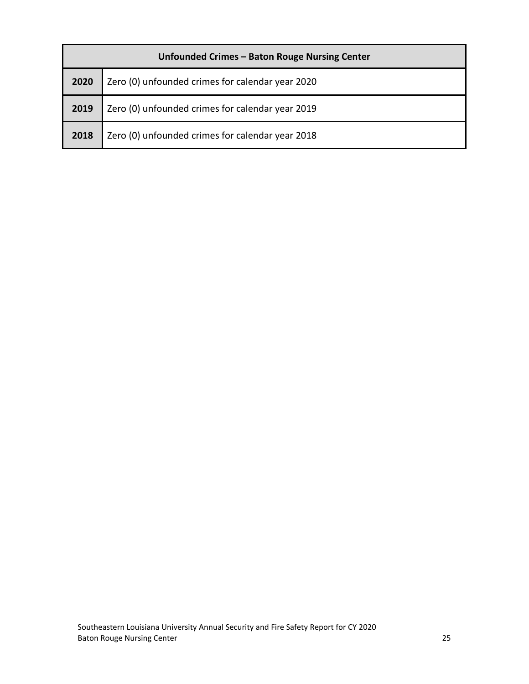| Unfounded Crimes - Baton Rouge Nursing Center |                                                  |  |  |  |  |
|-----------------------------------------------|--------------------------------------------------|--|--|--|--|
| 2020                                          | Zero (0) unfounded crimes for calendar year 2020 |  |  |  |  |
| 2019                                          | Zero (0) unfounded crimes for calendar year 2019 |  |  |  |  |
| 2018                                          | Zero (0) unfounded crimes for calendar year 2018 |  |  |  |  |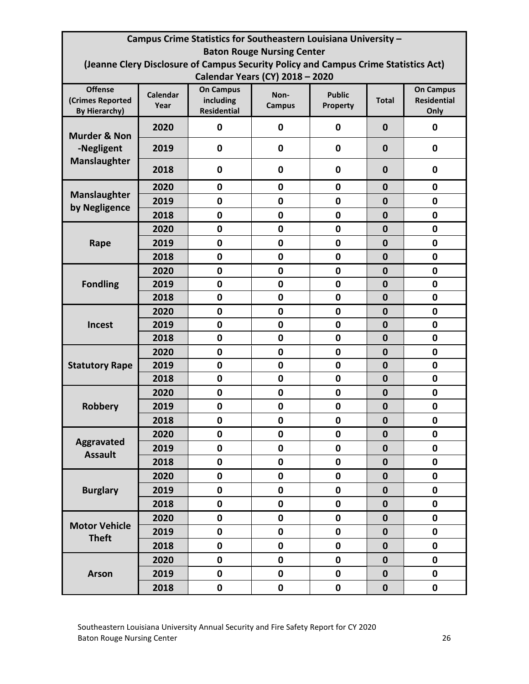| Campus Crime Statistics for Southeastern Louisiana University - |                  |                                                                                     |                                        |                           |              |                                                |
|-----------------------------------------------------------------|------------------|-------------------------------------------------------------------------------------|----------------------------------------|---------------------------|--------------|------------------------------------------------|
|                                                                 |                  | (Jeanne Clery Disclosure of Campus Security Policy and Campus Crime Statistics Act) | <b>Baton Rouge Nursing Center</b>      |                           |              |                                                |
|                                                                 |                  |                                                                                     | <b>Calendar Years (CY) 2018 - 2020</b> |                           |              |                                                |
| <b>Offense</b><br>(Crimes Reported<br><b>By Hierarchy)</b>      | Calendar<br>Year | <b>On Campus</b><br>including<br><b>Residential</b>                                 | Non-<br><b>Campus</b>                  | <b>Public</b><br>Property | <b>Total</b> | <b>On Campus</b><br><b>Residential</b><br>Only |
| <b>Murder &amp; Non</b>                                         | 2020             | $\mathbf 0$                                                                         | $\mathbf 0$                            | 0                         | $\mathbf 0$  | 0                                              |
| -Negligent                                                      | 2019             | $\bf{0}$                                                                            | $\mathbf 0$                            | 0                         | 0            | 0                                              |
| <b>Manslaughter</b>                                             | 2018             | 0                                                                                   | $\mathbf 0$                            | 0                         | 0            | 0                                              |
|                                                                 | 2020             | $\bf{0}$                                                                            | $\bf{0}$                               | 0                         | $\mathbf 0$  | $\mathbf 0$                                    |
| Manslaughter<br>by Negligence                                   | 2019             | $\mathbf 0$                                                                         | $\bf{0}$                               | $\mathbf 0$               | $\mathbf{0}$ | $\mathbf 0$                                    |
|                                                                 | 2018             | $\bf{0}$                                                                            | $\bf{0}$                               | $\mathbf 0$               | $\mathbf 0$  | $\mathbf 0$                                    |
|                                                                 | 2020             | $\mathbf 0$                                                                         | $\mathbf 0$                            | $\mathbf 0$               | $\mathbf 0$  | $\mathbf 0$                                    |
| Rape                                                            | 2019             | $\mathbf 0$                                                                         | $\mathbf 0$                            | $\mathbf 0$               | $\mathbf{0}$ | $\mathbf 0$                                    |
|                                                                 | 2018             | $\bf{0}$                                                                            | $\mathbf 0$                            | $\mathbf 0$               | $\mathbf 0$  | $\mathbf 0$                                    |
|                                                                 | 2020             | $\mathbf 0$                                                                         | $\bf{0}$                               | $\mathbf 0$               | $\bf{0}$     | $\mathbf 0$                                    |
| <b>Fondling</b>                                                 | 2019             | 0                                                                                   | $\mathbf 0$                            | $\mathbf 0$               | $\bf{0}$     | $\mathbf 0$                                    |
|                                                                 | 2018             | $\mathbf 0$                                                                         | $\mathbf 0$                            | $\mathbf 0$               | $\mathbf 0$  | $\mathbf 0$                                    |
| Incest                                                          | 2020             | $\mathbf 0$                                                                         | $\mathbf 0$                            | $\mathbf 0$               | $\bf{0}$     | $\mathbf 0$                                    |
|                                                                 | 2019             | $\mathbf 0$                                                                         | $\mathbf 0$                            | $\mathbf 0$               | $\mathbf 0$  | $\mathbf 0$                                    |
|                                                                 | 2018             | $\mathbf 0$                                                                         | $\mathbf 0$                            | $\mathbf 0$               | $\bf{0}$     | $\mathbf 0$                                    |
|                                                                 | 2020             | $\mathbf 0$                                                                         | $\mathbf 0$                            | $\mathbf 0$               | $\mathbf 0$  | $\mathbf 0$                                    |
| <b>Statutory Rape</b>                                           | 2019             | $\mathbf 0$                                                                         | $\mathbf 0$                            | $\mathbf 0$               | $\bf{0}$     | $\mathbf 0$                                    |
|                                                                 | 2018             | $\mathbf 0$                                                                         | $\mathbf 0$                            | $\mathbf 0$               | $\mathbf 0$  | $\mathbf 0$                                    |
|                                                                 | 2020             | $\mathbf 0$                                                                         | $\bf{0}$                               | $\mathbf 0$               | $\mathbf 0$  | $\mathbf 0$                                    |
| <b>Robbery</b>                                                  | 2019             | 0                                                                                   | $\bf{0}$                               | 0                         | 0            | $\mathbf 0$                                    |
|                                                                 | 2018             | 0                                                                                   | $\pmb{0}$                              | $\mathbf 0$               | $\mathbf 0$  | 0                                              |
| <b>Aggravated</b>                                               | 2020             | $\mathbf 0$                                                                         | $\bf{0}$                               | $\mathbf 0$               | $\mathbf{0}$ | $\mathbf 0$                                    |
| <b>Assault</b>                                                  | 2019             | $\mathbf 0$                                                                         | $\mathbf 0$                            | $\mathbf 0$               | $\mathbf 0$  | $\mathbf 0$                                    |
|                                                                 | 2018             | $\mathbf 0$                                                                         | $\mathbf 0$                            | $\mathbf 0$               | $\mathbf 0$  | $\mathbf 0$                                    |
|                                                                 | 2020             | $\mathbf 0$                                                                         | $\mathbf 0$                            | $\mathbf 0$               | $\mathbf 0$  | $\mathbf 0$                                    |
| <b>Burglary</b>                                                 | 2019             | 0                                                                                   | $\mathbf 0$                            | $\mathbf 0$               | $\mathbf 0$  | $\mathbf 0$                                    |
|                                                                 | 2018             | $\mathbf 0$                                                                         | $\pmb{0}$                              | $\mathbf 0$               | $\mathbf 0$  | $\mathbf 0$                                    |
|                                                                 | 2020             | $\mathbf 0$                                                                         | $\mathbf 0$                            | $\mathbf 0$               | $\mathbf 0$  | $\mathbf{0}$                                   |
| <b>Motor Vehicle</b><br><b>Theft</b>                            | 2019             | $\mathbf 0$                                                                         | $\mathbf 0$                            | $\mathbf 0$               | $\mathbf 0$  | $\mathbf 0$                                    |
|                                                                 | 2018             | $\mathbf 0$                                                                         | $\mathbf 0$                            | $\mathbf 0$               | $\mathbf 0$  | $\mathbf 0$                                    |
|                                                                 | 2020             | $\mathbf 0$                                                                         | $\mathbf 0$                            | $\mathbf 0$               | $\mathbf 0$  | $\mathbf{0}$                                   |
| <b>Arson</b>                                                    | 2019             | $\mathbf 0$                                                                         | $\mathbf 0$                            | $\mathbf 0$               | $\mathbf 0$  | $\mathbf 0$                                    |
|                                                                 | 2018             | $\pmb{0}$                                                                           | $\mathbf 0$                            | $\pmb{0}$                 | $\mathbf 0$  | $\mathbf 0$                                    |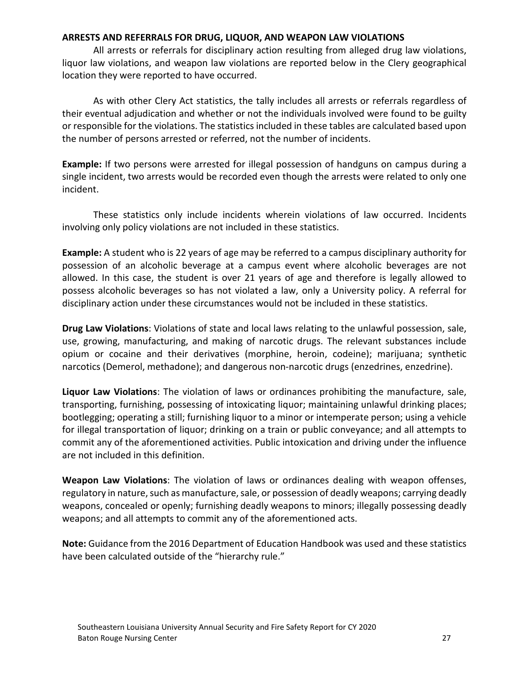#### **ARRESTS AND REFERRALS FOR DRUG, LIQUOR, AND WEAPON LAW VIOLATIONS**

All arrests or referrals for disciplinary action resulting from alleged drug law violations, liquor law violations, and weapon law violations are reported below in the Clery geographical location they were reported to have occurred.

As with other Clery Act statistics, the tally includes all arrests or referrals regardless of their eventual adjudication and whether or not the individuals involved were found to be guilty or responsible for the violations. The statistics included in these tables are calculated based upon the number of persons arrested or referred, not the number of incidents.

**Example:** If two persons were arrested for illegal possession of handguns on campus during a single incident, two arrests would be recorded even though the arrests were related to only one incident.

These statistics only include incidents wherein violations of law occurred. Incidents involving only policy violations are not included in these statistics.

**Example:** A student who is 22 years of age may be referred to a campus disciplinary authority for possession of an alcoholic beverage at a campus event where alcoholic beverages are not allowed. In this case, the student is over 21 years of age and therefore is legally allowed to possess alcoholic beverages so has not violated a law, only a University policy. A referral for disciplinary action under these circumstances would not be included in these statistics.

**Drug Law Violations**: Violations of state and local laws relating to the unlawful possession, sale, use, growing, manufacturing, and making of narcotic drugs. The relevant substances include opium or cocaine and their derivatives (morphine, heroin, codeine); marijuana; synthetic narcotics (Demerol, methadone); and dangerous non-narcotic drugs (enzedrines, enzedrine).

**Liquor Law Violations**: The violation of laws or ordinances prohibiting the manufacture, sale, transporting, furnishing, possessing of intoxicating liquor; maintaining unlawful drinking places; bootlegging; operating a still; furnishing liquor to a minor or intemperate person; using a vehicle for illegal transportation of liquor; drinking on a train or public conveyance; and all attempts to commit any of the aforementioned activities. Public intoxication and driving under the influence are not included in this definition.

**Weapon Law Violations**: The violation of laws or ordinances dealing with weapon offenses, regulatory in nature, such as manufacture, sale, or possession of deadly weapons; carrying deadly weapons, concealed or openly; furnishing deadly weapons to minors; illegally possessing deadly weapons; and all attempts to commit any of the aforementioned acts.

**Note:** Guidance from the 2016 Department of Education Handbook was used and these statistics have been calculated outside of the "hierarchy rule."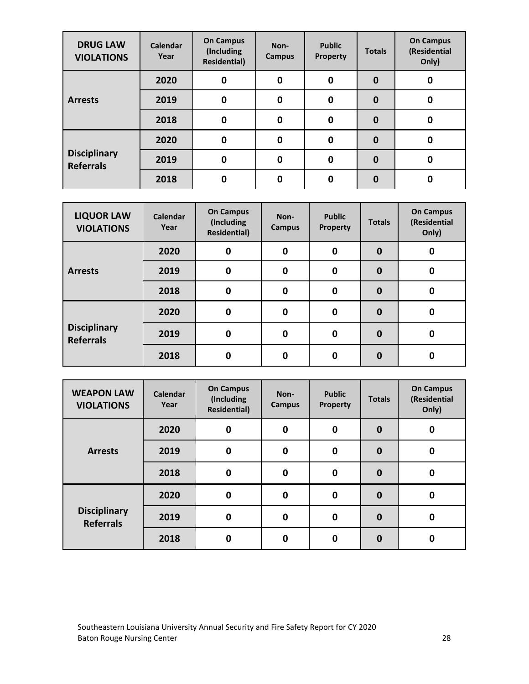| <b>DRUG LAW</b><br><b>VIOLATIONS</b>    | <b>Calendar</b><br>Year | <b>On Campus</b><br>(Including<br><b>Residential)</b> | Non-<br>Campus | <b>Public</b><br>Property | <b>Totals</b> | <b>On Campus</b><br>(Residential<br>Only) |
|-----------------------------------------|-------------------------|-------------------------------------------------------|----------------|---------------------------|---------------|-------------------------------------------|
|                                         | 2020                    | 0                                                     | 0              | 0                         | $\bf{0}$      | 0                                         |
| <b>Arrests</b>                          | 2019                    | 0                                                     | 0              | $\mathbf 0$               | $\bf{0}$      | 0                                         |
|                                         | 2018                    | 0                                                     | $\mathbf 0$    | 0                         | $\bf{0}$      | 0                                         |
|                                         | 2020                    | 0                                                     | 0              | 0                         | $\bf{0}$      | 0                                         |
| <b>Disciplinary</b><br><b>Referrals</b> | 2019                    | $\mathbf 0$                                           | 0              | 0                         | $\bf{0}$      | 0                                         |
|                                         | 2018                    | 0                                                     | 0              | 0                         | 0             | 0                                         |

| <b>LIQUOR LAW</b><br><b>VIOLATIONS</b>  | Calendar<br>Year | <b>On Campus</b><br>(Including<br><b>Residential)</b> | Non-<br><b>Campus</b> | <b>Public</b><br><b>Property</b> | <b>Totals</b> | <b>On Campus</b><br>(Residential<br>Only) |
|-----------------------------------------|------------------|-------------------------------------------------------|-----------------------|----------------------------------|---------------|-------------------------------------------|
|                                         | 2020             | $\mathbf 0$                                           | $\mathbf 0$           | $\mathbf 0$                      | $\bf{0}$      | 0                                         |
| <b>Arrests</b>                          | 2019             | $\mathbf 0$                                           | $\mathbf 0$           | $\mathbf 0$                      | $\mathbf 0$   | 0                                         |
|                                         | 2018             | $\mathbf 0$                                           | 0                     | $\boldsymbol{0}$                 | $\bf{0}$      | 0                                         |
|                                         | 2020             | $\mathbf 0$                                           | 0                     | $\boldsymbol{0}$                 | $\mathbf 0$   | 0                                         |
| <b>Disciplinary</b><br><b>Referrals</b> | 2019             | $\mathbf 0$                                           | $\mathbf 0$           | $\bf{0}$                         | $\mathbf 0$   | 0                                         |
|                                         | 2018             | 0                                                     | 0                     | 0                                | $\mathbf{0}$  | 0                                         |

| <b>WEAPON LAW</b><br><b>VIOLATIONS</b>  | Calendar<br>Year | <b>On Campus</b><br>(Including<br><b>Residential)</b> | Non-<br>Campus | <b>Public</b><br><b>Property</b> | <b>Totals</b> | <b>On Campus</b><br>(Residential<br>Only) |
|-----------------------------------------|------------------|-------------------------------------------------------|----------------|----------------------------------|---------------|-------------------------------------------|
|                                         | 2020             | $\mathbf 0$                                           | $\mathbf 0$    | $\mathbf 0$                      | $\bf{0}$      | $\bf{0}$                                  |
| <b>Arrests</b>                          | 2019             | 0                                                     | 0              | 0                                | $\bf{0}$      | 0                                         |
|                                         | 2018             | $\mathbf 0$                                           | 0              | $\mathbf 0$                      | $\mathbf 0$   | 0                                         |
|                                         | 2020             | $\mathbf 0$                                           | 0              | $\mathbf 0$                      | $\mathbf 0$   | 0                                         |
| <b>Disciplinary</b><br><b>Referrals</b> | 2019             | $\mathbf 0$                                           | 0              | $\bf{0}$                         | $\bf{0}$      | 0                                         |
|                                         | 2018             | 0                                                     | ŋ              | 0                                | $\bf{0}$      | 0                                         |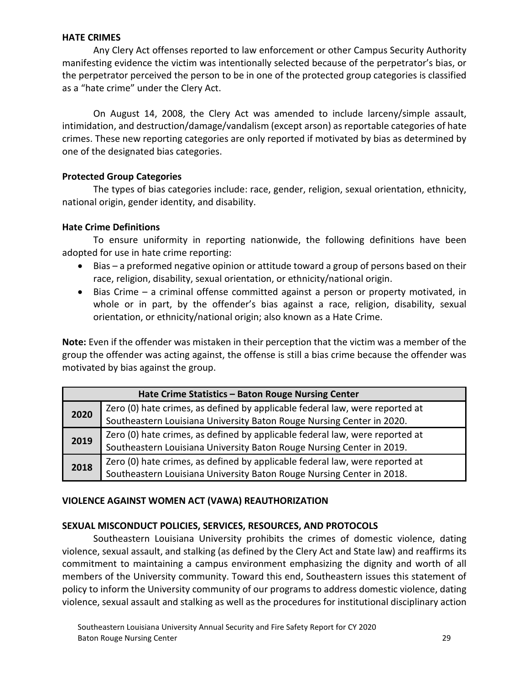#### **HATE CRIMES**

Any Clery Act offenses reported to law enforcement or other Campus Security Authority manifesting evidence the victim was intentionally selected because of the perpetrator's bias, or the perpetrator perceived the person to be in one of the protected group categories is classified as a "hate crime" under the Clery Act.

On August 14, 2008, the Clery Act was amended to include larceny/simple assault, intimidation, and destruction/damage/vandalism (except arson) as reportable categories of hate crimes. These new reporting categories are only reported if motivated by bias as determined by one of the designated bias categories.

## **Protected Group Categories**

The types of bias categories include: race, gender, religion, sexual orientation, ethnicity, national origin, gender identity, and disability.

#### **Hate Crime Definitions**

To ensure uniformity in reporting nationwide, the following definitions have been adopted for use in hate crime reporting:

- Bias a preformed negative opinion or attitude toward a group of persons based on their race, religion, disability, sexual orientation, or ethnicity/national origin.
- Bias Crime a criminal offense committed against a person or property motivated, in whole or in part, by the offender's bias against a race, religion, disability, sexual orientation, or ethnicity/national origin; also known as a Hate Crime.

**Note:** Even if the offender was mistaken in their perception that the victim was a member of the group the offender was acting against, the offense is still a bias crime because the offender was motivated by bias against the group.

|      | Hate Crime Statistics - Baton Rouge Nursing Center                           |
|------|------------------------------------------------------------------------------|
| 2020 | Zero (0) hate crimes, as defined by applicable federal law, were reported at |
|      | Southeastern Louisiana University Baton Rouge Nursing Center in 2020.        |
| 2019 | Zero (0) hate crimes, as defined by applicable federal law, were reported at |
|      | Southeastern Louisiana University Baton Rouge Nursing Center in 2019.        |
| 2018 | Zero (0) hate crimes, as defined by applicable federal law, were reported at |
|      | Southeastern Louisiana University Baton Rouge Nursing Center in 2018.        |

## **VIOLENCE AGAINST WOMEN ACT (VAWA) REAUTHORIZATION**

## **SEXUAL MISCONDUCT POLICIES, SERVICES, RESOURCES, AND PROTOCOLS**

Southeastern Louisiana University prohibits the crimes of domestic violence, dating violence, sexual assault, and stalking (as defined by the Clery Act and State law) and reaffirms its commitment to maintaining a campus environment emphasizing the dignity and worth of all members of the University community. Toward this end, Southeastern issues this statement of policy to inform the University community of our programs to address domestic violence, dating violence, sexual assault and stalking as well as the procedures for institutional disciplinary action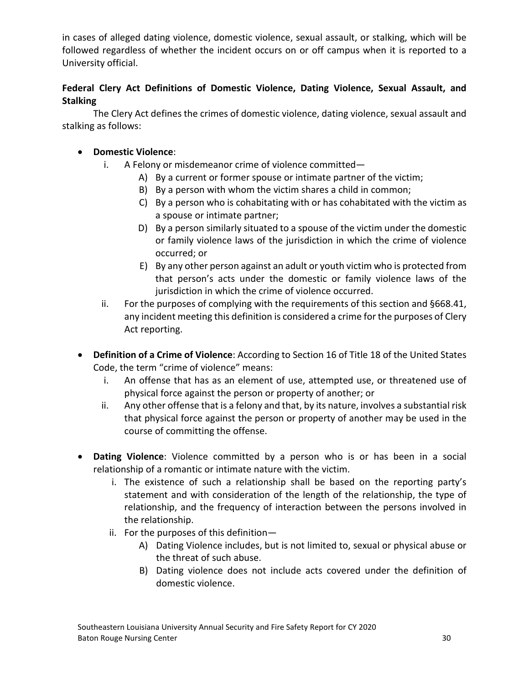in cases of alleged dating violence, domestic violence, sexual assault, or stalking, which will be followed regardless of whether the incident occurs on or off campus when it is reported to a University official.

# **Federal Clery Act Definitions of Domestic Violence, Dating Violence, Sexual Assault, and Stalking**

The Clery Act defines the crimes of domestic violence, dating violence, sexual assault and stalking as follows:

# • **Domestic Violence**:

- i. A Felony or misdemeanor crime of violence committed—
	- A) By a current or former spouse or intimate partner of the victim;
	- B) By a person with whom the victim shares a child in common;
	- C) By a person who is cohabitating with or has cohabitated with the victim as a spouse or intimate partner;
	- D) By a person similarly situated to a spouse of the victim under the domestic or family violence laws of the jurisdiction in which the crime of violence occurred; or
	- E) By any other person against an adult or youth victim who is protected from that person's acts under the domestic or family violence laws of the jurisdiction in which the crime of violence occurred.
- ii. For the purposes of complying with the requirements of this section and §668.41, any incident meeting this definition is considered a crime for the purposes of Clery Act reporting.
- **Definition of a Crime of Violence**: According to Section 16 of Title 18 of the United States Code, the term "crime of violence" means:
	- i. An offense that has as an element of use, attempted use, or threatened use of physical force against the person or property of another; or
	- ii. Any other offense that is a felony and that, by its nature, involves a substantial risk that physical force against the person or property of another may be used in the course of committing the offense.
- **Dating Violence**: Violence committed by a person who is or has been in a social relationship of a romantic or intimate nature with the victim.
	- i. The existence of such a relationship shall be based on the reporting party's statement and with consideration of the length of the relationship, the type of relationship, and the frequency of interaction between the persons involved in the relationship.
	- ii. For the purposes of this definition—
		- A) Dating Violence includes, but is not limited to, sexual or physical abuse or the threat of such abuse.
		- B) Dating violence does not include acts covered under the definition of domestic violence.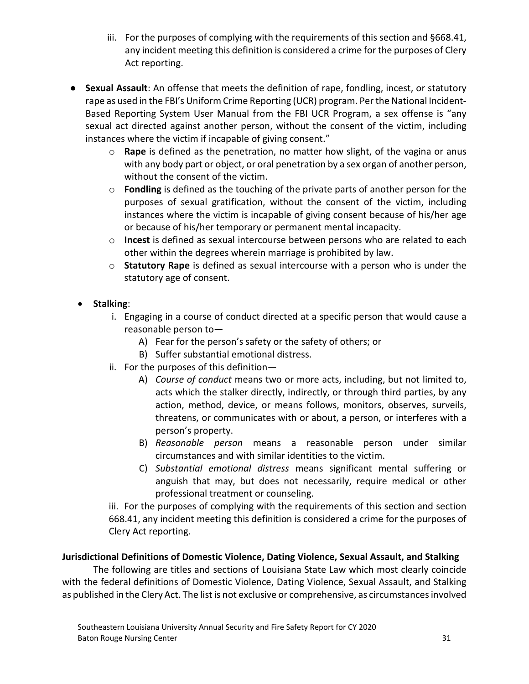- iii. For the purposes of complying with the requirements of this section and §668.41, any incident meeting this definition is considered a crime for the purposes of Clery Act reporting.
- **Sexual Assault**: An offense that meets the definition of rape, fondling, incest, or statutory rape as used in the FBI's Uniform Crime Reporting (UCR) program. Per the National Incident-Based Reporting System User Manual from the FBI UCR Program, a sex offense is "any sexual act directed against another person, without the consent of the victim, including instances where the victim if incapable of giving consent."
	- o **Rape** is defined as the penetration, no matter how slight, of the vagina or anus with any body part or object, or oral penetration by a sex organ of another person, without the consent of the victim.
	- o **Fondling** is defined as the touching of the private parts of another person for the purposes of sexual gratification, without the consent of the victim, including instances where the victim is incapable of giving consent because of his/her age or because of his/her temporary or permanent mental incapacity.
	- o **Incest** is defined as sexual intercourse between persons who are related to each other within the degrees wherein marriage is prohibited by law.
	- o **Statutory Rape** is defined as sexual intercourse with a person who is under the statutory age of consent.
	- **Stalking**:
		- i. Engaging in a course of conduct directed at a specific person that would cause a reasonable person to—
			- A) Fear for the person's safety or the safety of others; or
			- B) Suffer substantial emotional distress.
		- ii. For the purposes of this definition—
			- A) *Course of conduct* means two or more acts, including, but not limited to, acts which the stalker directly, indirectly, or through third parties, by any action, method, device, or means follows, monitors, observes, surveils, threatens, or communicates with or about, a person, or interferes with a person's property.
			- B) *Reasonable person* means a reasonable person under similar circumstances and with similar identities to the victim.
			- C) *Substantial emotional distress* means significant mental suffering or anguish that may, but does not necessarily, require medical or other professional treatment or counseling.

iii. For the purposes of complying with the requirements of this section and section 668.41, any incident meeting this definition is considered a crime for the purposes of Clery Act reporting.

## **Jurisdictional Definitions of Domestic Violence, Dating Violence, Sexual Assault, and Stalking**

The following are titles and sections of Louisiana State Law which most clearly coincide with the federal definitions of Domestic Violence, Dating Violence, Sexual Assault, and Stalking as published in the Clery Act. The list is not exclusive or comprehensive, as circumstances involved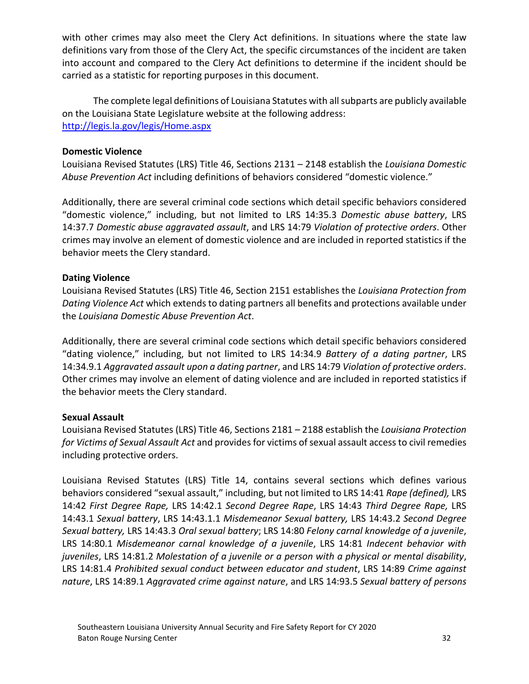with other crimes may also meet the Clery Act definitions. In situations where the state law definitions vary from those of the Clery Act, the specific circumstances of the incident are taken into account and compared to the Clery Act definitions to determine if the incident should be carried as a statistic for reporting purposes in this document.

The complete legal definitions of Louisiana Statutes with all subparts are publicly available on the Louisiana State Legislature website at the following address: <http://legis.la.gov/legis/Home.aspx>

## **Domestic Violence**

Louisiana Revised Statutes (LRS) Title 46, Sections 2131 – 2148 establish the *Louisiana Domestic Abuse Prevention Act* including definitions of behaviors considered "domestic violence."

Additionally, there are several criminal code sections which detail specific behaviors considered "domestic violence," including, but not limited to LRS 14:35.3 *Domestic abuse battery*, LRS 14:37.7 *Domestic abuse aggravated assault*, and LRS 14:79 *Violation of protective orders*. Other crimes may involve an element of domestic violence and are included in reported statistics if the behavior meets the Clery standard.

## **Dating Violence**

Louisiana Revised Statutes (LRS) Title 46, Section 2151 establishes the *Louisiana Protection from Dating Violence Act* which extends to dating partners all benefits and protections available under the *Louisiana Domestic Abuse Prevention Act*.

Additionally, there are several criminal code sections which detail specific behaviors considered "dating violence," including, but not limited to LRS 14:34.9 *Battery of a dating partner*, LRS 14:34.9.1 *Aggravated assault upon a dating partner*, and LRS 14:79 *Violation of protective orders*. Other crimes may involve an element of dating violence and are included in reported statistics if the behavior meets the Clery standard.

#### **Sexual Assault**

Louisiana Revised Statutes (LRS) Title 46, Sections 2181 – 2188 establish the *Louisiana Protection for Victims of Sexual Assault Act* and provides for victims of sexual assault access to civil remedies including protective orders.

Louisiana Revised Statutes (LRS) Title 14, contains several sections which defines various behaviors considered "sexual assault," including, but not limited to LRS 14:41 *Rape (defined),* LRS 14:42 *First Degree Rape,* LRS 14:42.1 *Second Degree Rape*, LRS 14:43 *Third Degree Rape,* LRS 14:43.1 *Sexual battery*, LRS 14:43.1.1 *Misdemeanor Sexual battery,* LRS 14:43.2 *Second Degree Sexual battery,* LRS 14:43.3 *Oral sexual battery*; LRS 14:80 *Felony carnal knowledge of a juvenile*, LRS 14:80.1 *Misdemeanor carnal knowledge of a juvenile*, LRS 14:81 *Indecent behavior with juveniles*, LRS 14:81.2 *Molestation of a juvenile or a person with a physical or mental disability*, LRS 14:81.4 *Prohibited sexual conduct between educator and student*, LRS 14:89 *Crime against nature*, LRS 14:89.1 *Aggravated crime against nature*, and LRS 14:93.5 *Sexual battery of persons*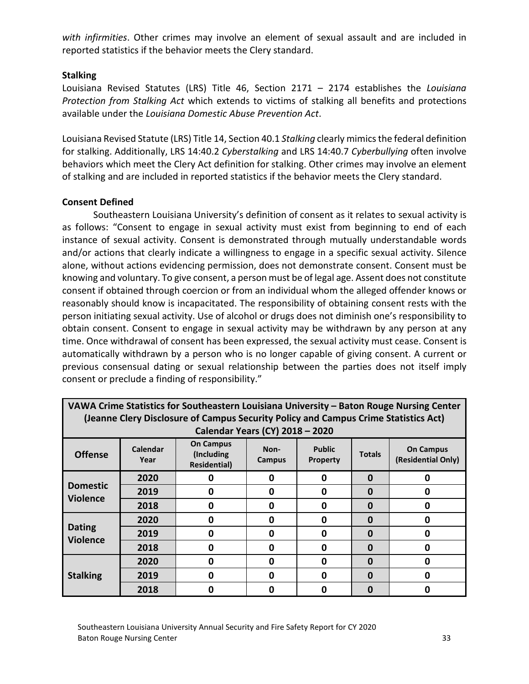*with infirmities*. Other crimes may involve an element of sexual assault and are included in reported statistics if the behavior meets the Clery standard.

## **Stalking**

Louisiana Revised Statutes (LRS) Title 46, Section 2171 – 2174 establishes the *Louisiana Protection from Stalking Act* which extends to victims of stalking all benefits and protections available under the *Louisiana Domestic Abuse Prevention Act*.

Louisiana Revised Statute (LRS) Title 14, Section 40.1 *Stalking* clearly mimics the federal definition for stalking. Additionally, LRS 14:40.2 *Cyberstalking* and LRS 14:40.7 *Cyberbullying* often involve behaviors which meet the Clery Act definition for stalking. Other crimes may involve an element of stalking and are included in reported statistics if the behavior meets the Clery standard.

#### **Consent Defined**

Southeastern Louisiana University's definition of consent as it relates to sexual activity is as follows: "Consent to engage in sexual activity must exist from beginning to end of each instance of sexual activity. Consent is demonstrated through mutually understandable words and/or actions that clearly indicate a willingness to engage in a specific sexual activity. Silence alone, without actions evidencing permission, does not demonstrate consent. Consent must be knowing and voluntary. To give consent, a person must be of legal age. Assent does not constitute consent if obtained through coercion or from an individual whom the alleged offender knows or reasonably should know is incapacitated. The responsibility of obtaining consent rests with the person initiating sexual activity. Use of alcohol or drugs does not diminish one's responsibility to obtain consent. Consent to engage in sexual activity may be withdrawn by any person at any time. Once withdrawal of consent has been expressed, the sexual activity must cease. Consent is automatically withdrawn by a person who is no longer capable of giving consent. A current or previous consensual dating or sexual relationship between the parties does not itself imply consent or preclude a finding of responsibility."

| VAWA Crime Statistics for Southeastern Louisiana University - Baton Rouge Nursing Center<br>(Jeanne Clery Disclosure of Campus Security Policy and Campus Crime Statistics Act)<br>Calendar Years (CY) 2018 - 2020 |                         |                                                         |                       |                                  |               |                                        |
|--------------------------------------------------------------------------------------------------------------------------------------------------------------------------------------------------------------------|-------------------------|---------------------------------------------------------|-----------------------|----------------------------------|---------------|----------------------------------------|
| <b>Offense</b>                                                                                                                                                                                                     | <b>Calendar</b><br>Year | <b>On Campus</b><br>(Including)<br><b>Residential</b> ) | Non-<br><b>Campus</b> | <b>Public</b><br><b>Property</b> | <b>Totals</b> | <b>On Campus</b><br>(Residential Only) |
|                                                                                                                                                                                                                    | 2020                    |                                                         | 0                     | 0                                | $\Omega$      |                                        |
| <b>Domestic</b><br><b>Violence</b>                                                                                                                                                                                 | 2019                    | Ω                                                       | 0                     | 0                                | $\Omega$      |                                        |
|                                                                                                                                                                                                                    | 2018                    | Ω                                                       | 0                     | 0                                | $\bf{0}$      | 0                                      |
|                                                                                                                                                                                                                    | 2020                    | ი                                                       | 0                     | 0                                | $\Omega$      |                                        |
| <b>Dating</b><br><b>Violence</b>                                                                                                                                                                                   | 2019                    | Ω                                                       | 0                     | 0                                | $\Omega$      |                                        |
|                                                                                                                                                                                                                    | 2018                    | Ω                                                       | 0                     | 0                                | $\Omega$      | Ω                                      |
| <b>Stalking</b>                                                                                                                                                                                                    | 2020                    | 0                                                       | 0                     | 0                                | $\Omega$      |                                        |
|                                                                                                                                                                                                                    | 2019                    | Ω                                                       | 0                     | 0                                | $\Omega$      |                                        |
|                                                                                                                                                                                                                    | 2018                    | n                                                       | 0                     | 0                                | O             |                                        |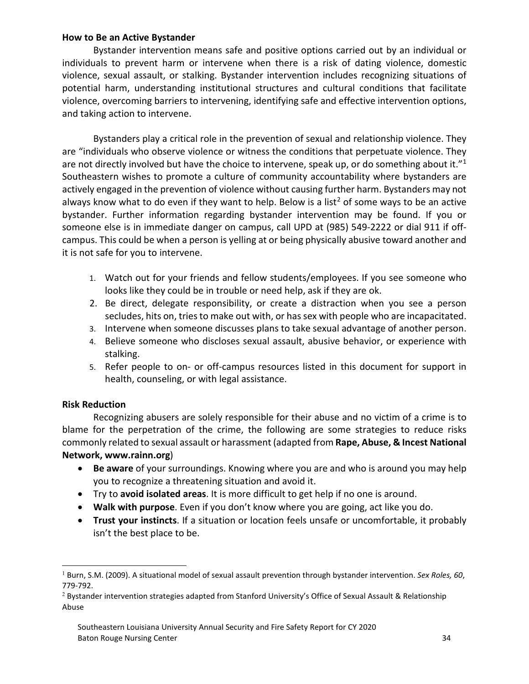#### **How to Be an Active Bystander**

Bystander intervention means safe and positive options carried out by an individual or individuals to prevent harm or intervene when there is a risk of dating violence, domestic violence, sexual assault, or stalking. Bystander intervention includes recognizing situations of potential harm, understanding institutional structures and cultural conditions that facilitate violence, overcoming barriers to intervening, identifying safe and effective intervention options, and taking action to intervene.

Bystanders play a critical role in the prevention of sexual and relationship violence. They are "individuals who observe violence or witness the conditions that perpetuate violence. They are not directly involved but have the choice to intervene, speak up, or do something about it." $1$ Southeastern wishes to promote a culture of community accountability where bystanders are actively engaged in the prevention of violence without causing further harm. Bystanders may not always know what to do even if they want to help. Below is a list<sup>[2](#page-33-1)</sup> of some ways to be an active bystander. Further information regarding bystander intervention may be found. If you or someone else is in immediate danger on campus, call UPD at (985) 549-2222 or dial 911 if offcampus. This could be when a person is yelling at or being physically abusive toward another and it is not safe for you to intervene.

- 1. Watch out for your friends and fellow students/employees. If you see someone who looks like they could be in trouble or need help, ask if they are ok.
- 2. Be direct, delegate responsibility, or create a distraction when you see a person secludes, hits on, tries to make out with, or has sex with people who are incapacitated.
- 3. Intervene when someone discusses plans to take sexual advantage of another person.
- 4. Believe someone who discloses sexual assault, abusive behavior, or experience with stalking.
- 5. Refer people to on- or off-campus resources listed in this document for support in health, counseling, or with legal assistance.

## **Risk Reduction**

Recognizing abusers are solely responsible for their abuse and no victim of a crime is to blame for the perpetration of the crime, the following are some strategies to reduce risks commonly related to sexual assault or harassment (adapted from **Rape, Abuse, & Incest National Network, www.rainn.org**)

- **Be aware** of your surroundings. Knowing where you are and who is around you may help you to recognize a threatening situation and avoid it.
- Try to **avoid isolated areas**. It is more difficult to get help if no one is around.
- **Walk with purpose**. Even if you don't know where you are going, act like you do.
- **Trust your instincts**. If a situation or location feels unsafe or uncomfortable, it probably isn't the best place to be.

<span id="page-33-0"></span> <sup>1</sup> Burn, S.M. (2009). A situational model of sexual assault prevention through bystander intervention. *Sex Roles, 60*, 779-792.

<span id="page-33-1"></span><sup>&</sup>lt;sup>2</sup> Bystander intervention strategies adapted from Stanford University's Office of Sexual Assault & Relationship Abuse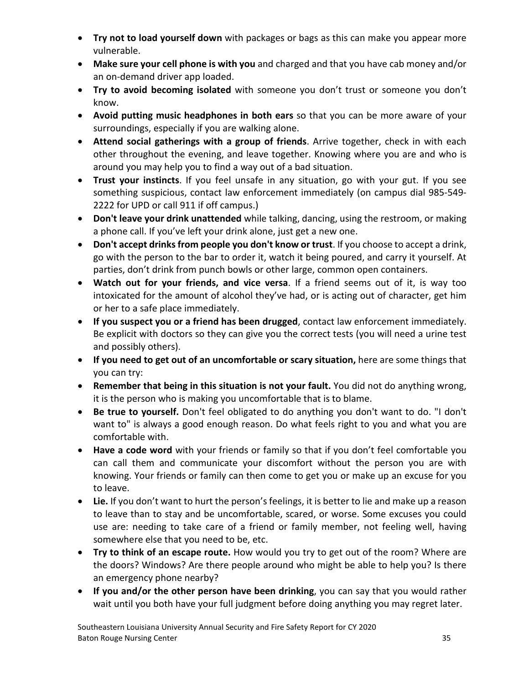- **Try not to load yourself down** with packages or bags as this can make you appear more vulnerable.
- **Make sure your cell phone is with you** and charged and that you have cab money and/or an on-demand driver app loaded.
- **Try to avoid becoming isolated** with someone you don't trust or someone you don't know.
- **Avoid putting music headphones in both ears** so that you can be more aware of your surroundings, especially if you are walking alone.
- **Attend social gatherings with a group of friends**. Arrive together, check in with each other throughout the evening, and leave together. Knowing where you are and who is around you may help you to find a way out of a bad situation.
- **Trust your instincts**. If you feel unsafe in any situation, go with your gut. If you see something suspicious, contact law enforcement immediately (on campus dial 985-549- 2222 for UPD or call 911 if off campus.)
- **Don't leave your drink unattended** while talking, dancing, using the restroom, or making a phone call. If you've left your drink alone, just get a new one.
- **Don't accept drinks from people you don't know or trust**. If you choose to accept a drink, go with the person to the bar to order it, watch it being poured, and carry it yourself. At parties, don't drink from punch bowls or other large, common open containers.
- **Watch out for your friends, and vice versa**. If a friend seems out of it, is way too intoxicated for the amount of alcohol they've had, or is acting out of character, get him or her to a safe place immediately.
- **If you suspect you or a friend has been drugged**, contact law enforcement immediately. Be explicit with doctors so they can give you the correct tests (you will need a urine test and possibly others).
- **If you need to get out of an uncomfortable or scary situation,** here are some things that you can try:
- **Remember that being in this situation is not your fault.** You did not do anything wrong, it is the person who is making you uncomfortable that is to blame.
- **Be true to yourself.** Don't feel obligated to do anything you don't want to do. "I don't want to" is always a good enough reason. Do what feels right to you and what you are comfortable with.
- **Have a code word** with your friends or family so that if you don't feel comfortable you can call them and communicate your discomfort without the person you are with knowing. Your friends or family can then come to get you or make up an excuse for you to leave.
- **Lie.** If you don't want to hurt the person's feelings, it is better to lie and make up a reason to leave than to stay and be uncomfortable, scared, or worse. Some excuses you could use are: needing to take care of a friend or family member, not feeling well, having somewhere else that you need to be, etc.
- **Try to think of an escape route.** How would you try to get out of the room? Where are the doors? Windows? Are there people around who might be able to help you? Is there an emergency phone nearby?
- **If you and/or the other person have been drinking**, you can say that you would rather wait until you both have your full judgment before doing anything you may regret later.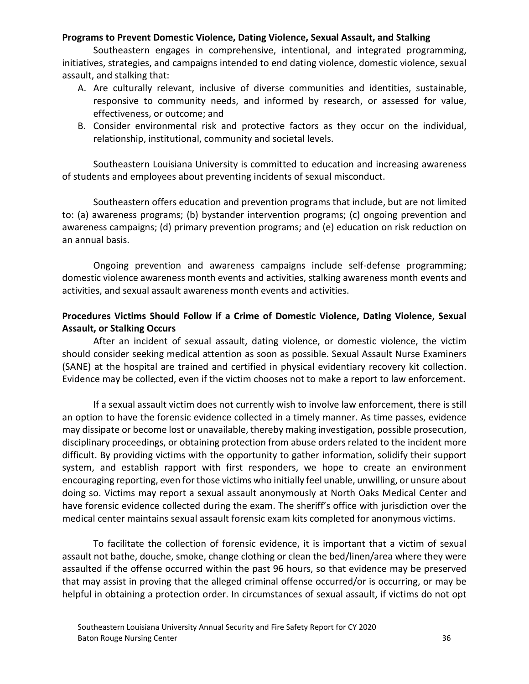#### **Programs to Prevent Domestic Violence, Dating Violence, Sexual Assault, and Stalking**

Southeastern engages in comprehensive, intentional, and integrated programming, initiatives, strategies, and campaigns intended to end dating violence, domestic violence, sexual assault, and stalking that:

- A. Are culturally relevant, inclusive of diverse communities and identities, sustainable, responsive to community needs, and informed by research, or assessed for value, effectiveness, or outcome; and
- B. Consider environmental risk and protective factors as they occur on the individual, relationship, institutional, community and societal levels.

Southeastern Louisiana University is committed to education and increasing awareness of students and employees about preventing incidents of sexual misconduct.

Southeastern offers education and prevention programs that include, but are not limited to: (a) awareness programs; (b) bystander intervention programs; (c) ongoing prevention and awareness campaigns; (d) primary prevention programs; and (e) education on risk reduction on an annual basis.

Ongoing prevention and awareness campaigns include self-defense programming; domestic violence awareness month events and activities, stalking awareness month events and activities, and sexual assault awareness month events and activities.

## **Procedures Victims Should Follow if a Crime of Domestic Violence, Dating Violence, Sexual Assault, or Stalking Occurs**

After an incident of sexual assault, dating violence, or domestic violence, the victim should consider seeking medical attention as soon as possible. Sexual Assault Nurse Examiners (SANE) at the hospital are trained and certified in physical evidentiary recovery kit collection. Evidence may be collected, even if the victim chooses not to make a report to law enforcement.

If a sexual assault victim does not currently wish to involve law enforcement, there is still an option to have the forensic evidence collected in a timely manner. As time passes, evidence may dissipate or become lost or unavailable, thereby making investigation, possible prosecution, disciplinary proceedings, or obtaining protection from abuse orders related to the incident more difficult. By providing victims with the opportunity to gather information, solidify their support system, and establish rapport with first responders, we hope to create an environment encouraging reporting, even for those victims who initially feel unable, unwilling, or unsure about doing so. Victims may report a sexual assault anonymously at North Oaks Medical Center and have forensic evidence collected during the exam. The sheriff's office with jurisdiction over the medical center maintains sexual assault forensic exam kits completed for anonymous victims.

To facilitate the collection of forensic evidence, it is important that a victim of sexual assault not bathe, douche, smoke, change clothing or clean the bed/linen/area where they were assaulted if the offense occurred within the past 96 hours, so that evidence may be preserved that may assist in proving that the alleged criminal offense occurred/or is occurring, or may be helpful in obtaining a protection order. In circumstances of sexual assault, if victims do not opt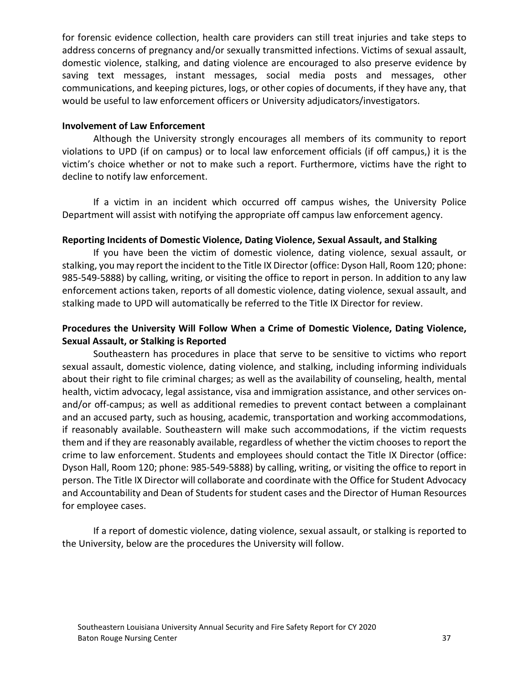for forensic evidence collection, health care providers can still treat injuries and take steps to address concerns of pregnancy and/or sexually transmitted infections. Victims of sexual assault, domestic violence, stalking, and dating violence are encouraged to also preserve evidence by saving text messages, instant messages, social media posts and messages, other communications, and keeping pictures, logs, or other copies of documents, if they have any, that would be useful to law enforcement officers or University adjudicators/investigators.

#### **Involvement of Law Enforcement**

Although the University strongly encourages all members of its community to report violations to UPD (if on campus) or to local law enforcement officials (if off campus,) it is the victim's choice whether or not to make such a report. Furthermore, victims have the right to decline to notify law enforcement.

If a victim in an incident which occurred off campus wishes, the University Police Department will assist with notifying the appropriate off campus law enforcement agency.

#### **Reporting Incidents of Domestic Violence, Dating Violence, Sexual Assault, and Stalking**

If you have been the victim of domestic violence, dating violence, sexual assault, or stalking, you may report the incident to the Title IX Director (office: Dyson Hall, Room 120; phone: 985-549-5888) by calling, writing, or visiting the office to report in person. In addition to any law enforcement actions taken, reports of all domestic violence, dating violence, sexual assault, and stalking made to UPD will automatically be referred to the Title IX Director for review.

## **Procedures the University Will Follow When a Crime of Domestic Violence, Dating Violence, Sexual Assault, or Stalking is Reported**

Southeastern has procedures in place that serve to be sensitive to victims who report sexual assault, domestic violence, dating violence, and stalking, including informing individuals about their right to file criminal charges; as well as the availability of counseling, health, mental health, victim advocacy, legal assistance, visa and immigration assistance, and other services onand/or off-campus; as well as additional remedies to prevent contact between a complainant and an accused party, such as housing, academic, transportation and working accommodations, if reasonably available. Southeastern will make such accommodations, if the victim requests them and if they are reasonably available, regardless of whether the victim chooses to report the crime to law enforcement. Students and employees should contact the Title IX Director (office: Dyson Hall, Room 120; phone: 985-549-5888) by calling, writing, or visiting the office to report in person. The Title IX Director will collaborate and coordinate with the Office for Student Advocacy and Accountability and Dean of Students for student cases and the Director of Human Resources for employee cases.

If a report of domestic violence, dating violence, sexual assault, or stalking is reported to the University, below are the procedures the University will follow.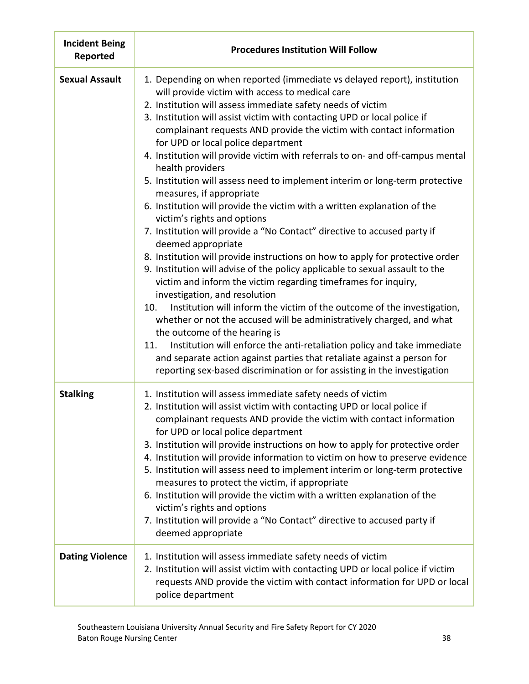| <b>Incident Being</b><br>Reported | <b>Procedures Institution Will Follow</b>                                                                                                                                                                                                                                                                                                                                                                                                                                                                                                                                                                                                                                                                                                                                                                                                                                                                                                                                                                                                                                                                                                                                                                                                                                                                                                                                                                                                                                                                                    |
|-----------------------------------|------------------------------------------------------------------------------------------------------------------------------------------------------------------------------------------------------------------------------------------------------------------------------------------------------------------------------------------------------------------------------------------------------------------------------------------------------------------------------------------------------------------------------------------------------------------------------------------------------------------------------------------------------------------------------------------------------------------------------------------------------------------------------------------------------------------------------------------------------------------------------------------------------------------------------------------------------------------------------------------------------------------------------------------------------------------------------------------------------------------------------------------------------------------------------------------------------------------------------------------------------------------------------------------------------------------------------------------------------------------------------------------------------------------------------------------------------------------------------------------------------------------------------|
| <b>Sexual Assault</b>             | 1. Depending on when reported (immediate vs delayed report), institution<br>will provide victim with access to medical care<br>2. Institution will assess immediate safety needs of victim<br>3. Institution will assist victim with contacting UPD or local police if<br>complainant requests AND provide the victim with contact information<br>for UPD or local police department<br>4. Institution will provide victim with referrals to on- and off-campus mental<br>health providers<br>5. Institution will assess need to implement interim or long-term protective<br>measures, if appropriate<br>6. Institution will provide the victim with a written explanation of the<br>victim's rights and options<br>7. Institution will provide a "No Contact" directive to accused party if<br>deemed appropriate<br>8. Institution will provide instructions on how to apply for protective order<br>9. Institution will advise of the policy applicable to sexual assault to the<br>victim and inform the victim regarding timeframes for inquiry,<br>investigation, and resolution<br>Institution will inform the victim of the outcome of the investigation,<br>10.<br>whether or not the accused will be administratively charged, and what<br>the outcome of the hearing is<br>Institution will enforce the anti-retaliation policy and take immediate<br>11.<br>and separate action against parties that retaliate against a person for<br>reporting sex-based discrimination or for assisting in the investigation |
| <b>Stalking</b>                   | 1. Institution will assess immediate safety needs of victim<br>2. Institution will assist victim with contacting UPD or local police if<br>complainant requests AND provide the victim with contact information<br>for UPD or local police department<br>3. Institution will provide instructions on how to apply for protective order<br>4. Institution will provide information to victim on how to preserve evidence<br>5. Institution will assess need to implement interim or long-term protective<br>measures to protect the victim, if appropriate<br>6. Institution will provide the victim with a written explanation of the<br>victim's rights and options<br>7. Institution will provide a "No Contact" directive to accused party if<br>deemed appropriate                                                                                                                                                                                                                                                                                                                                                                                                                                                                                                                                                                                                                                                                                                                                                       |
| <b>Dating Violence</b>            | 1. Institution will assess immediate safety needs of victim<br>2. Institution will assist victim with contacting UPD or local police if victim<br>requests AND provide the victim with contact information for UPD or local<br>police department                                                                                                                                                                                                                                                                                                                                                                                                                                                                                                                                                                                                                                                                                                                                                                                                                                                                                                                                                                                                                                                                                                                                                                                                                                                                             |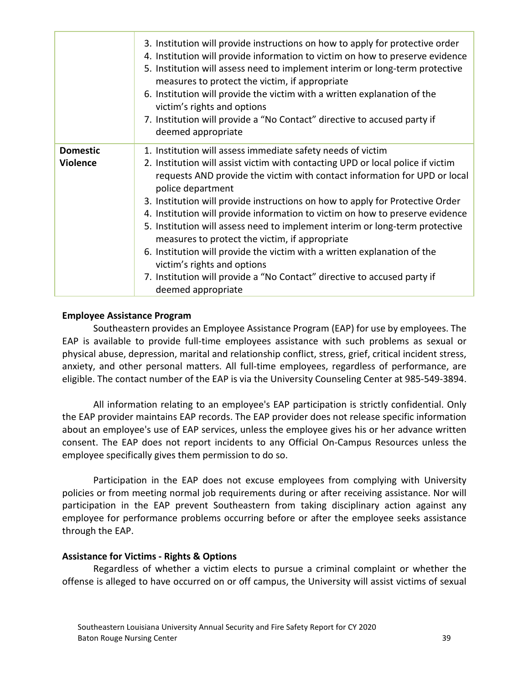|                                    | 3. Institution will provide instructions on how to apply for protective order<br>4. Institution will provide information to victim on how to preserve evidence<br>5. Institution will assess need to implement interim or long-term protective<br>measures to protect the victim, if appropriate<br>6. Institution will provide the victim with a written explanation of the<br>victim's rights and options<br>7. Institution will provide a "No Contact" directive to accused party if<br>deemed appropriate                                                                                                                                                                                                                                                     |
|------------------------------------|-------------------------------------------------------------------------------------------------------------------------------------------------------------------------------------------------------------------------------------------------------------------------------------------------------------------------------------------------------------------------------------------------------------------------------------------------------------------------------------------------------------------------------------------------------------------------------------------------------------------------------------------------------------------------------------------------------------------------------------------------------------------|
| <b>Domestic</b><br><b>Violence</b> | 1. Institution will assess immediate safety needs of victim<br>2. Institution will assist victim with contacting UPD or local police if victim<br>requests AND provide the victim with contact information for UPD or local<br>police department<br>3. Institution will provide instructions on how to apply for Protective Order<br>4. Institution will provide information to victim on how to preserve evidence<br>5. Institution will assess need to implement interim or long-term protective<br>measures to protect the victim, if appropriate<br>6. Institution will provide the victim with a written explanation of the<br>victim's rights and options<br>7. Institution will provide a "No Contact" directive to accused party if<br>deemed appropriate |

#### **Employee Assistance Program**

Southeastern provides an Employee Assistance Program (EAP) for use by employees. The EAP is available to provide full-time employees assistance with such problems as sexual or physical abuse, depression, marital and relationship conflict, stress, grief, critical incident stress, anxiety, and other personal matters. All full-time employees, regardless of performance, are eligible. The contact number of the EAP is via the University Counseling Center at 985-549-3894.

All information relating to an employee's EAP participation is strictly confidential. Only the EAP provider maintains EAP records. The EAP provider does not release specific information about an employee's use of EAP services, unless the employee gives his or her advance written consent. The EAP does not report incidents to any Official On-Campus Resources unless the employee specifically gives them permission to do so.

Participation in the EAP does not excuse employees from complying with University policies or from meeting normal job requirements during or after receiving assistance. Nor will participation in the EAP prevent Southeastern from taking disciplinary action against any employee for performance problems occurring before or after the employee seeks assistance through the EAP.

#### **Assistance for Victims - Rights & Options**

Regardless of whether a victim elects to pursue a criminal complaint or whether the offense is alleged to have occurred on or off campus, the University will assist victims of sexual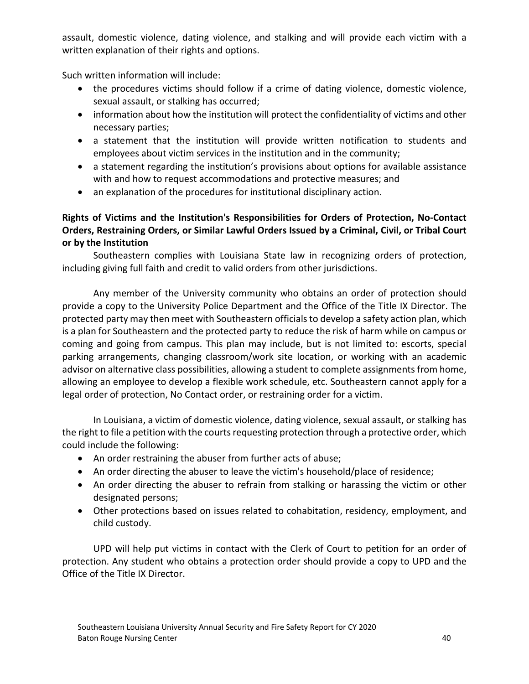assault, domestic violence, dating violence, and stalking and will provide each victim with a written explanation of their rights and options.

Such written information will include:

- the procedures victims should follow if a crime of dating violence, domestic violence, sexual assault, or stalking has occurred;
- information about how the institution will protect the confidentiality of victims and other necessary parties;
- a statement that the institution will provide written notification to students and employees about victim services in the institution and in the community;
- a statement regarding the institution's provisions about options for available assistance with and how to request accommodations and protective measures; and
- an explanation of the procedures for institutional disciplinary action.

# **Rights of Victims and the Institution's Responsibilities for Orders of Protection, No-Contact Orders, Restraining Orders, or Similar Lawful Orders Issued by a Criminal, Civil, or Tribal Court or by the Institution**

Southeastern complies with Louisiana State law in recognizing orders of protection, including giving full faith and credit to valid orders from other jurisdictions.

Any member of the University community who obtains an order of protection should provide a copy to the University Police Department and the Office of the Title IX Director. The protected party may then meet with Southeastern officials to develop a safety action plan, which is a plan for Southeastern and the protected party to reduce the risk of harm while on campus or coming and going from campus. This plan may include, but is not limited to: escorts, special parking arrangements, changing classroom/work site location, or working with an academic advisor on alternative class possibilities, allowing a student to complete assignments from home, allowing an employee to develop a flexible work schedule, etc. Southeastern cannot apply for a legal order of protection, No Contact order, or restraining order for a victim.

In Louisiana, a victim of domestic violence, dating violence, sexual assault, or stalking has the right to file a petition with the courts requesting protection through a protective order, which could include the following:

- An order restraining the abuser from further acts of abuse;
- An order directing the abuser to leave the victim's household/place of residence;
- An order directing the abuser to refrain from stalking or harassing the victim or other designated persons;
- Other protections based on issues related to cohabitation, residency, employment, and child custody.

UPD will help put victims in contact with the Clerk of Court to petition for an order of protection. Any student who obtains a protection order should provide a copy to UPD and the Office of the Title IX Director.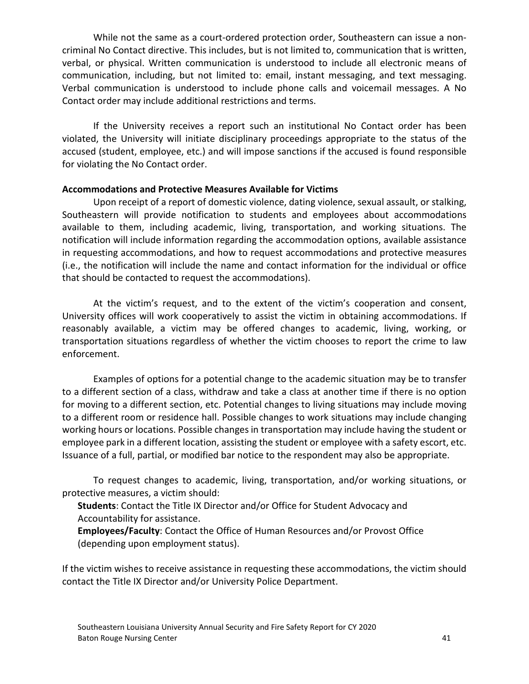While not the same as a court-ordered protection order, Southeastern can issue a noncriminal No Contact directive. This includes, but is not limited to, communication that is written, verbal, or physical. Written communication is understood to include all electronic means of communication, including, but not limited to: email, instant messaging, and text messaging. Verbal communication is understood to include phone calls and voicemail messages. A No Contact order may include additional restrictions and terms.

If the University receives a report such an institutional No Contact order has been violated, the University will initiate disciplinary proceedings appropriate to the status of the accused (student, employee, etc.) and will impose sanctions if the accused is found responsible for violating the No Contact order.

#### **Accommodations and Protective Measures Available for Victims**

Upon receipt of a report of domestic violence, dating violence, sexual assault, or stalking, Southeastern will provide notification to students and employees about accommodations available to them, including academic, living, transportation, and working situations. The notification will include information regarding the accommodation options, available assistance in requesting accommodations, and how to request accommodations and protective measures (i.e., the notification will include the name and contact information for the individual or office that should be contacted to request the accommodations).

At the victim's request, and to the extent of the victim's cooperation and consent, University offices will work cooperatively to assist the victim in obtaining accommodations. If reasonably available, a victim may be offered changes to academic, living, working, or transportation situations regardless of whether the victim chooses to report the crime to law enforcement.

Examples of options for a potential change to the academic situation may be to transfer to a different section of a class, withdraw and take a class at another time if there is no option for moving to a different section, etc. Potential changes to living situations may include moving to a different room or residence hall. Possible changes to work situations may include changing working hours or locations. Possible changes in transportation may include having the student or employee park in a different location, assisting the student or employee with a safety escort, etc. Issuance of a full, partial, or modified bar notice to the respondent may also be appropriate.

To request changes to academic, living, transportation, and/or working situations, or protective measures, a victim should:

**Students**: Contact the Title IX Director and/or Office for Student Advocacy and Accountability for assistance.

**Employees/Faculty**: Contact the Office of Human Resources and/or Provost Office (depending upon employment status).

If the victim wishes to receive assistance in requesting these accommodations, the victim should contact the Title IX Director and/or University Police Department.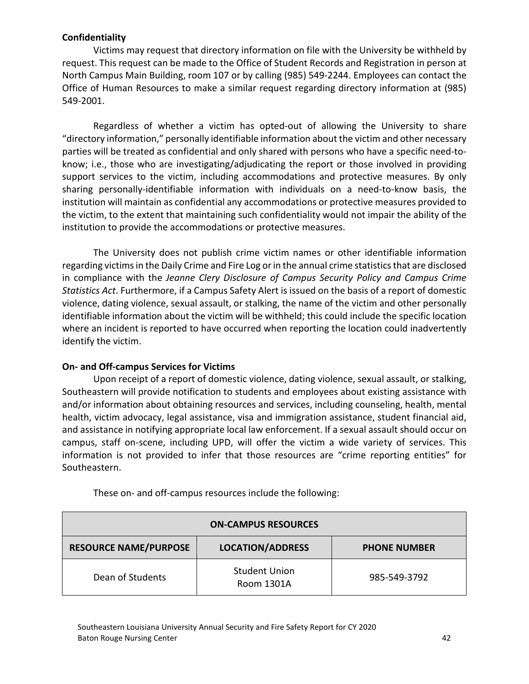#### **Confidentiality**

Victims may request that directory information on file with the University be withheld by request. This request can be made to the Office of Student Records and Registration in person at North Campus Main Building, room 107 or by calling (985) 549-2244. Employees can contact the Office of Human Resources to make a similar request regarding directory information at (985) 549-2001.

Regardless of whether a victim has opted-out of allowing the University to share "directory information," personally identifiable information about the victim and other necessary parties will be treated as confidential and only shared with persons who have a specific need-toknow; i.e., those who are investigating/adjudicating the report or those involved in providing support services to the victim, including accommodations and protective measures. By only sharing personally-identifiable information with individuals on a need-to-know basis, the institution will maintain as confidential any accommodations or protective measures provided to the victim, to the extent that maintaining such confidentiality would not impair the ability of the institution to provide the accommodations or protective measures.

The University does not publish crime victim names or other identifiable information regarding victims in the Daily Crime and Fire Log or in the annual crime statistics that are disclosed in compliance with the *Jeanne Clery Disclosure of Campus Security Policy and Campus Crime Statistics Act*. Furthermore, if a Campus Safety Alert is issued on the basis of a report of domestic violence, dating violence, sexual assault, or stalking, the name of the victim and other personally identifiable information about the victim will be withheld; this could include the specific location where an incident is reported to have occurred when reporting the location could inadvertently identify the victim.

#### **On- and Off-campus Services for Victims**

Upon receipt of a report of domestic violence, dating violence, sexual assault, or stalking, Southeastern will provide notification to students and employees about existing assistance with and/or information about obtaining resources and services, including counseling, health, mental health, victim advocacy, legal assistance, visa and immigration assistance, student financial aid, and assistance in notifying appropriate local law enforcement. If a sexual assault should occur on campus, staff on-scene, including UPD, will offer the victim a wide variety of services. This information is not provided to infer that those resources are "crime reporting entities" for Southeastern.

| <b>ON-CAMPUS RESOURCES</b>   |                                    |                     |  |  |  |
|------------------------------|------------------------------------|---------------------|--|--|--|
| <b>RESOURCE NAME/PURPOSE</b> | <b>LOCATION/ADDRESS</b>            | <b>PHONE NUMBER</b> |  |  |  |
| Dean of Students             | <b>Student Union</b><br>Room 1301A | 985-549-3792        |  |  |  |

These on- and off-campus resources include the following: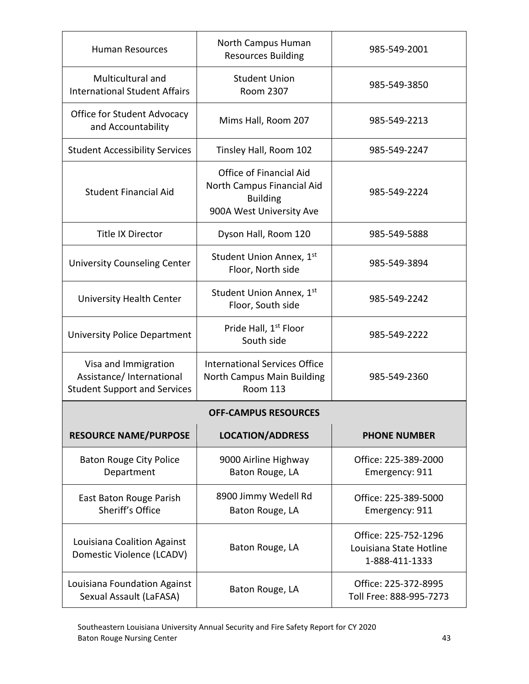| <b>Human Resources</b>                                                                   | North Campus Human<br><b>Resources Building</b>                                                             | 985-549-2001                                                      |  |
|------------------------------------------------------------------------------------------|-------------------------------------------------------------------------------------------------------------|-------------------------------------------------------------------|--|
| Multicultural and<br><b>International Student Affairs</b>                                | <b>Student Union</b><br>Room 2307                                                                           | 985-549-3850                                                      |  |
| Office for Student Advocacy<br>and Accountability                                        | Mims Hall, Room 207                                                                                         | 985-549-2213                                                      |  |
| <b>Student Accessibility Services</b>                                                    | Tinsley Hall, Room 102                                                                                      | 985-549-2247                                                      |  |
| <b>Student Financial Aid</b>                                                             | <b>Office of Financial Aid</b><br>North Campus Financial Aid<br><b>Building</b><br>900A West University Ave | 985-549-2224                                                      |  |
| <b>Title IX Director</b>                                                                 | Dyson Hall, Room 120                                                                                        | 985-549-5888                                                      |  |
| <b>University Counseling Center</b>                                                      | Student Union Annex, 1st<br>Floor, North side                                                               | 985-549-3894                                                      |  |
| University Health Center                                                                 | Student Union Annex, 1st<br>Floor, South side                                                               | 985-549-2242                                                      |  |
| <b>University Police Department</b>                                                      | Pride Hall, 1 <sup>st</sup> Floor<br>South side                                                             | 985-549-2222                                                      |  |
| Visa and Immigration<br>Assistance/ International<br><b>Student Support and Services</b> | <b>International Services Office</b><br>North Campus Main Building<br><b>Room 113</b>                       | 985-549-2360                                                      |  |
| <b>OFF-CAMPUS RESOURCES</b>                                                              |                                                                                                             |                                                                   |  |
| <b>RESOURCE NAME/PURPOSE</b>                                                             | <b>LOCATION/ADDRESS</b>                                                                                     | <b>PHONE NUMBER</b>                                               |  |
| <b>Baton Rouge City Police</b><br>Department                                             | 9000 Airline Highway<br>Baton Rouge, LA                                                                     | Office: 225-389-2000<br>Emergency: 911                            |  |
| East Baton Rouge Parish<br>Sheriff's Office                                              | 8900 Jimmy Wedell Rd<br>Baton Rouge, LA                                                                     | Office: 225-389-5000<br>Emergency: 911                            |  |
| Louisiana Coalition Against<br>Domestic Violence (LCADV)                                 | Baton Rouge, LA                                                                                             | Office: 225-752-1296<br>Louisiana State Hotline<br>1-888-411-1333 |  |
| Louisiana Foundation Against<br>Sexual Assault (LaFASA)                                  | Baton Rouge, LA                                                                                             | Office: 225-372-8995<br>Toll Free: 888-995-7273                   |  |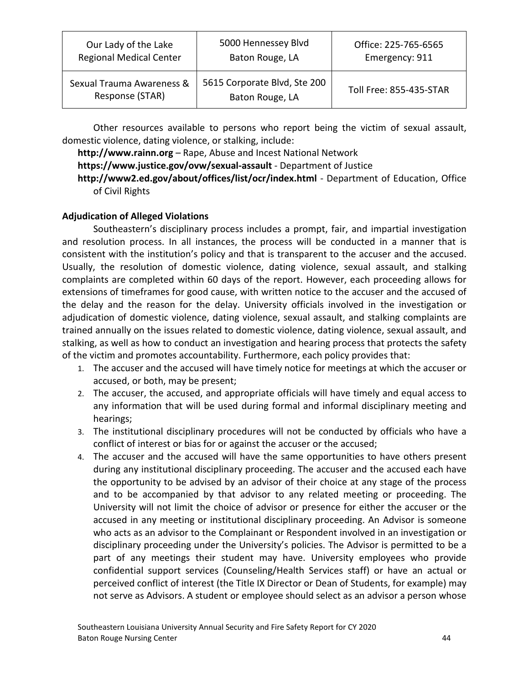| Our Lady of the Lake                         | 5000 Hennessey Blvd                             | Office: 225-765-6565    |
|----------------------------------------------|-------------------------------------------------|-------------------------|
| <b>Regional Medical Center</b>               | Baton Rouge, LA                                 | Emergency: 911          |
| Sexual Trauma Awareness &<br>Response (STAR) | 5615 Corporate Blvd, Ste 200<br>Baton Rouge, LA | Toll Free: 855-435-STAR |

Other resources available to persons who report being the victim of sexual assault, domestic violence, dating violence, or stalking, include:

**http://www.rainn.org** – Rape, Abuse and Incest National Network

**https://www.justice.gov/ovw/sexual-assault** - Department of Justice

**<http://www2.ed.gov/about/offices/list/ocr/index.html>** - Department of Education, Office of Civil Rights

## **Adjudication of Alleged Violations**

Southeastern's disciplinary process includes a prompt, fair, and impartial investigation and resolution process. In all instances, the process will be conducted in a manner that is consistent with the institution's policy and that is transparent to the accuser and the accused. Usually, the resolution of domestic violence, dating violence, sexual assault, and stalking complaints are completed within 60 days of the report. However, each proceeding allows for extensions of timeframes for good cause, with written notice to the accuser and the accused of the delay and the reason for the delay. University officials involved in the investigation or adjudication of domestic violence, dating violence, sexual assault, and stalking complaints are trained annually on the issues related to domestic violence, dating violence, sexual assault, and stalking, as well as how to conduct an investigation and hearing process that protects the safety of the victim and promotes accountability. Furthermore, each policy provides that:

- 1. The accuser and the accused will have timely notice for meetings at which the accuser or accused, or both, may be present;
- 2. The accuser, the accused, and appropriate officials will have timely and equal access to any information that will be used during formal and informal disciplinary meeting and hearings;
- 3. The institutional disciplinary procedures will not be conducted by officials who have a conflict of interest or bias for or against the accuser or the accused;
- 4. The accuser and the accused will have the same opportunities to have others present during any institutional disciplinary proceeding. The accuser and the accused each have the opportunity to be advised by an advisor of their choice at any stage of the process and to be accompanied by that advisor to any related meeting or proceeding. The University will not limit the choice of advisor or presence for either the accuser or the accused in any meeting or institutional disciplinary proceeding. An Advisor is someone who acts as an advisor to the Complainant or Respondent involved in an investigation or disciplinary proceeding under the University's policies. The Advisor is permitted to be a part of any meetings their student may have. University employees who provide confidential support services (Counseling/Health Services staff) or have an actual or perceived conflict of interest (the Title IX Director or Dean of Students, for example) may not serve as Advisors. A student or employee should select as an advisor a person whose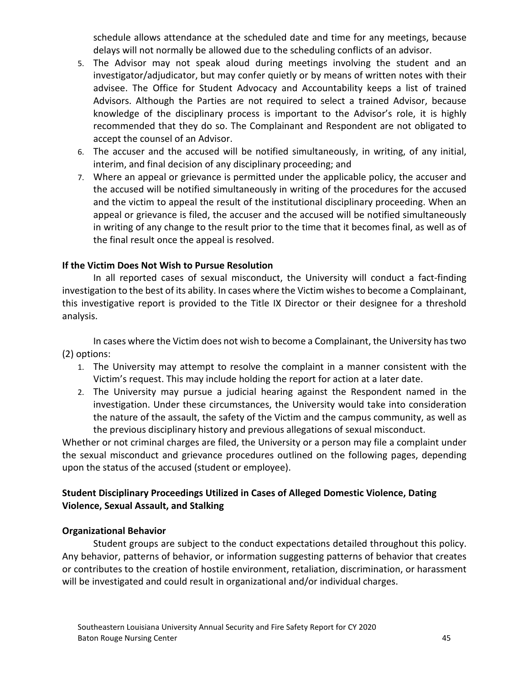schedule allows attendance at the scheduled date and time for any meetings, because delays will not normally be allowed due to the scheduling conflicts of an advisor.

- 5. The Advisor may not speak aloud during meetings involving the student and an investigator/adjudicator, but may confer quietly or by means of written notes with their advisee. The Office for Student Advocacy and Accountability keeps a list of trained Advisors. Although the Parties are not required to select a trained Advisor, because knowledge of the disciplinary process is important to the Advisor's role, it is highly recommended that they do so. The Complainant and Respondent are not obligated to accept the counsel of an Advisor.
- 6. The accuser and the accused will be notified simultaneously, in writing, of any initial, interim, and final decision of any disciplinary proceeding; and
- 7. Where an appeal or grievance is permitted under the applicable policy, the accuser and the accused will be notified simultaneously in writing of the procedures for the accused and the victim to appeal the result of the institutional disciplinary proceeding. When an appeal or grievance is filed, the accuser and the accused will be notified simultaneously in writing of any change to the result prior to the time that it becomes final, as well as of the final result once the appeal is resolved.

## **If the Victim Does Not Wish to Pursue Resolution**

In all reported cases of sexual misconduct, the University will conduct a fact-finding investigation to the best of its ability. In cases where the Victim wishes to become a Complainant, this investigative report is provided to the Title IX Director or their designee for a threshold analysis.

In cases where the Victim does not wish to become a Complainant, the University has two (2) options:

- 1. The University may attempt to resolve the complaint in a manner consistent with the Victim's request. This may include holding the report for action at a later date.
- 2. The University may pursue a judicial hearing against the Respondent named in the investigation. Under these circumstances, the University would take into consideration the nature of the assault, the safety of the Victim and the campus community, as well as the previous disciplinary history and previous allegations of sexual misconduct.

Whether or not criminal charges are filed, the University or a person may file a complaint under the sexual misconduct and grievance procedures outlined on the following pages, depending upon the status of the accused (student or employee).

# **Student Disciplinary Proceedings Utilized in Cases of Alleged Domestic Violence, Dating Violence, Sexual Assault, and Stalking**

#### **Organizational Behavior**

Student groups are subject to the conduct expectations detailed throughout this policy. Any behavior, patterns of behavior, or information suggesting patterns of behavior that creates or contributes to the creation of hostile environment, retaliation, discrimination, or harassment will be investigated and could result in organizational and/or individual charges.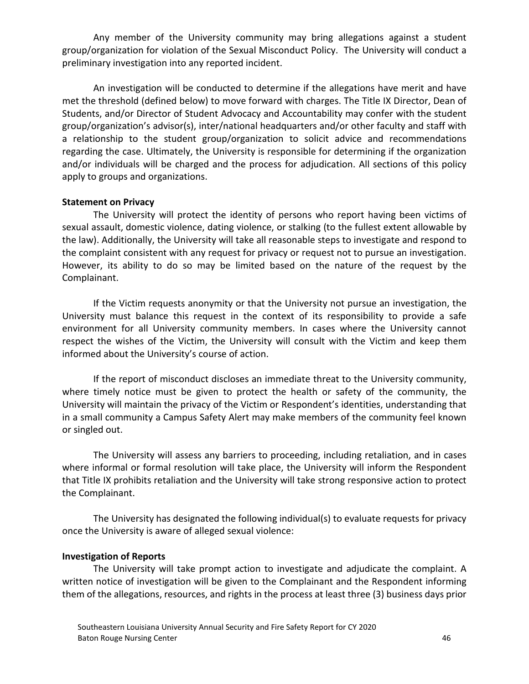Any member of the University community may bring allegations against a student group/organization for violation of the Sexual Misconduct Policy. The University will conduct a preliminary investigation into any reported incident.

An investigation will be conducted to determine if the allegations have merit and have met the threshold (defined below) to move forward with charges. The Title IX Director, Dean of Students, and/or Director of Student Advocacy and Accountability may confer with the student group/organization's advisor(s), inter/national headquarters and/or other faculty and staff with a relationship to the student group/organization to solicit advice and recommendations regarding the case. Ultimately, the University is responsible for determining if the organization and/or individuals will be charged and the process for adjudication. All sections of this policy apply to groups and organizations.

#### **Statement on Privacy**

The University will protect the identity of persons who report having been victims of sexual assault, domestic violence, dating violence, or stalking (to the fullest extent allowable by the law). Additionally, the University will take all reasonable steps to investigate and respond to the complaint consistent with any request for privacy or request not to pursue an investigation. However, its ability to do so may be limited based on the nature of the request by the Complainant.

If the Victim requests anonymity or that the University not pursue an investigation, the University must balance this request in the context of its responsibility to provide a safe environment for all University community members. In cases where the University cannot respect the wishes of the Victim, the University will consult with the Victim and keep them informed about the University's course of action.

If the report of misconduct discloses an immediate threat to the University community, where timely notice must be given to protect the health or safety of the community, the University will maintain the privacy of the Victim or Respondent's identities, understanding that in a small community a Campus Safety Alert may make members of the community feel known or singled out.

The University will assess any barriers to proceeding, including retaliation, and in cases where informal or formal resolution will take place, the University will inform the Respondent that Title IX prohibits retaliation and the University will take strong responsive action to protect the Complainant.

The University has designated the following individual(s) to evaluate requests for privacy once the University is aware of alleged sexual violence:

#### **Investigation of Reports**

The University will take prompt action to investigate and adjudicate the complaint. A written notice of investigation will be given to the Complainant and the Respondent informing them of the allegations, resources, and rights in the process at least three (3) business days prior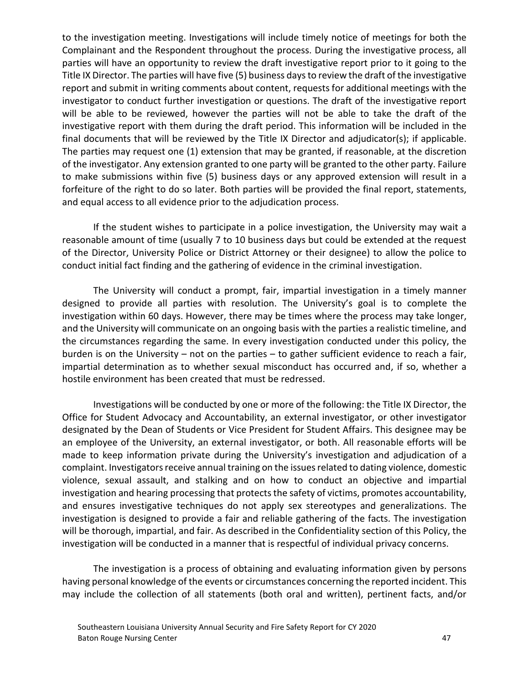to the investigation meeting. Investigations will include timely notice of meetings for both the Complainant and the Respondent throughout the process. During the investigative process, all parties will have an opportunity to review the draft investigative report prior to it going to the Title IX Director. The parties will have five (5) business days to review the draft of the investigative report and submit in writing comments about content, requests for additional meetings with the investigator to conduct further investigation or questions. The draft of the investigative report will be able to be reviewed, however the parties will not be able to take the draft of the investigative report with them during the draft period. This information will be included in the final documents that will be reviewed by the Title IX Director and adjudicator(s); if applicable. The parties may request one (1) extension that may be granted, if reasonable, at the discretion of the investigator. Any extension granted to one party will be granted to the other party. Failure to make submissions within five (5) business days or any approved extension will result in a forfeiture of the right to do so later. Both parties will be provided the final report, statements, and equal access to all evidence prior to the adjudication process.

If the student wishes to participate in a police investigation, the University may wait a reasonable amount of time (usually 7 to 10 business days but could be extended at the request of the Director, University Police or District Attorney or their designee) to allow the police to conduct initial fact finding and the gathering of evidence in the criminal investigation.

The University will conduct a prompt, fair, impartial investigation in a timely manner designed to provide all parties with resolution. The University's goal is to complete the investigation within 60 days. However, there may be times where the process may take longer, and the University will communicate on an ongoing basis with the parties a realistic timeline, and the circumstances regarding the same. In every investigation conducted under this policy, the burden is on the University – not on the parties – to gather sufficient evidence to reach a fair, impartial determination as to whether sexual misconduct has occurred and, if so, whether a hostile environment has been created that must be redressed.

Investigations will be conducted by one or more of the following: the Title IX Director, the Office for Student Advocacy and Accountability, an external investigator, or other investigator designated by the Dean of Students or Vice President for Student Affairs. This designee may be an employee of the University, an external investigator, or both. All reasonable efforts will be made to keep information private during the University's investigation and adjudication of a complaint. Investigators receive annual training on the issues related to dating violence, domestic violence, sexual assault, and stalking and on how to conduct an objective and impartial investigation and hearing processing that protects the safety of victims, promotes accountability, and ensures investigative techniques do not apply sex stereotypes and generalizations. The investigation is designed to provide a fair and reliable gathering of the facts. The investigation will be thorough, impartial, and fair. As described in the Confidentiality section of this Policy, the investigation will be conducted in a manner that is respectful of individual privacy concerns.

The investigation is a process of obtaining and evaluating information given by persons having personal knowledge of the events or circumstances concerning the reported incident. This may include the collection of all statements (both oral and written), pertinent facts, and/or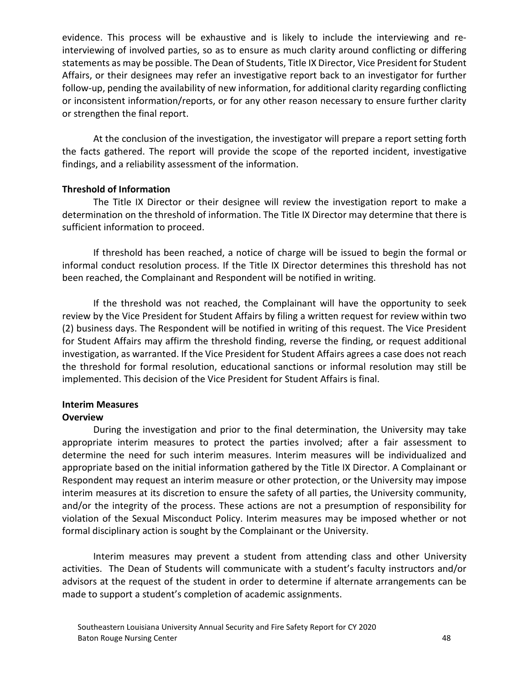evidence. This process will be exhaustive and is likely to include the interviewing and reinterviewing of involved parties, so as to ensure as much clarity around conflicting or differing statements as may be possible. The Dean of Students, Title IX Director, Vice President for Student Affairs, or their designees may refer an investigative report back to an investigator for further follow-up, pending the availability of new information, for additional clarity regarding conflicting or inconsistent information/reports, or for any other reason necessary to ensure further clarity or strengthen the final report.

At the conclusion of the investigation, the investigator will prepare a report setting forth the facts gathered. The report will provide the scope of the reported incident, investigative findings, and a reliability assessment of the information.

#### **Threshold of Information**

The Title IX Director or their designee will review the investigation report to make a determination on the threshold of information. The Title IX Director may determine that there is sufficient information to proceed.

If threshold has been reached, a notice of charge will be issued to begin the formal or informal conduct resolution process. If the Title IX Director determines this threshold has not been reached, the Complainant and Respondent will be notified in writing.

If the threshold was not reached, the Complainant will have the opportunity to seek review by the Vice President for Student Affairs by filing a written request for review within two (2) business days. The Respondent will be notified in writing of this request. The Vice President for Student Affairs may affirm the threshold finding, reverse the finding, or request additional investigation, as warranted. If the Vice President for Student Affairs agrees a case does not reach the threshold for formal resolution, educational sanctions or informal resolution may still be implemented. This decision of the Vice President for Student Affairs is final.

## **Interim Measures**

## **Overview**

During the investigation and prior to the final determination, the University may take appropriate interim measures to protect the parties involved; after a fair assessment to determine the need for such interim measures. Interim measures will be individualized and appropriate based on the initial information gathered by the Title IX Director. A Complainant or Respondent may request an interim measure or other protection, or the University may impose interim measures at its discretion to ensure the safety of all parties, the University community, and/or the integrity of the process. These actions are not a presumption of responsibility for violation of the Sexual Misconduct Policy. Interim measures may be imposed whether or not formal disciplinary action is sought by the Complainant or the University.

Interim measures may prevent a student from attending class and other University activities. The Dean of Students will communicate with a student's faculty instructors and/or advisors at the request of the student in order to determine if alternate arrangements can be made to support a student's completion of academic assignments.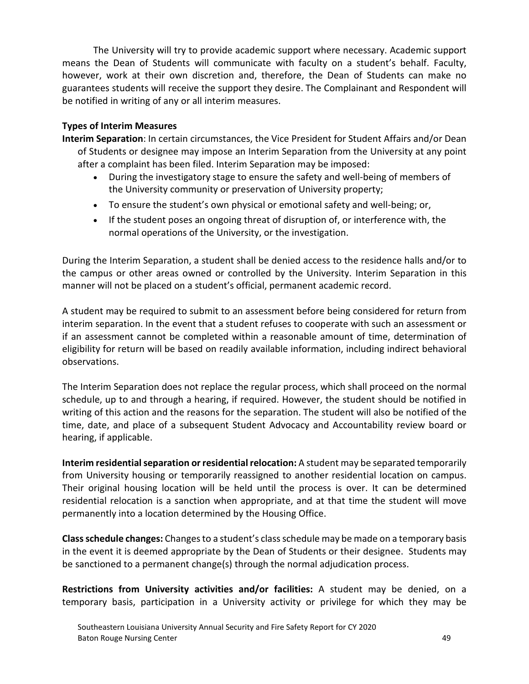The University will try to provide academic support where necessary. Academic support means the Dean of Students will communicate with faculty on a student's behalf. Faculty, however, work at their own discretion and, therefore, the Dean of Students can make no guarantees students will receive the support they desire. The Complainant and Respondent will be notified in writing of any or all interim measures.

## **Types of Interim Measures**

**Interim Separation**: In certain circumstances, the Vice President for Student Affairs and/or Dean of Students or designee may impose an Interim Separation from the University at any point after a complaint has been filed. Interim Separation may be imposed:

- During the investigatory stage to ensure the safety and well-being of members of the University community or preservation of University property;
- To ensure the student's own physical or emotional safety and well-being; or,
- If the student poses an ongoing threat of disruption of, or interference with, the normal operations of the University, or the investigation.

During the Interim Separation, a student shall be denied access to the residence halls and/or to the campus or other areas owned or controlled by the University. Interim Separation in this manner will not be placed on a student's official, permanent academic record.

A student may be required to submit to an assessment before being considered for return from interim separation. In the event that a student refuses to cooperate with such an assessment or if an assessment cannot be completed within a reasonable amount of time, determination of eligibility for return will be based on readily available information, including indirect behavioral observations.

The Interim Separation does not replace the regular process, which shall proceed on the normal schedule, up to and through a hearing, if required. However, the student should be notified in writing of this action and the reasons for the separation. The student will also be notified of the time, date, and place of a subsequent Student Advocacy and Accountability review board or hearing, if applicable.

**Interim residential separation or residential relocation:** A student may be separated temporarily from University housing or temporarily reassigned to another residential location on campus. Their original housing location will be held until the process is over. It can be determined residential relocation is a sanction when appropriate, and at that time the student will move permanently into a location determined by the Housing Office.

**Class schedule changes:** Changes to a student's class schedule may be made on a temporary basis in the event it is deemed appropriate by the Dean of Students or their designee. Students may be sanctioned to a permanent change(s) through the normal adjudication process.

**Restrictions from University activities and/or facilities:** A student may be denied, on a temporary basis, participation in a University activity or privilege for which they may be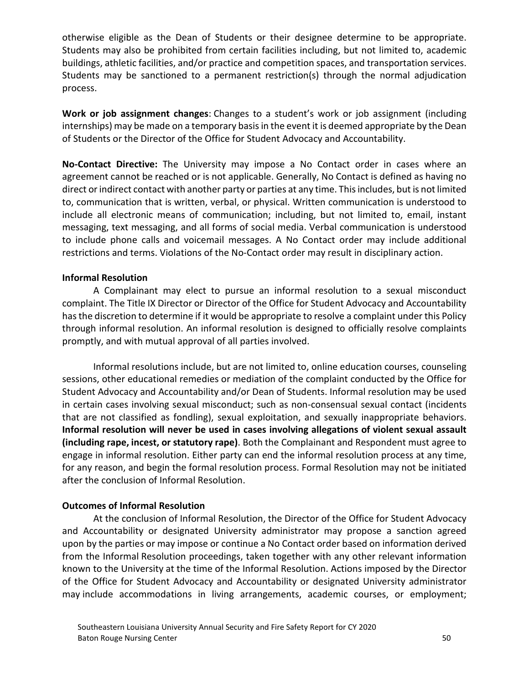otherwise eligible as the Dean of Students or their designee determine to be appropriate. Students may also be prohibited from certain facilities including, but not limited to, academic buildings, athletic facilities, and/or practice and competition spaces, and transportation services. Students may be sanctioned to a permanent restriction(s) through the normal adjudication process.

**Work or job assignment changes**: Changes to a student's work or job assignment (including internships) may be made on a temporary basis in the event it is deemed appropriate by the Dean of Students or the Director of the Office for Student Advocacy and Accountability.

**No-Contact Directive:** The University may impose a No Contact order in cases where an agreement cannot be reached or is not applicable. Generally, No Contact is defined as having no direct or indirect contact with another party or parties at any time. This includes, but is not limited to, communication that is written, verbal, or physical. Written communication is understood to include all electronic means of communication; including, but not limited to, email, instant messaging, text messaging, and all forms of social media. Verbal communication is understood to include phone calls and voicemail messages. A No Contact order may include additional restrictions and terms. Violations of the No-Contact order may result in disciplinary action.

#### **Informal Resolution**

A Complainant may elect to pursue an informal resolution to a sexual misconduct complaint. The Title IX Director or Director of the Office for Student Advocacy and Accountability has the discretion to determine if it would be appropriate to resolve a complaint under this Policy through informal resolution. An informal resolution is designed to officially resolve complaints promptly, and with mutual approval of all parties involved.

Informal resolutions include, but are not limited to, online education courses, counseling sessions, other educational remedies or mediation of the complaint conducted by the Office for Student Advocacy and Accountability and/or Dean of Students. Informal resolution may be used in certain cases involving sexual misconduct; such as non-consensual sexual contact (incidents that are not classified as fondling), sexual exploitation, and sexually inappropriate behaviors. **Informal resolution will never be used in cases involving allegations of violent sexual assault (including rape, incest, or statutory rape)**. Both the Complainant and Respondent must agree to engage in informal resolution. Either party can end the informal resolution process at any time, for any reason, and begin the formal resolution process. Formal Resolution may not be initiated after the conclusion of Informal Resolution.

## **Outcomes of Informal Resolution**

At the conclusion of Informal Resolution, the Director of the Office for Student Advocacy and Accountability or designated University administrator may propose a sanction agreed upon by the parties or may impose or continue a No Contact order based on information derived from the Informal Resolution proceedings, taken together with any other relevant information known to the University at the time of the Informal Resolution. Actions imposed by the Director of the Office for Student Advocacy and Accountability or designated University administrator may include accommodations in living arrangements, academic courses, or employment;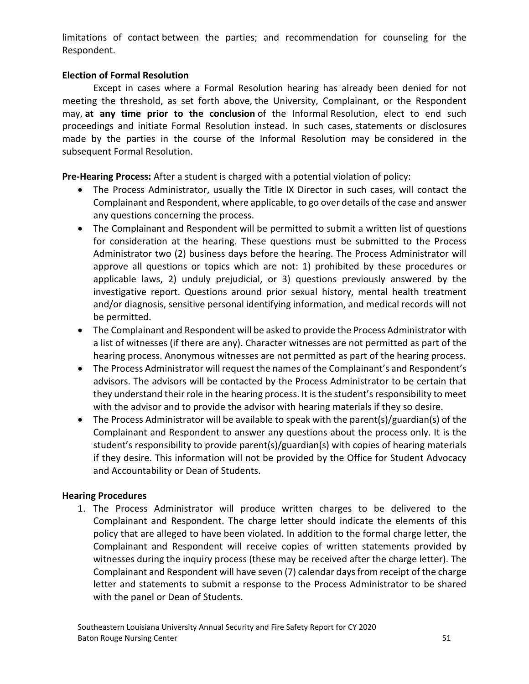limitations of contact between the parties; and recommendation for counseling for the Respondent.

## **Election of Formal Resolution**

Except in cases where a Formal Resolution hearing has already been denied for not meeting the threshold, as set forth above, the University, Complainant, or the Respondent may, **at any time prior to the conclusion** of the Informal Resolution, elect to end such proceedings and initiate Formal Resolution instead. In such cases, statements or disclosures made by the parties in the course of the Informal Resolution may be considered in the subsequent Formal Resolution.

**Pre-Hearing Process:** After a student is charged with a potential violation of policy:

- The Process Administrator, usually the Title IX Director in such cases, will contact the Complainant and Respondent, where applicable, to go over details of the case and answer any questions concerning the process.
- The Complainant and Respondent will be permitted to submit a written list of questions for consideration at the hearing. These questions must be submitted to the Process Administrator two (2) business days before the hearing. The Process Administrator will approve all questions or topics which are not: 1) prohibited by these procedures or applicable laws, 2) unduly prejudicial, or 3) questions previously answered by the investigative report. Questions around prior sexual history, mental health treatment and/or diagnosis, sensitive personal identifying information, and medical records will not be permitted.
- The Complainant and Respondent will be asked to provide the Process Administrator with a list of witnesses (if there are any). Character witnesses are not permitted as part of the hearing process. Anonymous witnesses are not permitted as part of the hearing process.
- The Process Administrator will request the names of the Complainant's and Respondent's advisors. The advisors will be contacted by the Process Administrator to be certain that they understand their role in the hearing process. It is the student's responsibility to meet with the advisor and to provide the advisor with hearing materials if they so desire.
- The Process Administrator will be available to speak with the parent(s)/guardian(s) of the Complainant and Respondent to answer any questions about the process only. It is the student's responsibility to provide parent(s)/guardian(s) with copies of hearing materials if they desire. This information will not be provided by the Office for Student Advocacy and Accountability or Dean of Students.

## **Hearing Procedures**

1. The Process Administrator will produce written charges to be delivered to the Complainant and Respondent. The charge letter should indicate the elements of this policy that are alleged to have been violated. In addition to the formal charge letter, the Complainant and Respondent will receive copies of written statements provided by witnesses during the inquiry process (these may be received after the charge letter). The Complainant and Respondent will have seven (7) calendar days from receipt of the charge letter and statements to submit a response to the Process Administrator to be shared with the panel or Dean of Students.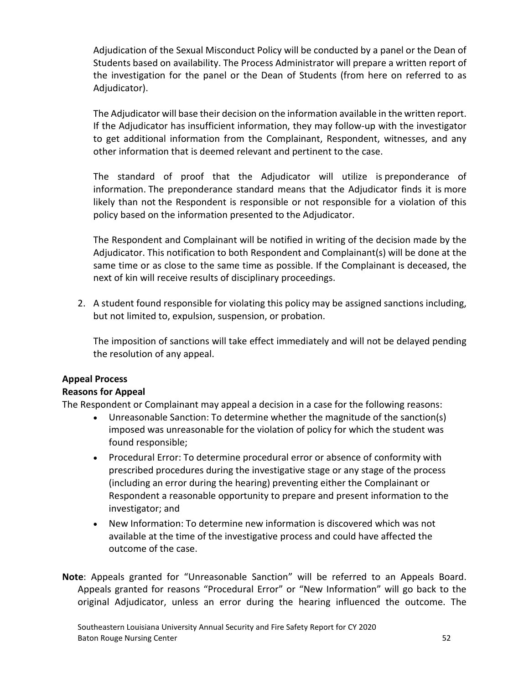Adjudication of the Sexual Misconduct Policy will be conducted by a panel or the Dean of Students based on availability. The Process Administrator will prepare a written report of the investigation for the panel or the Dean of Students (from here on referred to as Adjudicator).

The Adjudicator will base their decision on the information available in the written report. If the Adjudicator has insufficient information, they may follow-up with the investigator to get additional information from the Complainant, Respondent, witnesses, and any other information that is deemed relevant and pertinent to the case.

The standard of proof that the Adjudicator will utilize is preponderance of information. The preponderance standard means that the Adjudicator finds it is more likely than not the Respondent is responsible or not responsible for a violation of this policy based on the information presented to the Adjudicator.

The Respondent and Complainant will be notified in writing of the decision made by the Adjudicator. This notification to both Respondent and Complainant(s) will be done at the same time or as close to the same time as possible. If the Complainant is deceased, the next of kin will receive results of disciplinary proceedings.

2. A student found responsible for violating this policy may be assigned sanctions including, but not limited to, expulsion, suspension, or probation.

The imposition of sanctions will take effect immediately and will not be delayed pending the resolution of any appeal.

## **Appeal Process**

## **Reasons for Appeal**

The Respondent or Complainant may appeal a decision in a case for the following reasons:

- Unreasonable Sanction: To determine whether the magnitude of the sanction(s) imposed was unreasonable for the violation of policy for which the student was found responsible;
- Procedural Error: To determine procedural error or absence of conformity with prescribed procedures during the investigative stage or any stage of the process (including an error during the hearing) preventing either the Complainant or Respondent a reasonable opportunity to prepare and present information to the investigator; and
- New Information: To determine new information is discovered which was not available at the time of the investigative process and could have affected the outcome of the case.
- **Note**: Appeals granted for "Unreasonable Sanction" will be referred to an Appeals Board. Appeals granted for reasons "Procedural Error" or "New Information" will go back to the original Adjudicator, unless an error during the hearing influenced the outcome. The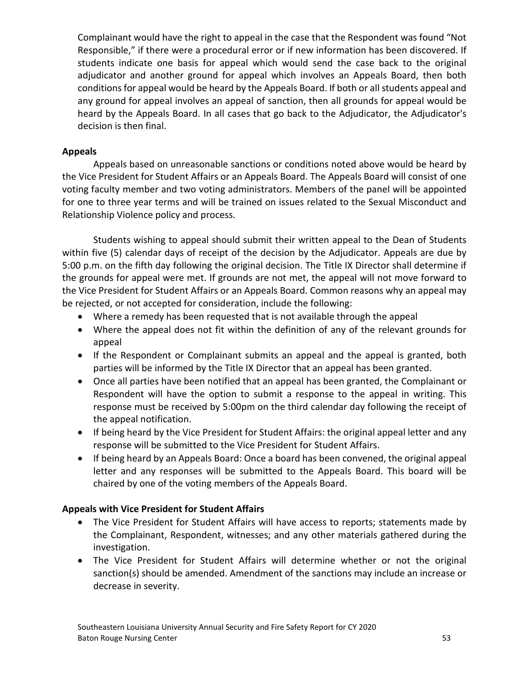Complainant would have the right to appeal in the case that the Respondent was found "Not Responsible," if there were a procedural error or if new information has been discovered. If students indicate one basis for appeal which would send the case back to the original adjudicator and another ground for appeal which involves an Appeals Board, then both conditions for appeal would be heard by the Appeals Board. If both or all students appeal and any ground for appeal involves an appeal of sanction, then all grounds for appeal would be heard by the Appeals Board. In all cases that go back to the Adjudicator, the Adjudicator's decision is then final.

## **Appeals**

Appeals based on unreasonable sanctions or conditions noted above would be heard by the Vice President for Student Affairs or an Appeals Board. The Appeals Board will consist of one voting faculty member and two voting administrators. Members of the panel will be appointed for one to three year terms and will be trained on issues related to the Sexual Misconduct and Relationship Violence policy and process.

Students wishing to appeal should submit their written appeal to the Dean of Students within five (5) calendar days of receipt of the decision by the Adjudicator. Appeals are due by 5:00 p.m. on the fifth day following the original decision. The Title IX Director shall determine if the grounds for appeal were met. If grounds are not met, the appeal will not move forward to the Vice President for Student Affairs or an Appeals Board. Common reasons why an appeal may be rejected, or not accepted for consideration, include the following:

- Where a remedy has been requested that is not available through the appeal
- Where the appeal does not fit within the definition of any of the relevant grounds for appeal
- If the Respondent or Complainant submits an appeal and the appeal is granted, both parties will be informed by the Title IX Director that an appeal has been granted.
- Once all parties have been notified that an appeal has been granted, the Complainant or Respondent will have the option to submit a response to the appeal in writing. This response must be received by 5:00pm on the third calendar day following the receipt of the appeal notification.
- If being heard by the Vice President for Student Affairs: the original appeal letter and any response will be submitted to the Vice President for Student Affairs.
- If being heard by an Appeals Board: Once a board has been convened, the original appeal letter and any responses will be submitted to the Appeals Board. This board will be chaired by one of the voting members of the Appeals Board.

## **Appeals with Vice President for Student Affairs**

- The Vice President for Student Affairs will have access to reports; statements made by the Complainant, Respondent, witnesses; and any other materials gathered during the investigation.
- The Vice President for Student Affairs will determine whether or not the original sanction(s) should be amended. Amendment of the sanctions may include an increase or decrease in severity.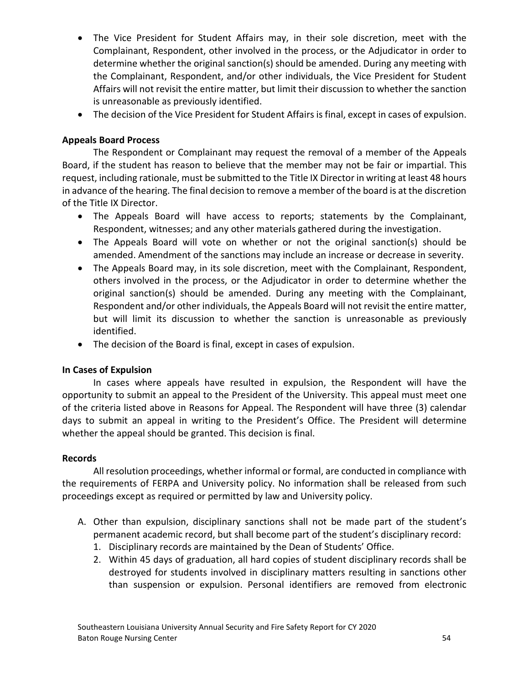- The Vice President for Student Affairs may, in their sole discretion, meet with the Complainant, Respondent, other involved in the process, or the Adjudicator in order to determine whether the original sanction(s) should be amended. During any meeting with the Complainant, Respondent, and/or other individuals, the Vice President for Student Affairs will not revisit the entire matter, but limit their discussion to whether the sanction is unreasonable as previously identified.
- The decision of the Vice President for Student Affairs is final, except in cases of expulsion.

## **Appeals Board Process**

The Respondent or Complainant may request the removal of a member of the Appeals Board, if the student has reason to believe that the member may not be fair or impartial. This request, including rationale, must be submitted to the Title IX Director in writing at least 48 hours in advance of the hearing. The final decision to remove a member of the board is at the discretion of the Title IX Director.

- The Appeals Board will have access to reports; statements by the Complainant, Respondent, witnesses; and any other materials gathered during the investigation.
- The Appeals Board will vote on whether or not the original sanction(s) should be amended. Amendment of the sanctions may include an increase or decrease in severity.
- The Appeals Board may, in its sole discretion, meet with the Complainant, Respondent, others involved in the process, or the Adjudicator in order to determine whether the original sanction(s) should be amended. During any meeting with the Complainant, Respondent and/or other individuals, the Appeals Board will not revisit the entire matter, but will limit its discussion to whether the sanction is unreasonable as previously identified.
- The decision of the Board is final, except in cases of expulsion.

## **In Cases of Expulsion**

In cases where appeals have resulted in expulsion, the Respondent will have the opportunity to submit an appeal to the President of the University. This appeal must meet one of the criteria listed above in Reasons for Appeal. The Respondent will have three (3) calendar days to submit an appeal in writing to the President's Office. The President will determine whether the appeal should be granted. This decision is final.

## **Records**

All resolution proceedings, whether informal or formal, are conducted in compliance with the requirements of FERPA and University policy. No information shall be released from such proceedings except as required or permitted by law and University policy.

- A. Other than expulsion, disciplinary sanctions shall not be made part of the student's permanent academic record, but shall become part of the student's disciplinary record:
	- 1. Disciplinary records are maintained by the Dean of Students' Office.
	- 2. Within 45 days of graduation, all hard copies of student disciplinary records shall be destroyed for students involved in disciplinary matters resulting in sanctions other than suspension or expulsion. Personal identifiers are removed from electronic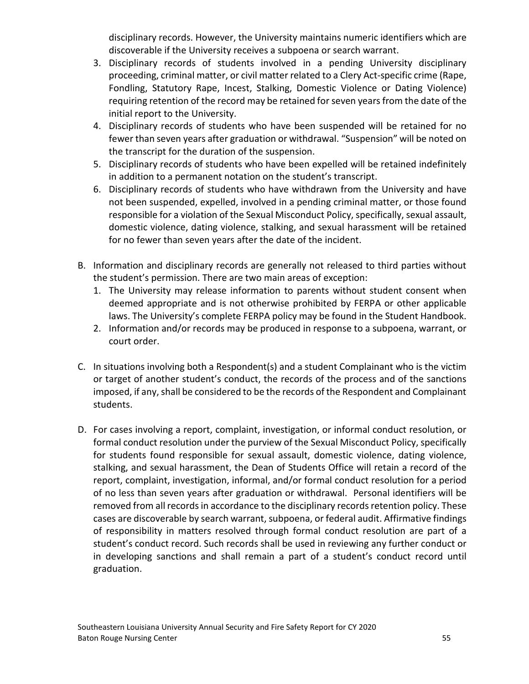disciplinary records. However, the University maintains numeric identifiers which are discoverable if the University receives a subpoena or search warrant.

- 3. Disciplinary records of students involved in a pending University disciplinary proceeding, criminal matter, or civil matter related to a Clery Act-specific crime (Rape, Fondling, Statutory Rape, Incest, Stalking, Domestic Violence or Dating Violence) requiring retention of the record may be retained for seven years from the date of the initial report to the University.
- 4. Disciplinary records of students who have been suspended will be retained for no fewer than seven years after graduation or withdrawal. "Suspension" will be noted on the transcript for the duration of the suspension.
- 5. Disciplinary records of students who have been expelled will be retained indefinitely in addition to a permanent notation on the student's transcript.
- 6. Disciplinary records of students who have withdrawn from the University and have not been suspended, expelled, involved in a pending criminal matter, or those found responsible for a violation of the Sexual Misconduct Policy, specifically, sexual assault, domestic violence, dating violence, stalking, and sexual harassment will be retained for no fewer than seven years after the date of the incident.
- B. Information and disciplinary records are generally not released to third parties without the student's permission. There are two main areas of exception:
	- 1. The University may release information to parents without student consent when deemed appropriate and is not otherwise prohibited by FERPA or other applicable laws. The University's complete FERPA policy may be found in the Student Handbook.
	- 2. Information and/or records may be produced in response to a subpoena, warrant, or court order.
- C. In situations involving both a Respondent(s) and a student Complainant who is the victim or target of another student's conduct, the records of the process and of the sanctions imposed, if any, shall be considered to be the records of the Respondent and Complainant students.
- D. For cases involving a report, complaint, investigation, or informal conduct resolution, or formal conduct resolution under the purview of the Sexual Misconduct Policy, specifically for students found responsible for sexual assault, domestic violence, dating violence, stalking, and sexual harassment, the Dean of Students Office will retain a record of the report, complaint, investigation, informal, and/or formal conduct resolution for a period of no less than seven years after graduation or withdrawal. Personal identifiers will be removed from all records in accordance to the disciplinary records retention policy. These cases are discoverable by search warrant, subpoena, or federal audit. Affirmative findings of responsibility in matters resolved through formal conduct resolution are part of a student's conduct record. Such records shall be used in reviewing any further conduct or in developing sanctions and shall remain a part of a student's conduct record until graduation.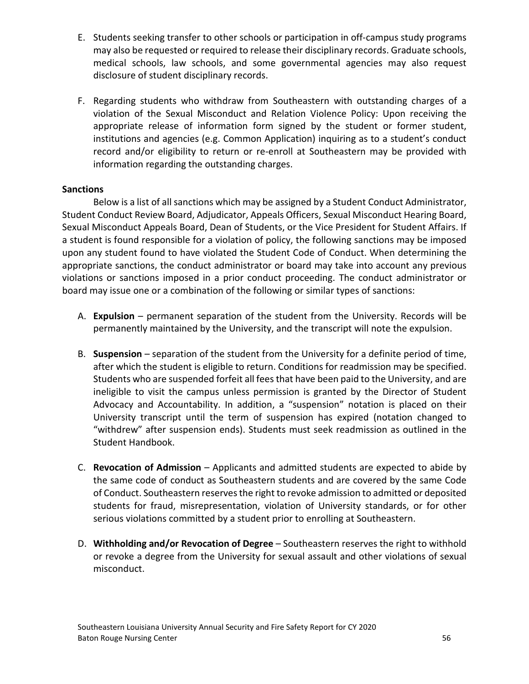- E. Students seeking transfer to other schools or participation in off-campus study programs may also be requested or required to release their disciplinary records. Graduate schools, medical schools, law schools, and some governmental agencies may also request disclosure of student disciplinary records.
- F. Regarding students who withdraw from Southeastern with outstanding charges of a violation of the Sexual Misconduct and Relation Violence Policy: Upon receiving the appropriate release of information form signed by the student or former student, institutions and agencies (e.g. Common Application) inquiring as to a student's conduct record and/or eligibility to return or re-enroll at Southeastern may be provided with information regarding the outstanding charges.

#### **Sanctions**

Below is a list of all sanctions which may be assigned by a Student Conduct Administrator, Student Conduct Review Board, Adjudicator, Appeals Officers, Sexual Misconduct Hearing Board, Sexual Misconduct Appeals Board, Dean of Students, or the Vice President for Student Affairs. If a student is found responsible for a violation of policy, the following sanctions may be imposed upon any student found to have violated the Student Code of Conduct. When determining the appropriate sanctions, the conduct administrator or board may take into account any previous violations or sanctions imposed in a prior conduct proceeding. The conduct administrator or board may issue one or a combination of the following or similar types of sanctions:

- A. **Expulsion** permanent separation of the student from the University. Records will be permanently maintained by the University, and the transcript will note the expulsion.
- B. **Suspension** separation of the student from the University for a definite period of time, after which the student is eligible to return. Conditions for readmission may be specified. Students who are suspended forfeit all fees that have been paid to the University, and are ineligible to visit the campus unless permission is granted by the Director of Student Advocacy and Accountability. In addition, a "suspension" notation is placed on their University transcript until the term of suspension has expired (notation changed to "withdrew" after suspension ends). Students must seek readmission as outlined in the Student Handbook.
- C. **Revocation of Admission** Applicants and admitted students are expected to abide by the same code of conduct as Southeastern students and are covered by the same Code of Conduct. Southeastern reserves the right to revoke admission to admitted or deposited students for fraud, misrepresentation, violation of University standards, or for other serious violations committed by a student prior to enrolling at Southeastern.
- D. **Withholding and/or Revocation of Degree** Southeastern reserves the right to withhold or revoke a degree from the University for sexual assault and other violations of sexual misconduct.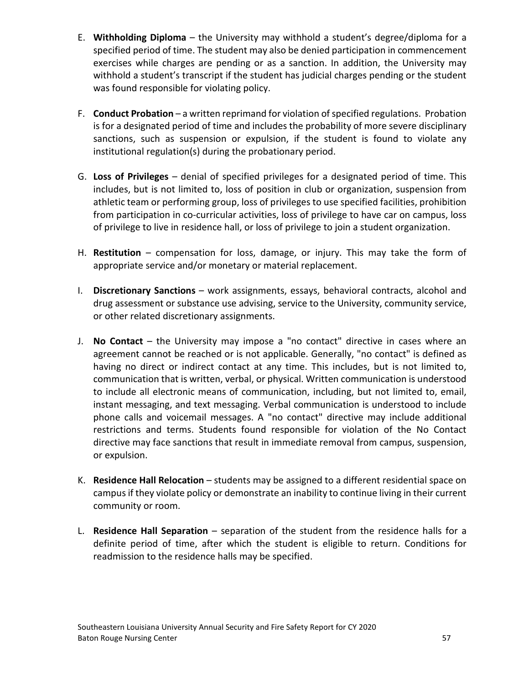- E. **Withholding Diploma** the University may withhold a student's degree/diploma for a specified period of time. The student may also be denied participation in commencement exercises while charges are pending or as a sanction. In addition, the University may withhold a student's transcript if the student has judicial charges pending or the student was found responsible for violating policy.
- F. **Conduct Probation** a written reprimand for violation of specified regulations. Probation is for a designated period of time and includes the probability of more severe disciplinary sanctions, such as suspension or expulsion, if the student is found to violate any institutional regulation(s) during the probationary period.
- G. **Loss of Privileges** denial of specified privileges for a designated period of time. This includes, but is not limited to, loss of position in club or organization, suspension from athletic team or performing group, loss of privileges to use specified facilities, prohibition from participation in co-curricular activities, loss of privilege to have car on campus, loss of privilege to live in residence hall, or loss of privilege to join a student organization.
- H. **Restitution** compensation for loss, damage, or injury. This may take the form of appropriate service and/or monetary or material replacement.
- I. **Discretionary Sanctions** work assignments, essays, behavioral contracts, alcohol and drug assessment or substance use advising, service to the University, community service, or other related discretionary assignments.
- J. **No Contact**  the University may impose a "no contact" directive in cases where an agreement cannot be reached or is not applicable. Generally, "no contact" is defined as having no direct or indirect contact at any time. This includes, but is not limited to, communication that is written, verbal, or physical. Written communication is understood to include all electronic means of communication, including, but not limited to, email, instant messaging, and text messaging. Verbal communication is understood to include phone calls and voicemail messages. A "no contact" directive may include additional restrictions and terms. Students found responsible for violation of the No Contact directive may face sanctions that result in immediate removal from campus, suspension, or expulsion.
- K. **Residence Hall Relocation** students may be assigned to a different residential space on campus if they violate policy or demonstrate an inability to continue living in their current community or room.
- L. **Residence Hall Separation** separation of the student from the residence halls for a definite period of time, after which the student is eligible to return. Conditions for readmission to the residence halls may be specified.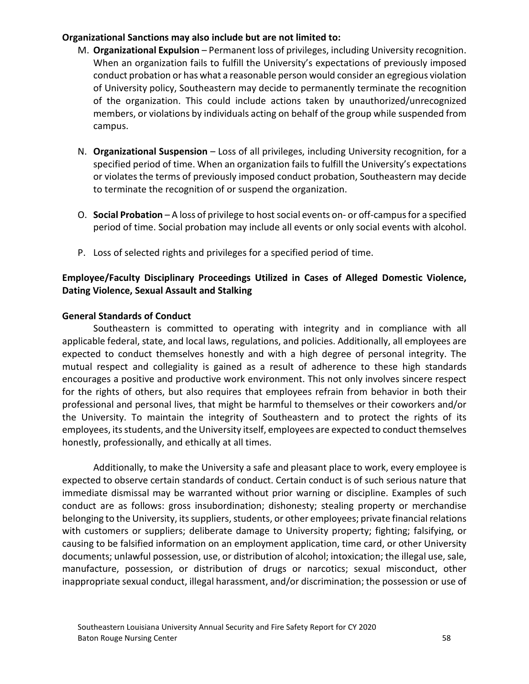#### **Organizational Sanctions may also include but are not limited to:**

- M. **Organizational Expulsion** Permanent loss of privileges, including University recognition. When an organization fails to fulfill the University's expectations of previously imposed conduct probation or has what a reasonable person would consider an egregious violation of University policy, Southeastern may decide to permanently terminate the recognition of the organization. This could include actions taken by unauthorized/unrecognized members, or violations by individuals acting on behalf of the group while suspended from campus.
- N. **Organizational Suspension** Loss of all privileges, including University recognition, for a specified period of time. When an organization fails to fulfill the University's expectations or violates the terms of previously imposed conduct probation, Southeastern may decide to terminate the recognition of or suspend the organization.
- O. **Social Probation** A loss of privilege to host social events on- or off-campus for a specified period of time. Social probation may include all events or only social events with alcohol.
- P. Loss of selected rights and privileges for a specified period of time.

## **Employee/Faculty Disciplinary Proceedings Utilized in Cases of Alleged Domestic Violence, Dating Violence, Sexual Assault and Stalking**

#### **General Standards of Conduct**

Southeastern is committed to operating with integrity and in compliance with all applicable federal, state, and local laws, regulations, and policies. Additionally, all employees are expected to conduct themselves honestly and with a high degree of personal integrity. The mutual respect and collegiality is gained as a result of adherence to these high standards encourages a positive and productive work environment. This not only involves sincere respect for the rights of others, but also requires that employees refrain from behavior in both their professional and personal lives, that might be harmful to themselves or their coworkers and/or the University. To maintain the integrity of Southeastern and to protect the rights of its employees, its students, and the University itself, employees are expected to conduct themselves honestly, professionally, and ethically at all times.

Additionally, to make the University a safe and pleasant place to work, every employee is expected to observe certain standards of conduct. Certain conduct is of such serious nature that immediate dismissal may be warranted without prior warning or discipline. Examples of such conduct are as follows: gross insubordination; dishonesty; stealing property or merchandise belonging to the University, its suppliers, students, or other employees; private financial relations with customers or suppliers; deliberate damage to University property; fighting; falsifying, or causing to be falsified information on an employment application, time card, or other University documents; unlawful possession, use, or distribution of alcohol; intoxication; the illegal use, sale, manufacture, possession, or distribution of drugs or narcotics; sexual misconduct, other inappropriate sexual conduct, illegal harassment, and/or discrimination; the possession or use of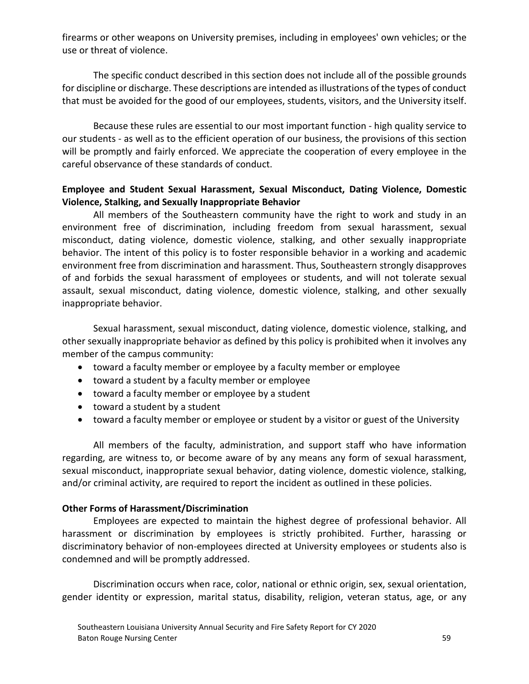firearms or other weapons on University premises, including in employees' own vehicles; or the use or threat of violence.

The specific conduct described in this section does not include all of the possible grounds for discipline or discharge. These descriptions are intended as illustrations of the types of conduct that must be avoided for the good of our employees, students, visitors, and the University itself.

Because these rules are essential to our most important function - high quality service to our students - as well as to the efficient operation of our business, the provisions of this section will be promptly and fairly enforced. We appreciate the cooperation of every employee in the careful observance of these standards of conduct.

## **Employee and Student Sexual Harassment, Sexual Misconduct, Dating Violence, Domestic Violence, Stalking, and Sexually Inappropriate Behavior**

All members of the Southeastern community have the right to work and study in an environment free of discrimination, including freedom from sexual harassment, sexual misconduct, dating violence, domestic violence, stalking, and other sexually inappropriate behavior. The intent of this policy is to foster responsible behavior in a working and academic environment free from discrimination and harassment. Thus, Southeastern strongly disapproves of and forbids the sexual harassment of employees or students, and will not tolerate sexual assault, sexual misconduct, dating violence, domestic violence, stalking, and other sexually inappropriate behavior.

Sexual harassment, sexual misconduct, dating violence, domestic violence, stalking, and other sexually inappropriate behavior as defined by this policy is prohibited when it involves any member of the campus community:

- toward a faculty member or employee by a faculty member or employee
- toward a student by a faculty member or employee
- toward a faculty member or employee by a student
- toward a student by a student
- toward a faculty member or employee or student by a visitor or guest of the University

All members of the faculty, administration, and support staff who have information regarding, are witness to, or become aware of by any means any form of sexual harassment, sexual misconduct, inappropriate sexual behavior, dating violence, domestic violence, stalking, and/or criminal activity, are required to report the incident as outlined in these policies.

## **Other Forms of Harassment/Discrimination**

Employees are expected to maintain the highest degree of professional behavior. All harassment or discrimination by employees is strictly prohibited. Further, harassing or discriminatory behavior of non-employees directed at University employees or students also is condemned and will be promptly addressed.

Discrimination occurs when race, color, national or ethnic origin, sex, sexual orientation, gender identity or expression, marital status, disability, religion, veteran status, age, or any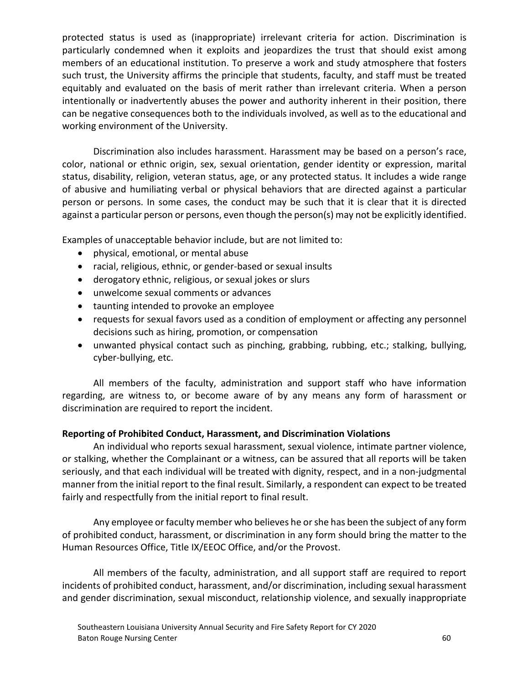protected status is used as (inappropriate) irrelevant criteria for action. Discrimination is particularly condemned when it exploits and jeopardizes the trust that should exist among members of an educational institution. To preserve a work and study atmosphere that fosters such trust, the University affirms the principle that students, faculty, and staff must be treated equitably and evaluated on the basis of merit rather than irrelevant criteria. When a person intentionally or inadvertently abuses the power and authority inherent in their position, there can be negative consequences both to the individuals involved, as well as to the educational and working environment of the University.

Discrimination also includes harassment. Harassment may be based on a person's race, color, national or ethnic origin, sex, sexual orientation, gender identity or expression, marital status, disability, religion, veteran status, age, or any protected status. It includes a wide range of abusive and humiliating verbal or physical behaviors that are directed against a particular person or persons. In some cases, the conduct may be such that it is clear that it is directed against a particular person or persons, even though the person(s) may not be explicitly identified.

Examples of unacceptable behavior include, but are not limited to:

- physical, emotional, or mental abuse
- racial, religious, ethnic, or gender-based or sexual insults
- derogatory ethnic, religious, or sexual jokes or slurs
- unwelcome sexual comments or advances
- taunting intended to provoke an employee
- requests for sexual favors used as a condition of employment or affecting any personnel decisions such as hiring, promotion, or compensation
- unwanted physical contact such as pinching, grabbing, rubbing, etc.; stalking, bullying, cyber-bullying, etc.

All members of the faculty, administration and support staff who have information regarding, are witness to, or become aware of by any means any form of harassment or discrimination are required to report the incident.

## **Reporting of Prohibited Conduct, Harassment, and Discrimination Violations**

An individual who reports sexual harassment, sexual violence, intimate partner violence, or stalking, whether the Complainant or a witness, can be assured that all reports will be taken seriously, and that each individual will be treated with dignity, respect, and in a non-judgmental manner from the initial report to the final result. Similarly, a respondent can expect to be treated fairly and respectfully from the initial report to final result.

Any employee or faculty member who believes he or she has been the subject of any form of prohibited conduct, harassment, or discrimination in any form should bring the matter to the Human Resources Office, Title IX/EEOC Office, and/or the Provost.

All members of the faculty, administration, and all support staff are required to report incidents of prohibited conduct, harassment, and/or discrimination, including sexual harassment and gender discrimination, sexual misconduct, relationship violence, and sexually inappropriate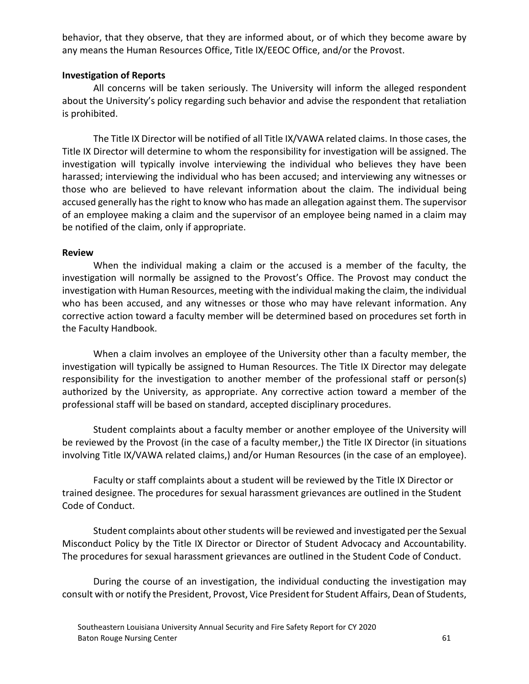behavior, that they observe, that they are informed about, or of which they become aware by any means the Human Resources Office, Title IX/EEOC Office, and/or the Provost.

#### **Investigation of Reports**

All concerns will be taken seriously. The University will inform the alleged respondent about the University's policy regarding such behavior and advise the respondent that retaliation is prohibited.

The Title IX Director will be notified of all Title IX/VAWA related claims. In those cases, the Title IX Director will determine to whom the responsibility for investigation will be assigned. The investigation will typically involve interviewing the individual who believes they have been harassed; interviewing the individual who has been accused; and interviewing any witnesses or those who are believed to have relevant information about the claim. The individual being accused generally has the right to know who has made an allegation against them. The supervisor of an employee making a claim and the supervisor of an employee being named in a claim may be notified of the claim, only if appropriate.

#### **Review**

When the individual making a claim or the accused is a member of the faculty, the investigation will normally be assigned to the Provost's Office. The Provost may conduct the investigation with Human Resources, meeting with the individual making the claim, the individual who has been accused, and any witnesses or those who may have relevant information. Any corrective action toward a faculty member will be determined based on procedures set forth in the Faculty Handbook.

When a claim involves an employee of the University other than a faculty member, the investigation will typically be assigned to Human Resources. The Title IX Director may delegate responsibility for the investigation to another member of the professional staff or person(s) authorized by the University, as appropriate. Any corrective action toward a member of the professional staff will be based on standard, accepted disciplinary procedures.

Student complaints about a faculty member or another employee of the University will be reviewed by the Provost (in the case of a faculty member,) the Title IX Director (in situations involving Title IX/VAWA related claims,) and/or Human Resources (in the case of an employee).

Faculty or staff complaints about a student will be reviewed by the Title IX Director or trained designee. The procedures for sexual harassment grievances are outlined in the Student Code of Conduct.

Student complaints about other students will be reviewed and investigated per the Sexual Misconduct Policy by the Title IX Director or Director of Student Advocacy and Accountability. The procedures for sexual harassment grievances are outlined in the Student Code of Conduct.

During the course of an investigation, the individual conducting the investigation may consult with or notify the President, Provost, Vice President for Student Affairs, Dean of Students,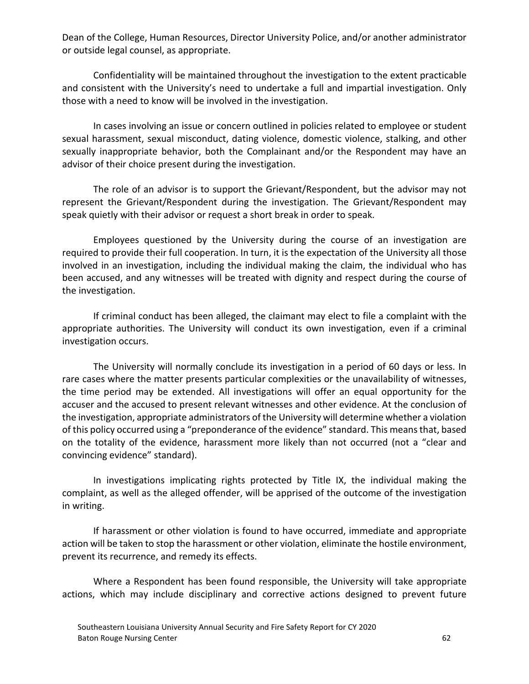Dean of the College, Human Resources, Director University Police, and/or another administrator or outside legal counsel, as appropriate.

Confidentiality will be maintained throughout the investigation to the extent practicable and consistent with the University's need to undertake a full and impartial investigation. Only those with a need to know will be involved in the investigation.

In cases involving an issue or concern outlined in policies related to employee or student sexual harassment, sexual misconduct, dating violence, domestic violence, stalking, and other sexually inappropriate behavior, both the Complainant and/or the Respondent may have an advisor of their choice present during the investigation.

The role of an advisor is to support the Grievant/Respondent, but the advisor may not represent the Grievant/Respondent during the investigation. The Grievant/Respondent may speak quietly with their advisor or request a short break in order to speak.

Employees questioned by the University during the course of an investigation are required to provide their full cooperation. In turn, it is the expectation of the University all those involved in an investigation, including the individual making the claim, the individual who has been accused, and any witnesses will be treated with dignity and respect during the course of the investigation.

If criminal conduct has been alleged, the claimant may elect to file a complaint with the appropriate authorities. The University will conduct its own investigation, even if a criminal investigation occurs.

The University will normally conclude its investigation in a period of 60 days or less. In rare cases where the matter presents particular complexities or the unavailability of witnesses, the time period may be extended. All investigations will offer an equal opportunity for the accuser and the accused to present relevant witnesses and other evidence. At the conclusion of the investigation, appropriate administrators of the University will determine whether a violation of this policy occurred using a "preponderance of the evidence" standard. This means that, based on the totality of the evidence, harassment more likely than not occurred (not a "clear and convincing evidence" standard).

In investigations implicating rights protected by Title IX, the individual making the complaint, as well as the alleged offender, will be apprised of the outcome of the investigation in writing.

If harassment or other violation is found to have occurred, immediate and appropriate action will be taken to stop the harassment or other violation, eliminate the hostile environment, prevent its recurrence, and remedy its effects.

Where a Respondent has been found responsible, the University will take appropriate actions, which may include disciplinary and corrective actions designed to prevent future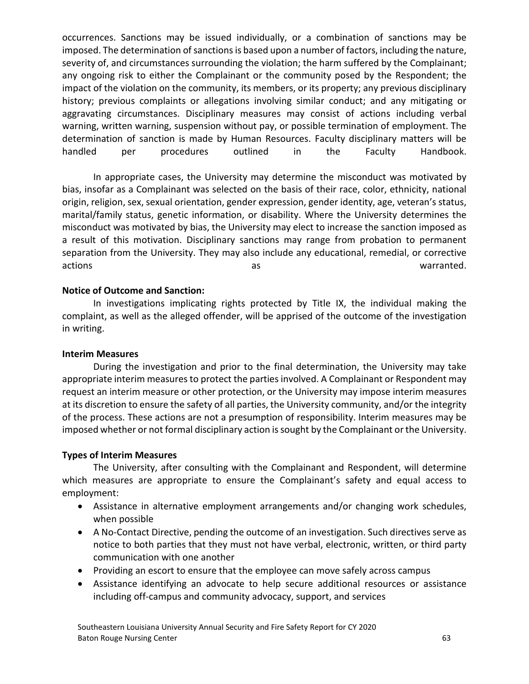occurrences. Sanctions may be issued individually, or a combination of sanctions may be imposed. The determination of sanctions is based upon a number of factors, including the nature, severity of, and circumstances surrounding the violation; the harm suffered by the Complainant; any ongoing risk to either the Complainant or the community posed by the Respondent; the impact of the violation on the community, its members, or its property; any previous disciplinary history; previous complaints or allegations involving similar conduct; and any mitigating or aggravating circumstances. Disciplinary measures may consist of actions including verbal warning, written warning, suspension without pay, or possible termination of employment. The determination of sanction is made by Human Resources. Faculty disciplinary matters will be handled per procedures outlined in the Faculty Handbook.

In appropriate cases, the University may determine the misconduct was motivated by bias, insofar as a Complainant was selected on the basis of their race, color, ethnicity, national origin, religion, sex, sexual orientation, gender expression, gender identity, age, veteran's status, marital/family status, genetic information, or disability. Where the University determines the misconduct was motivated by bias, the University may elect to increase the sanction imposed as a result of this motivation. Disciplinary sanctions may range from probation to permanent separation from the University. They may also include any educational, remedial, or corrective actions and a structure as the set of the set of the set of the set of the set of the set of the set of the set of the set of the set of the set of the set of the set of the set of the set of the set of the set of the set

#### **Notice of Outcome and Sanction:**

In investigations implicating rights protected by Title IX, the individual making the complaint, as well as the alleged offender, will be apprised of the outcome of the investigation in writing.

#### **Interim Measures**

During the investigation and prior to the final determination, the University may take appropriate interim measures to protect the parties involved. A Complainant or Respondent may request an interim measure or other protection, or the University may impose interim measures at its discretion to ensure the safety of all parties, the University community, and/or the integrity of the process. These actions are not a presumption of responsibility. Interim measures may be imposed whether or not formal disciplinary action is sought by the Complainant or the University.

## **Types of Interim Measures**

The University, after consulting with the Complainant and Respondent, will determine which measures are appropriate to ensure the Complainant's safety and equal access to employment:

- Assistance in alternative employment arrangements and/or changing work schedules, when possible
- A No-Contact Directive, pending the outcome of an investigation. Such directives serve as notice to both parties that they must not have verbal, electronic, written, or third party communication with one another
- Providing an escort to ensure that the employee can move safely across campus
- Assistance identifying an advocate to help secure additional resources or assistance including off-campus and community advocacy, support, and services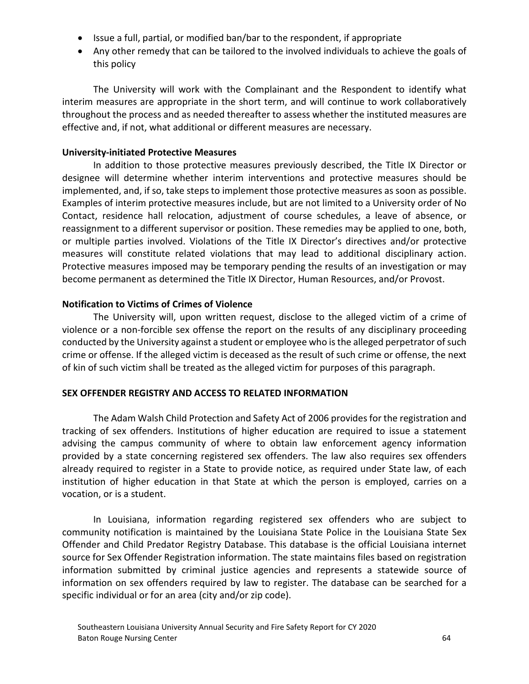- Issue a full, partial, or modified ban/bar to the respondent, if appropriate
- Any other remedy that can be tailored to the involved individuals to achieve the goals of this policy

The University will work with the Complainant and the Respondent to identify what interim measures are appropriate in the short term, and will continue to work collaboratively throughout the process and as needed thereafter to assess whether the instituted measures are effective and, if not, what additional or different measures are necessary.

## **University-initiated Protective Measures**

In addition to those protective measures previously described, the Title IX Director or designee will determine whether interim interventions and protective measures should be implemented, and, if so, take steps to implement those protective measures as soon as possible. Examples of interim protective measures include, but are not limited to a University order of No Contact, residence hall relocation, adjustment of course schedules, a leave of absence, or reassignment to a different supervisor or position. These remedies may be applied to one, both, or multiple parties involved. Violations of the Title IX Director's directives and/or protective measures will constitute related violations that may lead to additional disciplinary action. Protective measures imposed may be temporary pending the results of an investigation or may become permanent as determined the Title IX Director, Human Resources, and/or Provost.

#### **Notification to Victims of Crimes of Violence**

The University will, upon written request, disclose to the alleged victim of a crime of violence or a non-forcible sex offense the report on the results of any disciplinary proceeding conducted by the University against a student or employee who is the alleged perpetrator of such crime or offense. If the alleged victim is deceased as the result of such crime or offense, the next of kin of such victim shall be treated as the alleged victim for purposes of this paragraph.

#### **SEX OFFENDER REGISTRY AND ACCESS TO RELATED INFORMATION**

The Adam Walsh Child Protection and Safety Act of 2006 provides for the registration and tracking of sex offenders. Institutions of higher education are required to issue a statement advising the campus community of where to obtain law enforcement agency information provided by a state concerning registered sex offenders. The law also requires sex offenders already required to register in a State to provide notice, as required under State law, of each institution of higher education in that State at which the person is employed, carries on a vocation, or is a student.

In Louisiana, information regarding registered sex offenders who are subject to community notification is maintained by the Louisiana State Police in the Louisiana State Sex Offender and Child Predator Registry Database. This database is the official Louisiana internet source for Sex Offender Registration information. The state maintains files based on registration information submitted by criminal justice agencies and represents a statewide source of information on sex offenders required by law to register. The database can be searched for a specific individual or for an area (city and/or zip code).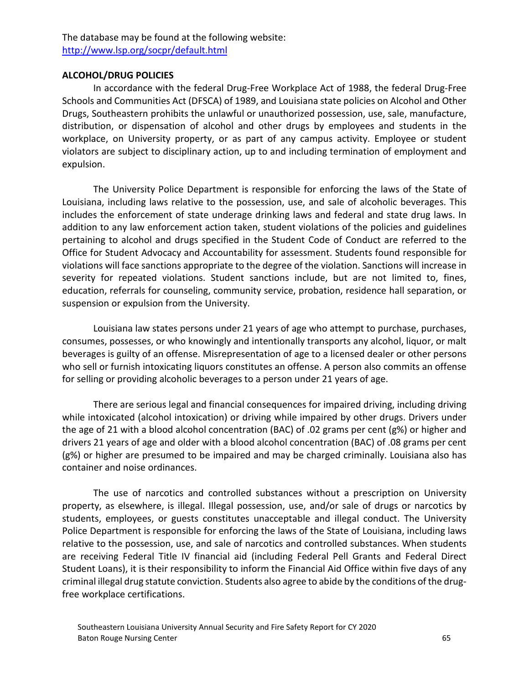# The database may be found at the following website: <http://www.lsp.org/socpr/default.html>

#### **ALCOHOL/DRUG POLICIES**

In accordance with the federal Drug-Free Workplace Act of 1988, the federal Drug-Free Schools and Communities Act (DFSCA) of 1989, and Louisiana state policies on Alcohol and Other Drugs, Southeastern prohibits the unlawful or unauthorized possession, use, sale, manufacture, distribution, or dispensation of alcohol and other drugs by employees and students in the workplace, on University property, or as part of any campus activity. Employee or student violators are subject to disciplinary action, up to and including termination of employment and expulsion.

The University Police Department is responsible for enforcing the laws of the State of Louisiana, including laws relative to the possession, use, and sale of alcoholic beverages. This includes the enforcement of state underage drinking laws and federal and state drug laws. In addition to any law enforcement action taken, student violations of the policies and guidelines pertaining to alcohol and drugs specified in the Student Code of Conduct are referred to the Office for Student Advocacy and Accountability for assessment. Students found responsible for violations will face sanctions appropriate to the degree of the violation. Sanctions will increase in severity for repeated violations. Student sanctions include, but are not limited to, fines, education, referrals for counseling, community service, probation, residence hall separation, or suspension or expulsion from the University.

Louisiana law states persons under 21 years of age who attempt to purchase, purchases, consumes, possesses, or who knowingly and intentionally transports any alcohol, liquor, or malt beverages is guilty of an offense. Misrepresentation of age to a licensed dealer or other persons who sell or furnish intoxicating liquors constitutes an offense. A person also commits an offense for selling or providing alcoholic beverages to a person under 21 years of age.

There are serious legal and financial consequences for impaired driving, including driving while intoxicated (alcohol intoxication) or driving while impaired by other drugs. Drivers under the age of 21 with a blood alcohol concentration (BAC) of .02 grams per cent (g%) or higher and drivers 21 years of age and older with a blood alcohol concentration (BAC) of .08 grams per cent (g%) or higher are presumed to be impaired and may be charged criminally. Louisiana also has container and noise ordinances.

The use of narcotics and controlled substances without a prescription on University property, as elsewhere, is illegal. Illegal possession, use, and/or sale of drugs or narcotics by students, employees, or guests constitutes unacceptable and illegal conduct. The University Police Department is responsible for enforcing the laws of the State of Louisiana, including laws relative to the possession, use, and sale of narcotics and controlled substances. When students are receiving Federal Title IV financial aid (including Federal Pell Grants and Federal Direct Student Loans), it is their responsibility to inform the Financial Aid Office within five days of any criminal illegal drug statute conviction. Students also agree to abide by the conditions of the drugfree workplace certifications.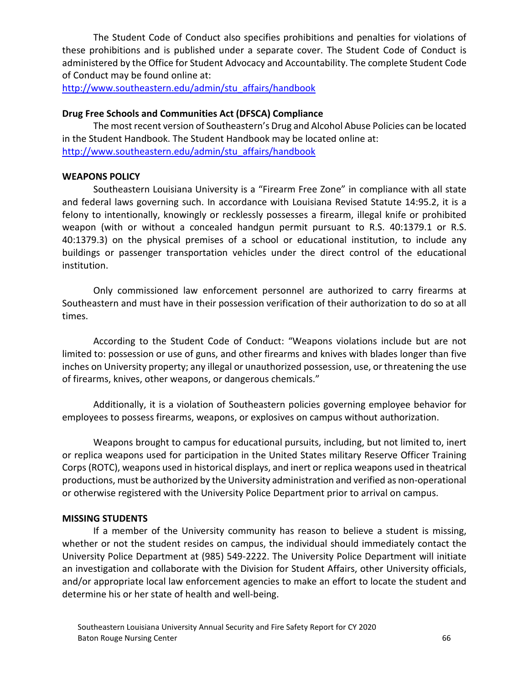The Student Code of Conduct also specifies prohibitions and penalties for violations of these prohibitions and is published under a separate cover. The Student Code of Conduct is administered by the Office for Student Advocacy and Accountability. The complete Student Code of Conduct may be found online at:

http://www.southeastern.edu/admin/stu\_affairs/handbook

#### **Drug Free Schools and Communities Act (DFSCA) Compliance**

The most recent version of Southeastern's Drug and Alcohol Abuse Policies can be located in the Student Handbook. The Student Handbook may be located online at: http://www.southeastern.edu/admin/stu\_affairs/handbook

#### **WEAPONS POLICY**

Southeastern Louisiana University is a "Firearm Free Zone" in compliance with all state and federal laws governing such. In accordance with Louisiana Revised Statute 14:95.2, it is a felony to intentionally, knowingly or recklessly possesses a firearm, illegal knife or prohibited weapon (with or without a concealed handgun permit pursuant to R.S. 40:1379.1 or R.S. 40:1379.3) on the physical premises of a school or educational institution, to include any buildings or passenger transportation vehicles under the direct control of the educational institution.

Only commissioned law enforcement personnel are authorized to carry firearms at Southeastern and must have in their possession verification of their authorization to do so at all times.

According to the Student Code of Conduct: "Weapons violations include but are not limited to: possession or use of guns, and other firearms and knives with blades longer than five inches on University property; any illegal or unauthorized possession, use, or threatening the use of firearms, knives, other weapons, or dangerous chemicals."

Additionally, it is a violation of Southeastern policies governing employee behavior for employees to possess firearms, weapons, or explosives on campus without authorization.

Weapons brought to campus for educational pursuits, including, but not limited to, inert or replica weapons used for participation in the United States military Reserve Officer Training Corps (ROTC), weapons used in historical displays, and inert or replica weapons used in theatrical productions, must be authorized by the University administration and verified as non-operational or otherwise registered with the University Police Department prior to arrival on campus.

## **MISSING STUDENTS**

If a member of the University community has reason to believe a student is missing, whether or not the student resides on campus, the individual should immediately contact the University Police Department at (985) 549-2222. The University Police Department will initiate an investigation and collaborate with the Division for Student Affairs, other University officials, and/or appropriate local law enforcement agencies to make an effort to locate the student and determine his or her state of health and well-being.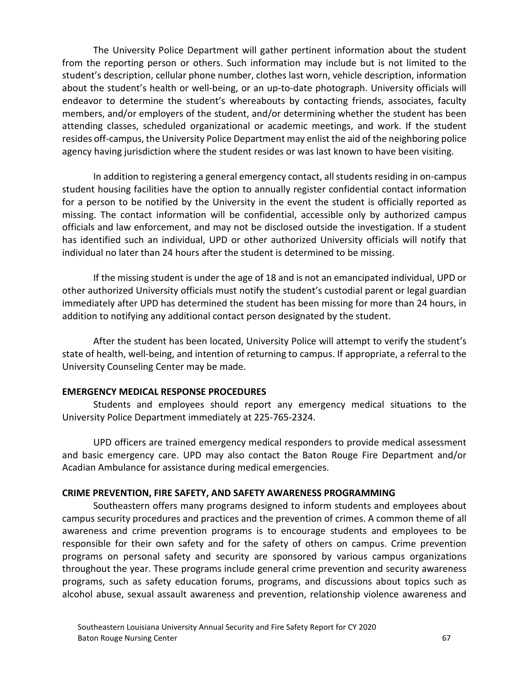The University Police Department will gather pertinent information about the student from the reporting person or others. Such information may include but is not limited to the student's description, cellular phone number, clothes last worn, vehicle description, information about the student's health or well-being, or an up-to-date photograph. University officials will endeavor to determine the student's whereabouts by contacting friends, associates, faculty members, and/or employers of the student, and/or determining whether the student has been attending classes, scheduled organizational or academic meetings, and work. If the student resides off-campus, the University Police Department may enlist the aid of the neighboring police agency having jurisdiction where the student resides or was last known to have been visiting.

In addition to registering a general emergency contact, all students residing in on-campus student housing facilities have the option to annually register confidential contact information for a person to be notified by the University in the event the student is officially reported as missing. The contact information will be confidential, accessible only by authorized campus officials and law enforcement, and may not be disclosed outside the investigation. If a student has identified such an individual, UPD or other authorized University officials will notify that individual no later than 24 hours after the student is determined to be missing.

If the missing student is under the age of 18 and is not an emancipated individual, UPD or other authorized University officials must notify the student's custodial parent or legal guardian immediately after UPD has determined the student has been missing for more than 24 hours, in addition to notifying any additional contact person designated by the student.

After the student has been located, University Police will attempt to verify the student's state of health, well-being, and intention of returning to campus. If appropriate, a referral to the University Counseling Center may be made.

#### **EMERGENCY MEDICAL RESPONSE PROCEDURES**

Students and employees should report any emergency medical situations to the University Police Department immediately at 225-765-2324.

UPD officers are trained emergency medical responders to provide medical assessment and basic emergency care. UPD may also contact the Baton Rouge Fire Department and/or Acadian Ambulance for assistance during medical emergencies.

#### **CRIME PREVENTION, FIRE SAFETY, AND SAFETY AWARENESS PROGRAMMING**

Southeastern offers many programs designed to inform students and employees about campus security procedures and practices and the prevention of crimes. A common theme of all awareness and crime prevention programs is to encourage students and employees to be responsible for their own safety and for the safety of others on campus. Crime prevention programs on personal safety and security are sponsored by various campus organizations throughout the year. These programs include general crime prevention and security awareness programs, such as safety education forums, programs, and discussions about topics such as alcohol abuse, sexual assault awareness and prevention, relationship violence awareness and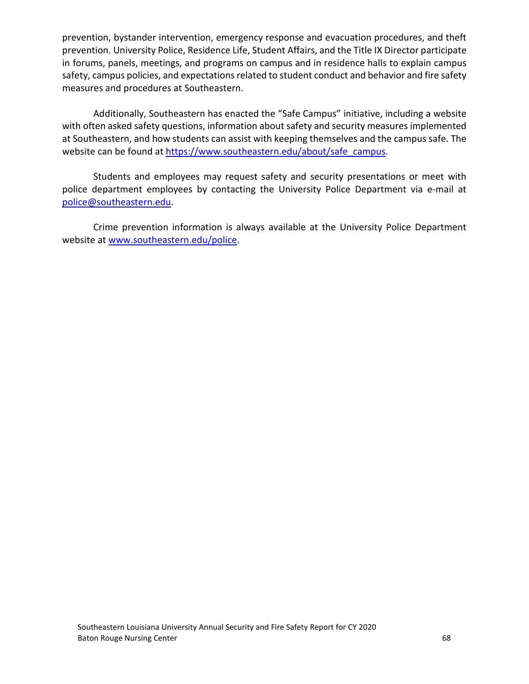prevention, bystander intervention, emergency response and evacuation procedures, and theft prevention. University Police, Residence Life, Student Affairs, and the Title IX Director participate in forums, panels, meetings, and programs on campus and in residence halls to explain campus safety, campus policies, and expectations related to student conduct and behavior and fire safety measures and procedures at Southeastern.

Additionally, Southeastern has enacted the "Safe Campus" initiative, including a website with often asked safety questions, information about safety and security measures implemented at Southeastern, and how students can assist with keeping themselves and the campus safe. The website can be found at https://www.southeastern.edu/about/safe\_campus.

Students and employees may request safety and security presentations or meet with police department employees by contacting the University Police Department via e-mail at [police@southeastern.edu.](mailto:police@southeastern.edu)

Crime prevention information is always available at the University Police Department website at [www.southeastern.edu/police.](http://www.southeastern.edu/police)